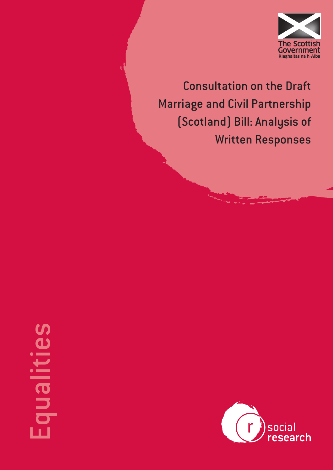

Consultation on the Draft Marriage and Civil Partnership (Scotland) Bill: Analysis of Written Responses

# **Ilenbi**

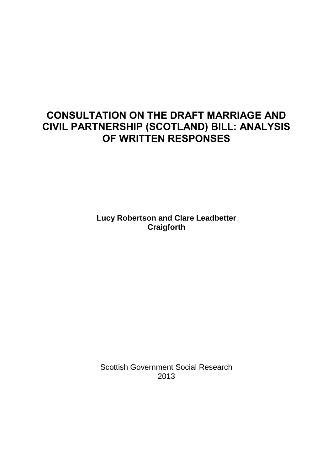# **CONSULTATION ON THE DRAFT MARRIAGE AND CIVIL PARTNERSHIP (SCOTLAND) BILL: ANALYSIS OF WRITTEN RESPONSES**

**Lucy Robertson and Clare Leadbetter Craigforth** 

Scottish Government Social Research 2013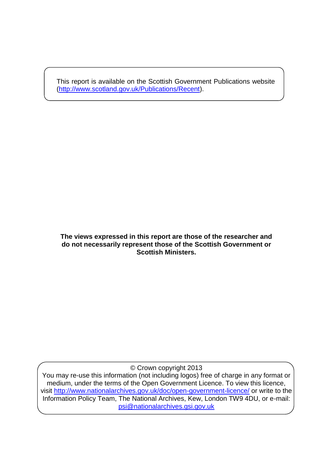This report is available on the Scottish Government Publications website [\(http://www.scotland.gov.uk/Publications/Recent\)](http://www.scotland.gov.uk/Publications/Recent).

#### **The views expressed in this report are those of the researcher and do not necessarily represent those of the Scottish Government or Scottish Ministers.**

© Crown copyright 2013

You may re-use this information (not including logos) free of charge in any format or medium, under the terms of the Open Government Licence. To view this licence, visit<http://www.nationalarchives.gov.uk/doc/open-government-licence/>or write to the Information Policy Team, The National Archives, Kew, London TW9 4DU, or e-mail: [psi@nationalarchives.gsi.gov.uk](mailto:psi@nationalarchives.gsi.gov.uk)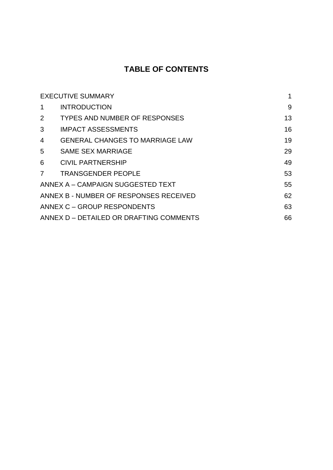# **TABLE OF CONTENTS**

| <b>EXECUTIVE SUMMARY</b>                |                                        |    |
|-----------------------------------------|----------------------------------------|----|
| 1                                       | <b>INTRODUCTION</b>                    | 9  |
| 2                                       | <b>TYPES AND NUMBER OF RESPONSES</b>   | 13 |
| 3                                       | <b>IMPACT ASSESSMENTS</b>              | 16 |
| 4                                       | <b>GENERAL CHANGES TO MARRIAGE LAW</b> | 19 |
| 5                                       | <b>SAME SEX MARRIAGE</b>               | 29 |
| 6                                       | <b>CIVIL PARTNERSHIP</b>               | 49 |
| 7                                       | <b>TRANSGENDER PEOPLE</b>              | 53 |
| ANNEX A - CAMPAIGN SUGGESTED TEXT       |                                        | 55 |
| ANNEX B - NUMBER OF RESPONSES RECEIVED  |                                        | 62 |
| ANNEX C - GROUP RESPONDENTS             |                                        | 63 |
| ANNEX D - DETAILED OR DRAFTING COMMENTS |                                        | 66 |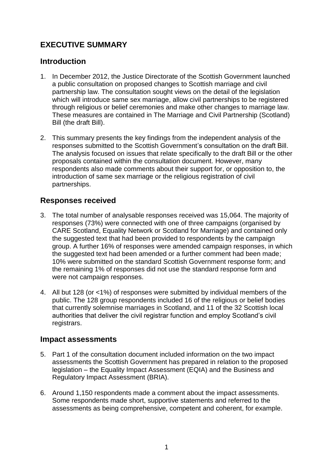# <span id="page-4-0"></span>**EXECUTIVE SUMMARY**

## **Introduction**

- 1. In December 2012, the Justice Directorate of the Scottish Government launched a public consultation on proposed changes to Scottish marriage and civil partnership law. The consultation sought views on the detail of the legislation which will introduce same sex marriage, allow civil partnerships to be registered through religious or belief ceremonies and make other changes to marriage law. These measures are contained in The Marriage and Civil Partnership (Scotland) Bill (the draft Bill).
- 2. This summary presents the key findings from the independent analysis of the responses submitted to the Scottish Government's consultation on the draft Bill. The analysis focused on issues that relate specifically to the draft Bill or the other proposals contained within the consultation document. However, many respondents also made comments about their support for, or opposition to, the introduction of same sex marriage or the religious registration of civil partnerships.

## **Responses received**

- 3. The total number of analysable responses received was 15,064. The majority of responses (73%) were connected with one of three campaigns (organised by CARE Scotland, Equality Network or Scotland for Marriage) and contained only the suggested text that had been provided to respondents by the campaign group. A further 16% of responses were amended campaign responses, in which the suggested text had been amended or a further comment had been made; 10% were submitted on the standard Scottish Government response form; and the remaining 1% of responses did not use the standard response form and were not campaign responses.
- 4. All but 128 (or <1%) of responses were submitted by individual members of the public. The 128 group respondents included 16 of the religious or belief bodies that currently solemnise marriages in Scotland, and 11 of the 32 Scottish local authorities that deliver the civil registrar function and employ Scotland's civil registrars.

## **Impact assessments**

- 5. Part 1 of the consultation document included information on the two impact assessments the Scottish Government has prepared in relation to the proposed legislation – the Equality Impact Assessment (EQIA) and the Business and Regulatory Impact Assessment (BRIA).
- 6. Around 1,150 respondents made a comment about the impact assessments. Some respondents made short, supportive statements and referred to the assessments as being comprehensive, competent and coherent, for example.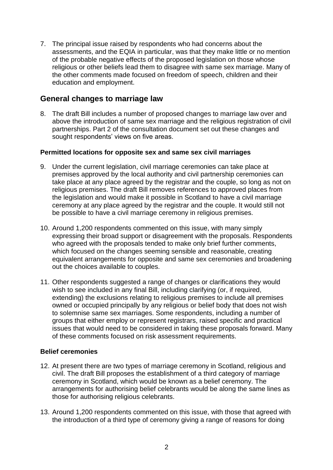7. The principal issue raised by respondents who had concerns about the assessments, and the EQIA in particular, was that they make little or no mention of the probable negative effects of the proposed legislation on those whose religious or other beliefs lead them to disagree with same sex marriage. Many of the other comments made focused on freedom of speech, children and their education and employment.

## **General changes to marriage law**

8. The draft Bill includes a number of proposed changes to marriage law over and above the introduction of same sex marriage and the religious registration of civil partnerships. Part 2 of the consultation document set out these changes and sought respondents' views on five areas.

#### **Permitted locations for opposite sex and same sex civil marriages**

- 9. Under the current legislation, civil marriage ceremonies can take place at premises approved by the local authority and civil partnership ceremonies can take place at any place agreed by the registrar and the couple, so long as not on religious premises. The draft Bill removes references to approved places from the legislation and would make it possible in Scotland to have a civil marriage ceremony at any place agreed by the registrar and the couple. It would still not be possible to have a civil marriage ceremony in religious premises.
- 10. Around 1,200 respondents commented on this issue, with many simply expressing their broad support or disagreement with the proposals. Respondents who agreed with the proposals tended to make only brief further comments, which focused on the changes seeming sensible and reasonable, creating equivalent arrangements for opposite and same sex ceremonies and broadening out the choices available to couples.
- 11. Other respondents suggested a range of changes or clarifications they would wish to see included in any final Bill, including clarifying (or, if required, extending) the exclusions relating to religious premises to include all premises owned or occupied principally by any religious or belief body that does not wish to solemnise same sex marriages. Some respondents, including a number of groups that either employ or represent registrars, raised specific and practical issues that would need to be considered in taking these proposals forward. Many of these comments focused on risk assessment requirements.

#### **Belief ceremonies**

- 12. At present there are two types of marriage ceremony in Scotland, religious and civil. The draft Bill proposes the establishment of a third category of marriage ceremony in Scotland, which would be known as a belief ceremony. The arrangements for authorising belief celebrants would be along the same lines as those for authorising religious celebrants.
- 13. Around 1,200 respondents commented on this issue, with those that agreed with the introduction of a third type of ceremony giving a range of reasons for doing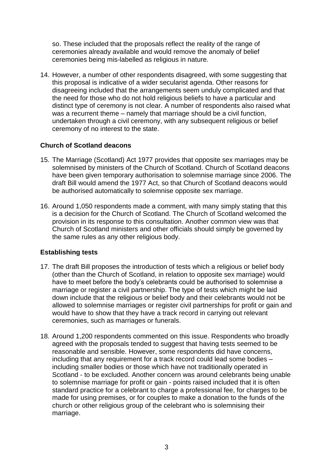so. These included that the proposals reflect the reality of the range of ceremonies already available and would remove the anomaly of belief ceremonies being mis-labelled as religious in nature.

14. However, a number of other respondents disagreed, with some suggesting that this proposal is indicative of a wider secularist agenda. Other reasons for disagreeing included that the arrangements seem unduly complicated and that the need for those who do not hold religious beliefs to have a particular and distinct type of ceremony is not clear. A number of respondents also raised what was a recurrent theme – namely that marriage should be a civil function, undertaken through a civil ceremony, with any subsequent religious or belief ceremony of no interest to the state.

#### **Church of Scotland deacons**

- 15. The Marriage (Scotland) Act 1977 provides that opposite sex marriages may be solemnised by ministers of the Church of Scotland. Church of Scotland deacons have been given temporary authorisation to solemnise marriage since 2006. The draft Bill would amend the 1977 Act, so that Church of Scotland deacons would be authorised automatically to solemnise opposite sex marriage.
- 16. Around 1,050 respondents made a comment, with many simply stating that this is a decision for the Church of Scotland. The Church of Scotland welcomed the provision in its response to this consultation. Another common view was that Church of Scotland ministers and other officials should simply be governed by the same rules as any other religious body.

#### **Establishing tests**

- 17. The draft Bill proposes the introduction of tests which a religious or belief body (other than the Church of Scotland, in relation to opposite sex marriage) would have to meet before the body's celebrants could be authorised to solemnise a marriage or register a civil partnership. The type of tests which might be laid down include that the religious or belief body and their celebrants would not be allowed to solemnise marriages or register civil partnerships for profit or gain and would have to show that they have a track record in carrying out relevant ceremonies, such as marriages or funerals.
- 18. Around 1,200 respondents commented on this issue. Respondents who broadly agreed with the proposals tended to suggest that having tests seemed to be reasonable and sensible. However, some respondents did have concerns, including that any requirement for a track record could lead some bodies – including smaller bodies or those which have not traditionally operated in Scotland - to be excluded. Another concern was around celebrants being unable to solemnise marriage for profit or gain - points raised included that it is often standard practice for a celebrant to charge a professional fee, for charges to be made for using premises, or for couples to make a donation to the funds of the church or other religious group of the celebrant who is solemnising their marriage.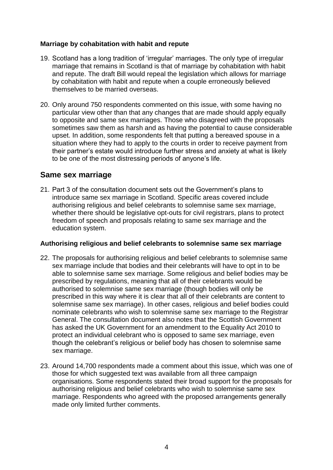#### **Marriage by cohabitation with habit and repute**

- 19. Scotland has a long tradition of 'irregular' marriages. The only type of irregular marriage that remains in Scotland is that of marriage by cohabitation with habit and repute. The draft Bill would repeal the legislation which allows for marriage by cohabitation with habit and repute when a couple erroneously believed themselves to be married overseas.
- 20. Only around 750 respondents commented on this issue, with some having no particular view other than that any changes that are made should apply equally to opposite and same sex marriages. Those who disagreed with the proposals sometimes saw them as harsh and as having the potential to cause considerable upset. In addition, some respondents felt that putting a bereaved spouse in a situation where they had to apply to the courts in order to receive payment from their partner's estate would introduce further stress and anxiety at what is likely to be one of the most distressing periods of anyone's life.

## **Same sex marriage**

21. Part 3 of the consultation document sets out the Government's plans to introduce same sex marriage in Scotland. Specific areas covered include authorising religious and belief celebrants to solemnise same sex marriage, whether there should be legislative opt-outs for civil registrars, plans to protect freedom of speech and proposals relating to same sex marriage and the education system.

#### **Authorising religious and belief celebrants to solemnise same sex marriage**

- 22. The proposals for authorising religious and belief celebrants to solemnise same sex marriage include that bodies and their celebrants will have to opt in to be able to solemnise same sex marriage. Some religious and belief bodies may be prescribed by regulations, meaning that all of their celebrants would be authorised to solemnise same sex marriage (though bodies will only be prescribed in this way where it is clear that all of their celebrants are content to solemnise same sex marriage). In other cases, religious and belief bodies could nominate celebrants who wish to solemnise same sex marriage to the Registrar General. The consultation document also notes that the Scottish Government has asked the UK Government for an amendment to the Equality Act 2010 to protect an individual celebrant who is opposed to same sex marriage, even though the celebrant's religious or belief body has chosen to solemnise same sex marriage.
- 23. Around 14,700 respondents made a comment about this issue, which was one of those for which suggested text was available from all three campaign organisations. Some respondents stated their broad support for the proposals for authorising religious and belief celebrants who wish to solemnise same sex marriage. Respondents who agreed with the proposed arrangements generally made only limited further comments.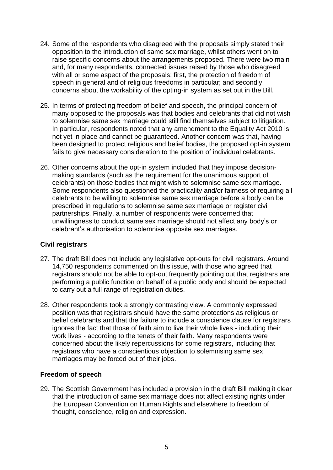- 24. Some of the respondents who disagreed with the proposals simply stated their opposition to the introduction of same sex marriage, whilst others went on to raise specific concerns about the arrangements proposed. There were two main and, for many respondents, connected issues raised by those who disagreed with all or some aspect of the proposals: first, the protection of freedom of speech in general and of religious freedoms in particular; and secondly, concerns about the workability of the opting-in system as set out in the Bill.
- 25. In terms of protecting freedom of belief and speech, the principal concern of many opposed to the proposals was that bodies and celebrants that did not wish to solemnise same sex marriage could still find themselves subject to litigation. In particular, respondents noted that any amendment to the Equality Act 2010 is not yet in place and cannot be guaranteed. Another concern was that, having been designed to protect religious and belief bodies, the proposed opt-in system fails to give necessary consideration to the position of individual celebrants.
- 26. Other concerns about the opt-in system included that they impose decisionmaking standards (such as the requirement for the unanimous support of celebrants) on those bodies that might wish to solemnise same sex marriage. Some respondents also questioned the practicality and/or fairness of requiring all celebrants to be willing to solemnise same sex marriage before a body can be prescribed in regulations to solemnise same sex marriage or register civil partnerships. Finally, a number of respondents were concerned that unwillingness to conduct same sex marriage should not affect any body's or celebrant's authorisation to solemnise opposite sex marriages.

#### **Civil registrars**

- 27. The draft Bill does not include any legislative opt-outs for civil registrars. Around 14,750 respondents commented on this issue, with those who agreed that registrars should not be able to opt-out frequently pointing out that registrars are performing a public function on behalf of a public body and should be expected to carry out a full range of registration duties.
- 28. Other respondents took a strongly contrasting view. A commonly expressed position was that registrars should have the same protections as religious or belief celebrants and that the failure to include a conscience clause for registrars ignores the fact that those of faith aim to live their whole lives - including their work lives - according to the tenets of their faith. Many respondents were concerned about the likely repercussions for some registrars, including that registrars who have a conscientious objection to solemnising same sex marriages may be forced out of their jobs.

#### **Freedom of speech**

29. The Scottish Government has included a provision in the draft Bill making it clear that the introduction of same sex marriage does not affect existing rights under the European Convention on Human Rights and elsewhere to freedom of thought, conscience, religion and expression.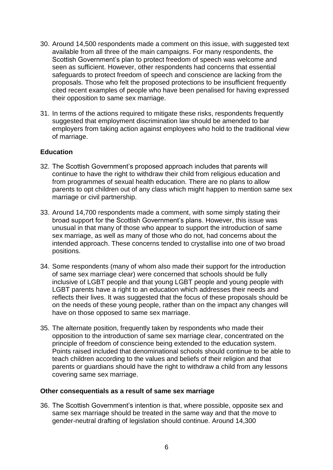- 30. Around 14,500 respondents made a comment on this issue, with suggested text available from all three of the main campaigns. For many respondents, the Scottish Government's plan to protect freedom of speech was welcome and seen as sufficient. However, other respondents had concerns that essential safeguards to protect freedom of speech and conscience are lacking from the proposals. Those who felt the proposed protections to be insufficient frequently cited recent examples of people who have been penalised for having expressed their opposition to same sex marriage.
- 31. In terms of the actions required to mitigate these risks, respondents frequently suggested that employment discrimination law should be amended to bar employers from taking action against employees who hold to the traditional view of marriage.

#### **Education**

- 32. The Scottish Government's proposed approach includes that parents will continue to have the right to withdraw their child from religious education and from programmes of sexual health education. There are no plans to allow parents to opt children out of any class which might happen to mention same sex marriage or civil partnership.
- 33. Around 14,700 respondents made a comment, with some simply stating their broad support for the Scottish Government's plans. However, this issue was unusual in that many of those who appear to support the introduction of same sex marriage, as well as many of those who do not, had concerns about the intended approach. These concerns tended to crystallise into one of two broad positions.
- 34. Some respondents (many of whom also made their support for the introduction of same sex marriage clear) were concerned that schools should be fully inclusive of LGBT people and that young LGBT people and young people with LGBT parents have a right to an education which addresses their needs and reflects their lives. It was suggested that the focus of these proposals should be on the needs of these young people, rather than on the impact any changes will have on those opposed to same sex marriage.
- 35. The alternate position, frequently taken by respondents who made their opposition to the introduction of same sex marriage clear, concentrated on the principle of freedom of conscience being extended to the education system. Points raised included that denominational schools should continue to be able to teach children according to the values and beliefs of their religion and that parents or guardians should have the right to withdraw a child from any lessons covering same sex marriage.

#### **Other consequentials as a result of same sex marriage**

36. The Scottish Government's intention is that, where possible, opposite sex and same sex marriage should be treated in the same way and that the move to gender-neutral drafting of legislation should continue. Around 14,300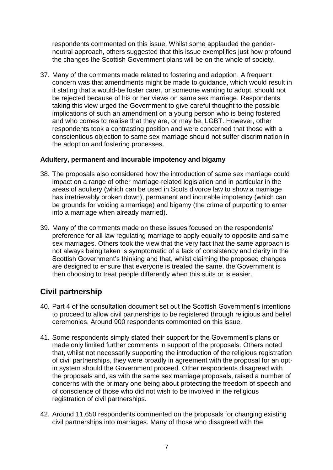respondents commented on this issue. Whilst some applauded the genderneutral approach, others suggested that this issue exemplifies just how profound the changes the Scottish Government plans will be on the whole of society.

37. Many of the comments made related to fostering and adoption. A frequent concern was that amendments might be made to guidance, which would result in it stating that a would-be foster carer, or someone wanting to adopt, should not be rejected because of his or her views on same sex marriage. Respondents taking this view urged the Government to give careful thought to the possible implications of such an amendment on a young person who is being fostered and who comes to realise that they are, or may be, LGBT. However, other respondents took a contrasting position and were concerned that those with a conscientious objection to same sex marriage should not suffer discrimination in the adoption and fostering processes.

#### **Adultery, permanent and incurable impotency and bigamy**

- 38. The proposals also considered how the introduction of same sex marriage could impact on a range of other marriage-related legislation and in particular in the areas of adultery (which can be used in Scots divorce law to show a marriage has irretrievably broken down), permanent and incurable impotency (which can be grounds for voiding a marriage) and bigamy (the crime of purporting to enter into a marriage when already married).
- 39. Many of the comments made on these issues focused on the respondents' preference for all law regulating marriage to apply equally to opposite and same sex marriages. Others took the view that the very fact that the same approach is not always being taken is symptomatic of a lack of consistency and clarity in the Scottish Government's thinking and that, whilst claiming the proposed changes are designed to ensure that everyone is treated the same, the Government is then choosing to treat people differently when this suits or is easier.

## **Civil partnership**

- 40. Part 4 of the consultation document set out the Scottish Government's intentions to proceed to allow civil partnerships to be registered through religious and belief ceremonies. Around 900 respondents commented on this issue.
- 41. Some respondents simply stated their support for the Government's plans or made only limited further comments in support of the proposals. Others noted that, whilst not necessarily supporting the introduction of the religious registration of civil partnerships, they were broadly in agreement with the proposal for an optin system should the Government proceed. Other respondents disagreed with the proposals and, as with the same sex marriage proposals, raised a number of concerns with the primary one being about protecting the freedom of speech and of conscience of those who did not wish to be involved in the religious registration of civil partnerships.
- 42. Around 11,650 respondents commented on the proposals for changing existing civil partnerships into marriages. Many of those who disagreed with the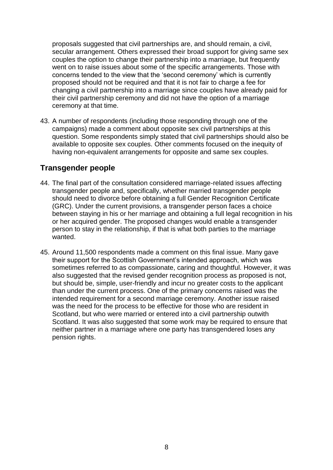proposals suggested that civil partnerships are, and should remain, a civil, secular arrangement. Others expressed their broad support for giving same sex couples the option to change their partnership into a marriage, but frequently went on to raise issues about some of the specific arrangements. Those with concerns tended to the view that the 'second ceremony' which is currently proposed should not be required and that it is not fair to charge a fee for changing a civil partnership into a marriage since couples have already paid for their civil partnership ceremony and did not have the option of a marriage ceremony at that time.

43. A number of respondents (including those responding through one of the campaigns) made a comment about opposite sex civil partnerships at this question. Some respondents simply stated that civil partnerships should also be available to opposite sex couples. Other comments focused on the inequity of having non-equivalent arrangements for opposite and same sex couples.

## **Transgender people**

- 44. The final part of the consultation considered marriage-related issues affecting transgender people and, specifically, whether married transgender people should need to divorce before obtaining a full Gender Recognition Certificate (GRC). Under the current provisions, a transgender person faces a choice between staying in his or her marriage and obtaining a full legal recognition in his or her acquired gender. The proposed changes would enable a transgender person to stay in the relationship, if that is what both parties to the marriage wanted.
- 45. Around 11,500 respondents made a comment on this final issue. Many gave their support for the Scottish Government's intended approach, which was sometimes referred to as compassionate, caring and thoughtful. However, it was also suggested that the revised gender recognition process as proposed is not, but should be, simple, user-friendly and incur no greater costs to the applicant than under the current process. One of the primary concerns raised was the intended requirement for a second marriage ceremony. Another issue raised was the need for the process to be effective for those who are resident in Scotland, but who were married or entered into a civil partnership outwith Scotland. It was also suggested that some work may be required to ensure that neither partner in a marriage where one party has transgendered loses any pension rights.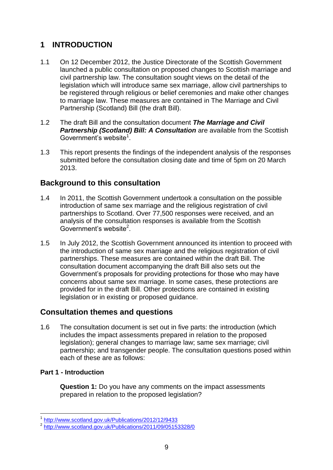## <span id="page-12-0"></span>**1 INTRODUCTION**

- 1.1 On 12 December 2012, the Justice Directorate of the Scottish Government launched a public consultation on proposed changes to Scottish marriage and civil partnership law. The consultation sought views on the detail of the legislation which will introduce same sex marriage, allow civil partnerships to be registered through religious or belief ceremonies and make other changes to marriage law. These measures are contained in The Marriage and Civil Partnership (Scotland) Bill (the draft Bill).
- 1.2 The draft Bill and the consultation document *The Marriage and Civil Partnership (Scotland) Bill: A Consultation* are available from the Scottish Government's website<sup>1</sup>.
- 1.3 This report presents the findings of the independent analysis of the responses submitted before the consultation closing date and time of 5pm on 20 March 2013.

## **Background to this consultation**

- 1.4 In 2011, the Scottish Government undertook a consultation on the possible introduction of same sex marriage and the religious registration of civil partnerships to Scotland. Over 77,500 responses were received, and an analysis of the consultation responses is available from the Scottish Government's website<sup>2</sup>.
- 1.5 In July 2012, the Scottish Government announced its intention to proceed with the introduction of same sex marriage and the religious registration of civil partnerships. These measures are contained within the draft Bill. The consultation document accompanying the draft Bill also sets out the Government's proposals for providing protections for those who may have concerns about same sex marriage. In some cases, these protections are provided for in the draft Bill. Other protections are contained in existing legislation or in existing or proposed guidance.

## **Consultation themes and questions**

1.6 The consultation document is set out in five parts: the introduction (which includes the impact assessments prepared in relation to the proposed legislation); general changes to marriage law; same sex marriage; civil partnership; and transgender people. The consultation questions posed within each of these are as follows:

#### **Part 1 - Introduction**

**Question 1:** Do you have any comments on the impact assessments prepared in relation to the proposed legislation?

<sup>1</sup> 1 <http://www.scotland.gov.uk/Publications/2012/12/9433>

<sup>&</sup>lt;sup>2</sup> <http://www.scotland.gov.uk/Publications/2011/09/05153328/0>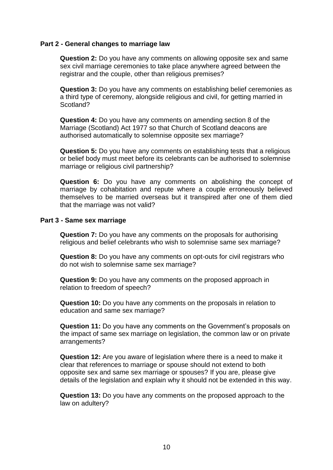#### **Part 2 - General changes to marriage law**

**Question 2:** Do you have any comments on allowing opposite sex and same sex civil marriage ceremonies to take place anywhere agreed between the registrar and the couple, other than religious premises?

**Question 3:** Do you have any comments on establishing belief ceremonies as a third type of ceremony, alongside religious and civil, for getting married in Scotland?

**Question 4:** Do you have any comments on amending section 8 of the Marriage (Scotland) Act 1977 so that Church of Scotland deacons are authorised automatically to solemnise opposite sex marriage?

**Question 5:** Do you have any comments on establishing tests that a religious or belief body must meet before its celebrants can be authorised to solemnise marriage or religious civil partnership?

**Question 6:** Do you have any comments on abolishing the concept of marriage by cohabitation and repute where a couple erroneously believed themselves to be married overseas but it transpired after one of them died that the marriage was not valid?

#### **Part 3 - Same sex marriage**

**Question 7:** Do you have any comments on the proposals for authorising religious and belief celebrants who wish to solemnise same sex marriage?

**Question 8:** Do you have any comments on opt-outs for civil registrars who do not wish to solemnise same sex marriage?

**Question 9:** Do you have any comments on the proposed approach in relation to freedom of speech?

**Question 10:** Do you have any comments on the proposals in relation to education and same sex marriage?

**Question 11:** Do you have any comments on the Government's proposals on the impact of same sex marriage on legislation, the common law or on private arrangements?

**Question 12:** Are you aware of legislation where there is a need to make it clear that references to marriage or spouse should not extend to both opposite sex and same sex marriage or spouses? If you are, please give details of the legislation and explain why it should not be extended in this way.

**Question 13:** Do you have any comments on the proposed approach to the law on adultery?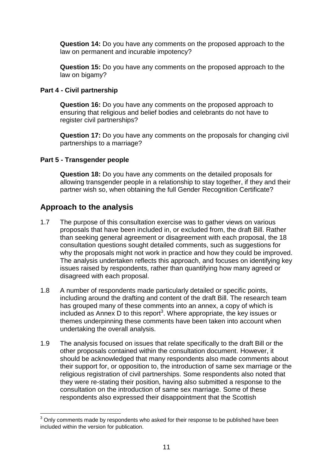**Question 14:** Do you have any comments on the proposed approach to the law on permanent and incurable impotency?

**Question 15:** Do you have any comments on the proposed approach to the law on bigamy?

#### **Part 4 - Civil partnership**

**Question 16:** Do you have any comments on the proposed approach to ensuring that religious and belief bodies and celebrants do not have to register civil partnerships?

**Question 17:** Do you have any comments on the proposals for changing civil partnerships to a marriage?

#### **Part 5 - Transgender people**

**Question 18:** Do you have any comments on the detailed proposals for allowing transgender people in a relationship to stay together, if they and their partner wish so, when obtaining the full Gender Recognition Certificate?

## **Approach to the analysis**

1

- 1.7 The purpose of this consultation exercise was to gather views on various proposals that have been included in, or excluded from, the draft Bill. Rather than seeking general agreement or disagreement with each proposal, the 18 consultation questions sought detailed comments, such as suggestions for why the proposals might not work in practice and how they could be improved. The analysis undertaken reflects this approach, and focuses on identifying key issues raised by respondents, rather than quantifying how many agreed or disagreed with each proposal.
- 1.8 A number of respondents made particularly detailed or specific points, including around the drafting and content of the draft Bill. The research team has grouped many of these comments into an annex, a copy of which is included as Annex D to this report<sup>3</sup>. Where appropriate, the key issues or themes underpinning these comments have been taken into account when undertaking the overall analysis.
- 1.9 The analysis focused on issues that relate specifically to the draft Bill or the other proposals contained within the consultation document. However, it should be acknowledged that many respondents also made comments about their support for, or opposition to, the introduction of same sex marriage or the religious registration of civil partnerships. Some respondents also noted that they were re-stating their position, having also submitted a response to the consultation on the introduction of same sex marriage. Some of these respondents also expressed their disappointment that the Scottish

 $3$  Onlv comments made by respondents who asked for their response to be published have been included within the version for publication.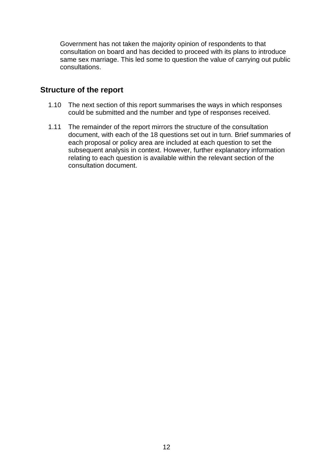Government has not taken the majority opinion of respondents to that consultation on board and has decided to proceed with its plans to introduce same sex marriage. This led some to question the value of carrying out public consultations.

## **Structure of the report**

- 1.10 The next section of this report summarises the ways in which responses could be submitted and the number and type of responses received.
- 1.11 The remainder of the report mirrors the structure of the consultation document, with each of the 18 questions set out in turn. Brief summaries of each proposal or policy area are included at each question to set the subsequent analysis in context. However, further explanatory information relating to each question is available within the relevant section of the consultation document.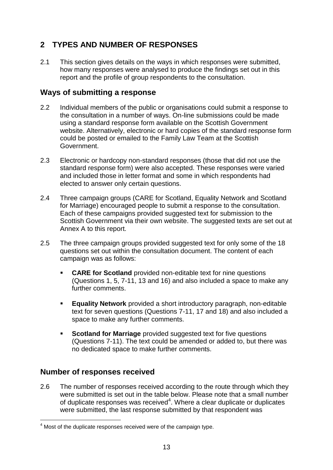## <span id="page-16-0"></span>**2 TYPES AND NUMBER OF RESPONSES**

2.1 This section gives details on the ways in which responses were submitted, how many responses were analysed to produce the findings set out in this report and the profile of group respondents to the consultation.

## **Ways of submitting a response**

- 2.2 Individual members of the public or organisations could submit a response to the consultation in a number of ways. On-line submissions could be made using a standard response form available on the Scottish Government website. Alternatively, electronic or hard copies of the standard response form could be posted or emailed to the Family Law Team at the Scottish Government.
- 2.3 Electronic or hardcopy non-standard responses (those that did not use the standard response form) were also accepted. These responses were varied and included those in letter format and some in which respondents had elected to answer only certain questions.
- 2.4 Three campaign groups (CARE for Scotland, Equality Network and Scotland for Marriage) encouraged people to submit a response to the consultation. Each of these campaigns provided suggested text for submission to the Scottish Government via their own website. The suggested texts are set out at Annex A to this report.
- 2.5 The three campaign groups provided suggested text for only some of the 18 questions set out within the consultation document. The content of each campaign was as follows:
	- **CARE for Scotland** provided non-editable text for nine questions (Questions 1, 5, 7-11, 13 and 16) and also included a space to make any further comments.
	- **Equality Network** provided a short introductory paragraph, non-editable text for seven questions (Questions 7-11, 17 and 18) and also included a space to make any further comments.
	- **Scotland for Marriage** provided suggested text for five questions (Questions 7-11). The text could be amended or added to, but there was no dedicated space to make further comments.

## **Number of responses received**

1

2.6 The number of responses received according to the route through which they were submitted is set out in the table below. Please note that a small number of duplicate responses was received $4$ . Where a clear duplicate or duplicates were submitted, the last response submitted by that respondent was

<sup>&</sup>lt;sup>4</sup> Most of the duplicate responses received were of the campaign type.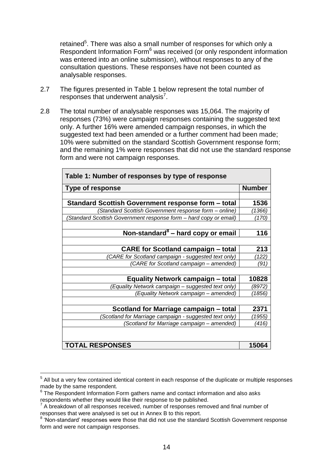retained<sup>5</sup>. There was also a small number of responses for which only a Respondent Information Form<sup>6</sup> was received (or only respondent information was entered into an online submission), without responses to any of the consultation questions. These responses have not been counted as analysable responses.

- 2.7 The figures presented in Table 1 below represent the total number of  $responses$  that underwent analysis<sup>7</sup>.
- 2.8 The total number of analysable responses was 15,064. The majority of responses (73%) were campaign responses containing the suggested text only. A further 16% were amended campaign responses, in which the suggested text had been amended or a further comment had been made; 10% were submitted on the standard Scottish Government response form; and the remaining 1% were responses that did not use the standard response form and were not campaign responses.

| Table 1: Number of responses by type of response                 |        |  |  |
|------------------------------------------------------------------|--------|--|--|
| <b>Type of response</b>                                          |        |  |  |
|                                                                  |        |  |  |
| Standard Scottish Government response form - total               | 1536   |  |  |
| (Standard Scottish Government response form - online)            | ′1366) |  |  |
| Standard Scottish Government response form - hard copy or email) | (170)  |  |  |
|                                                                  |        |  |  |
| Non-standard <sup>8</sup> - hard copy or email                   | 116    |  |  |
|                                                                  |        |  |  |
| <b>CARE for Scotland campaign – total</b>                        | 213    |  |  |
| (CARE for Scotland campaign - suggested text only)               | '122)  |  |  |
| (CARE for Scotland campaign - amended)                           | (91)   |  |  |
|                                                                  |        |  |  |
| <b>Equality Network campaign - total</b>                         | 10828  |  |  |
| (Equality Network campaign - suggested text only)                | (8972) |  |  |
| (Equality Network campaign - amended)                            | (1856) |  |  |
|                                                                  |        |  |  |
| Scotland for Marriage campaign – total                           | 2371   |  |  |
| (Scotland for Marriage campaign - suggested text only)           | 1955)  |  |  |
| (Scotland for Marriage campaign - amended)                       | (416)  |  |  |
|                                                                  |        |  |  |
| <b>TOTAL RESPONSES</b>                                           |        |  |  |

 5 All but a very few contained identical content in each response of the duplicate or multiple responses made by the same respondent.

 $6$  The Respondent Information Form gathers name and contact information and also asks respondents whether they would like their response to be published.

 $7$  A breakdown of all responses received, number of responses removed and final number of responses that were analysed is set out in Annex B to this report.

<sup>&</sup>lt;sup>8</sup> 'Non-standard' responses were those that did not use the standard Scottish Government response form and were not campaign responses.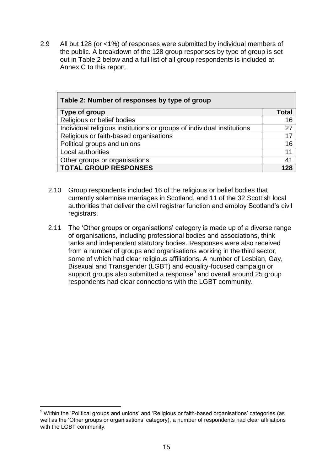2.9 All but 128 (or <1%) of responses were submitted by individual members of the public. A breakdown of the 128 group responses by type of group is set out in Table 2 below and a full list of all group respondents is included at Annex C to this report.

| Table 2: Number of responses by type of group                          |       |  |  |
|------------------------------------------------------------------------|-------|--|--|
| Type of group                                                          | Total |  |  |
| Religious or belief bodies                                             | 16    |  |  |
| Individual religious institutions or groups of individual institutions | 27    |  |  |
| Religious or faith-based organisations                                 | 17    |  |  |
| Political groups and unions                                            | 16    |  |  |
| Local authorities                                                      | 11    |  |  |
| Other groups or organisations                                          | 41    |  |  |
| <b>TOTAL GROUP RESPONSES</b>                                           | 128   |  |  |

- 2.10 Group respondents included 16 of the religious or belief bodies that currently solemnise marriages in Scotland, and 11 of the 32 Scottish local authorities that deliver the civil registrar function and employ Scotland's civil registrars.
- 2.11 The 'Other groups or organisations' category is made up of a diverse range of organisations, including professional bodies and associations, think tanks and independent statutory bodies. Responses were also received from a number of groups and organisations working in the third sector, some of which had clear religious affiliations. A number of Lesbian, Gay, Bisexual and Transgender (LGBT) and equality-focused campaign or support groups also submitted a response<sup>9</sup> and overall around 25 group respondents had clear connections with the LGBT community.

1

<sup>&</sup>lt;sup>9</sup> Within the 'Political groups and unions' and 'Religious or faith-based organisations' categories (as well as the 'Other groups or organisations' category), a number of respondents had clear affiliations with the LGBT community.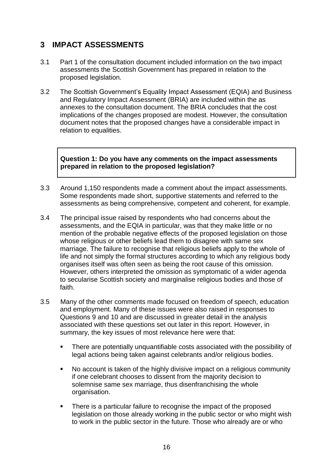## <span id="page-19-0"></span>**3 IMPACT ASSESSMENTS**

- 3.1 Part 1 of the consultation document included information on the two impact assessments the Scottish Government has prepared in relation to the proposed legislation.
- 3.2 The Scottish Government's Equality Impact Assessment (EQIA) and Business and Regulatory Impact Assessment (BRIA) are included within the as annexes to the consultation document. The BRIA concludes that the cost implications of the changes proposed are modest. However, the consultation document notes that the proposed changes have a considerable impact in relation to equalities.

#### **Question 1: Do you have any comments on the impact assessments prepared in relation to the proposed legislation?**

- 3.3 Around 1,150 respondents made a comment about the impact assessments. Some respondents made short, supportive statements and referred to the assessments as being comprehensive, competent and coherent, for example.
- 3.4 The principal issue raised by respondents who had concerns about the assessments, and the EQIA in particular, was that they make little or no mention of the probable negative effects of the proposed legislation on those whose religious or other beliefs lead them to disagree with same sex marriage. The failure to recognise that religious beliefs apply to the whole of life and not simply the formal structures according to which any religious body organises itself was often seen as being the root cause of this omission. However, others interpreted the omission as symptomatic of a wider agenda to secularise Scottish society and marginalise religious bodies and those of faith.
- 3.5 Many of the other comments made focused on freedom of speech, education and employment. Many of these issues were also raised in responses to Questions 9 and 10 and are discussed in greater detail in the analysis associated with these questions set out later in this report. However, in summary, the key issues of most relevance here were that:
	- There are potentially unquantifiable costs associated with the possibility of legal actions being taken against celebrants and/or religious bodies.
	- No account is taken of the highly divisive impact on a religious community if one celebrant chooses to dissent from the majority decision to solemnise same sex marriage, thus disenfranchising the whole organisation.
	- There is a particular failure to recognise the impact of the proposed legislation on those already working in the public sector or who might wish to work in the public sector in the future. Those who already are or who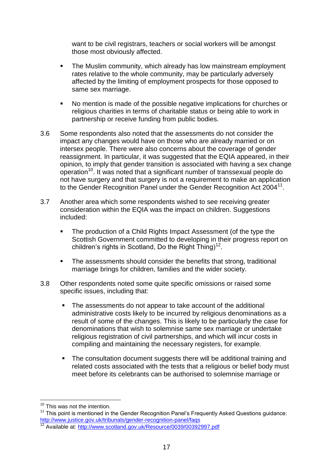want to be civil registrars, teachers or social workers will be amongst those most obviously affected.

- The Muslim community, which already has low mainstream employment rates relative to the whole community, may be particularly adversely affected by the limiting of employment prospects for those opposed to same sex marriage.
- No mention is made of the possible negative implications for churches or religious charities in terms of charitable status or being able to work in partnership or receive funding from public bodies.
- 3.6 Some respondents also noted that the assessments do not consider the impact any changes would have on those who are already married or on intersex people. There were also concerns about the coverage of gender reassignment. In particular, it was suggested that the EQIA appeared, in their opinion, to imply that gender transition is associated with having a sex change operation<sup>10</sup>. It was noted that a significant number of transsexual people do not have surgery and that surgery is not a requirement to make an application to the Gender Recognition Panel under the Gender Recognition Act 2004<sup>11</sup>.
- 3.7 Another area which some respondents wished to see receiving greater consideration within the EQIA was the impact on children. Suggestions included:
	- The production of a Child Rights Impact Assessment (of the type the Scottish Government committed to developing in their progress report on children's rights in Scotland, Do the Right  $\text{Thing})^{12}$ .
	- The assessments should consider the benefits that strong, traditional marriage brings for children, families and the wider society.
- 3.8 Other respondents noted some quite specific omissions or raised some specific issues, including that:
	- The assessments do not appear to take account of the additional administrative costs likely to be incurred by religious denominations as a result of some of the changes. This is likely to be particularly the case for denominations that wish to solemnise same sex marriage or undertake religious registration of civil partnerships, and which will incur costs in compiling and maintaining the necessary registers, for example.
	- The consultation document suggests there will be additional training and related costs associated with the tests that a religious or belief body must meet before its celebrants can be authorised to solemnise marriage or

1

<sup>&</sup>lt;sup>10</sup> This was not the intention.

<sup>&</sup>lt;sup>11</sup> This point is mentioned in the Gender Recognition Panel's Frequently Asked Questions guidance: <http://www.justice.gov.uk/tribunals/gender-recognition-panel/faqs>

<sup>12</sup> Available at:<http://www.scotland.gov.uk/Resource/0039/00392997.pdf>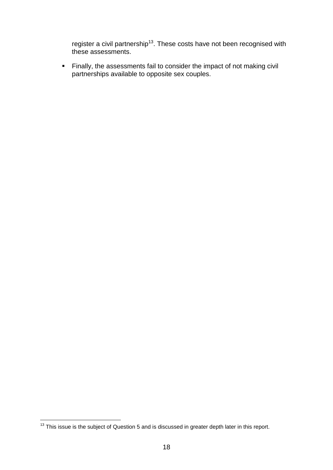register a civil partnership<sup>13</sup>. These costs have not been recognised with these assessments.

 Finally, the assessments fail to consider the impact of not making civil partnerships available to opposite sex couples.

<sup>1</sup>  $13$  This issue is the subject of Question 5 and is discussed in greater depth later in this report.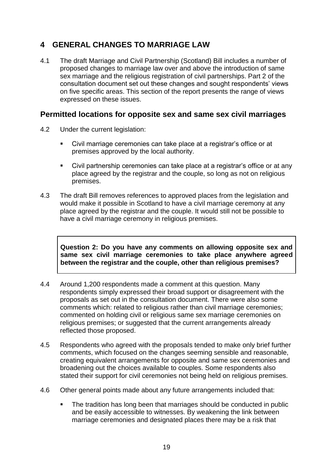## <span id="page-22-0"></span>**4 GENERAL CHANGES TO MARRIAGE LAW**

4.1 The draft Marriage and Civil Partnership (Scotland) Bill includes a number of proposed changes to marriage law over and above the introduction of same sex marriage and the religious registration of civil partnerships. Part 2 of the consultation document set out these changes and sought respondents' views on five specific areas. This section of the report presents the range of views expressed on these issues.

## **Permitted locations for opposite sex and same sex civil marriages**

- 4.2 Under the current legislation:
	- Civil marriage ceremonies can take place at a registrar's office or at premises approved by the local authority.
	- Civil partnership ceremonies can take place at a registrar's office or at any place agreed by the registrar and the couple, so long as not on religious premises.
- 4.3 The draft Bill removes references to approved places from the legislation and would make it possible in Scotland to have a civil marriage ceremony at any place agreed by the registrar and the couple. It would still not be possible to have a civil marriage ceremony in religious premises.

**Question 2: Do you have any comments on allowing opposite sex and same sex civil marriage ceremonies to take place anywhere agreed between the registrar and the couple, other than religious premises?** 

- 4.4 Around 1,200 respondents made a comment at this question. Many respondents simply expressed their broad support or disagreement with the proposals as set out in the consultation document. There were also some comments which: related to religious rather than civil marriage ceremonies; commented on holding civil or religious same sex marriage ceremonies on religious premises; or suggested that the current arrangements already reflected those proposed.
- 4.5 Respondents who agreed with the proposals tended to make only brief further comments, which focused on the changes seeming sensible and reasonable, creating equivalent arrangements for opposite and same sex ceremonies and broadening out the choices available to couples. Some respondents also stated their support for civil ceremonies not being held on religious premises.
- 4.6 Other general points made about any future arrangements included that:
	- The tradition has long been that marriages should be conducted in public and be easily accessible to witnesses. By weakening the link between marriage ceremonies and designated places there may be a risk that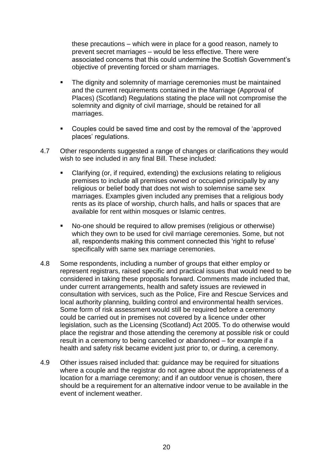these precautions – which were in place for a good reason, namely to prevent secret marriages – would be less effective. There were associated concerns that this could undermine the Scottish Government's objective of preventing forced or sham marriages.

- The dignity and solemnity of marriage ceremonies must be maintained and the current requirements contained in the Marriage (Approval of Places) (Scotland) Regulations stating the place will not compromise the solemnity and dignity of civil marriage, should be retained for all marriages.
- **EXECOUPLER** Couples could be saved time and cost by the removal of the 'approved places' regulations.
- 4.7 Other respondents suggested a range of changes or clarifications they would wish to see included in any final Bill. These included:
	- Clarifying (or, if required, extending) the exclusions relating to religious premises to include all premises owned or occupied principally by any religious or belief body that does not wish to solemnise same sex marriages. Examples given included any premises that a religious body rents as its place of worship, church halls, and halls or spaces that are available for rent within mosques or Islamic centres.
	- No-one should be required to allow premises (religious or otherwise) which they own to be used for civil marriage ceremonies. Some, but not all, respondents making this comment connected this 'right to refuse' specifically with same sex marriage ceremonies.
- 4.8 Some respondents, including a number of groups that either employ or represent registrars, raised specific and practical issues that would need to be considered in taking these proposals forward. Comments made included that, under current arrangements, health and safety issues are reviewed in consultation with services, such as the Police, Fire and Rescue Services and local authority planning, building control and environmental health services. Some form of risk assessment would still be required before a ceremony could be carried out in premises not covered by a licence under other legislation, such as the Licensing (Scotland) Act 2005. To do otherwise would place the registrar and those attending the ceremony at possible risk or could result in a ceremony to being cancelled or abandoned – for example if a health and safety risk became evident just prior to, or during, a ceremony.
- 4.9 Other issues raised included that: guidance may be required for situations where a couple and the registrar do not agree about the appropriateness of a location for a marriage ceremony; and if an outdoor venue is chosen, there should be a requirement for an alternative indoor venue to be available in the event of inclement weather.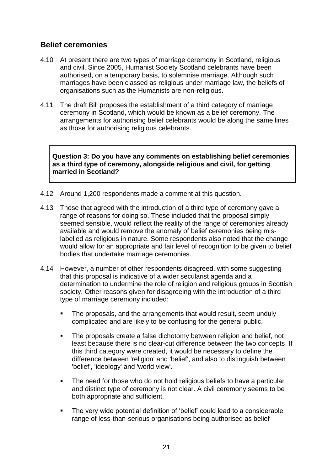## **Belief ceremonies**

- 4.10 At present there are two types of marriage ceremony in Scotland, religious and civil. Since 2005, Humanist Society Scotland celebrants have been authorised, on a temporary basis, to solemnise marriage. Although such marriages have been classed as religious under marriage law, the beliefs of organisations such as the Humanists are non-religious.
- 4.11 The draft Bill proposes the establishment of a third category of marriage ceremony in Scotland, which would be known as a belief ceremony. The arrangements for authorising belief celebrants would be along the same lines as those for authorising religious celebrants.

**Question 3: Do you have any comments on establishing belief ceremonies as a third type of ceremony, alongside religious and civil, for getting married in Scotland?**

- 4.12 Around 1,200 respondents made a comment at this question.
- 4.13 Those that agreed with the introduction of a third type of ceremony gave a range of reasons for doing so. These included that the proposal simply seemed sensible, would reflect the reality of the range of ceremonies already available and would remove the anomaly of belief ceremonies being mislabelled as religious in nature. Some respondents also noted that the change would allow for an appropriate and fair level of recognition to be given to belief bodies that undertake marriage ceremonies.
- 4.14 However, a number of other respondents disagreed, with some suggesting that this proposal is indicative of a wider secularist agenda and a determination to undermine the role of religion and religious groups in Scottish society. Other reasons given for disagreeing with the introduction of a third type of marriage ceremony included:
	- The proposals, and the arrangements that would result, seem unduly complicated and are likely to be confusing for the general public.
	- The proposals create a false dichotomy between religion and belief, not least because there is no clear-cut difference between the two concepts. If this third category were created, it would be necessary to define the difference between 'religion' and 'belief', and also to distinguish between 'belief', 'ideology' and 'world view'.
	- The need for those who do not hold religious beliefs to have a particular and distinct type of ceremony is not clear. A civil ceremony seems to be both appropriate and sufficient.
	- The very wide potential definition of 'belief' could lead to a considerable range of less-than-serious organisations being authorised as belief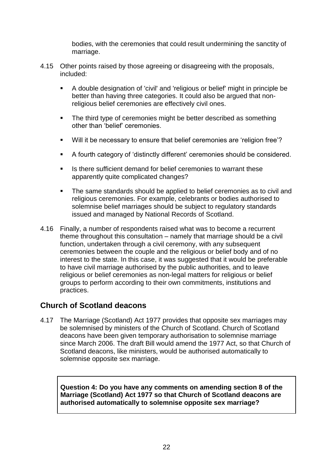bodies, with the ceremonies that could result undermining the sanctity of marriage.

- 4.15 Other points raised by those agreeing or disagreeing with the proposals, included:
	- A double designation of 'civil' and 'religious or belief' might in principle be better than having three categories. It could also be argued that nonreligious belief ceremonies are effectively civil ones.
	- The third type of ceremonies might be better described as something other than 'belief' ceremonies.
	- Will it be necessary to ensure that belief ceremonies are 'religion free'?
	- A fourth category of 'distinctly different' ceremonies should be considered.
	- Is there sufficient demand for belief ceremonies to warrant these apparently quite complicated changes?
	- The same standards should be applied to belief ceremonies as to civil and religious ceremonies. For example, celebrants or bodies authorised to solemnise belief marriages should be subject to regulatory standards issued and managed by National Records of Scotland.
- 4.16 Finally, a number of respondents raised what was to become a recurrent theme throughout this consultation – namely that marriage should be a civil function, undertaken through a civil ceremony, with any subsequent ceremonies between the couple and the religious or belief body and of no interest to the state. In this case, it was suggested that it would be preferable to have civil marriage authorised by the public authorities, and to leave religious or belief ceremonies as non-legal matters for religious or belief groups to perform according to their own commitments, institutions and practices.

## **Church of Scotland deacons**

4.17 The Marriage (Scotland) Act 1977 provides that opposite sex marriages may be solemnised by ministers of the Church of Scotland. Church of Scotland deacons have been given temporary authorisation to solemnise marriage since March 2006. The draft Bill would amend the 1977 Act, so that Church of Scotland deacons, like ministers, would be authorised automatically to solemnise opposite sex marriage.

**Question 4: Do you have any comments on amending section 8 of the Marriage (Scotland) Act 1977 so that Church of Scotland deacons are authorised automatically to solemnise opposite sex marriage?**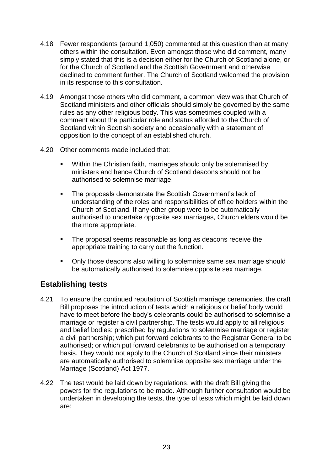- 4.18 Fewer respondents (around 1,050) commented at this question than at many others within the consultation. Even amongst those who did comment, many simply stated that this is a decision either for the Church of Scotland alone, or for the Church of Scotland and the Scottish Government and otherwise declined to comment further. The Church of Scotland welcomed the provision in its response to this consultation.
- 4.19 Amongst those others who did comment, a common view was that Church of Scotland ministers and other officials should simply be governed by the same rules as any other religious body. This was sometimes coupled with a comment about the particular role and status afforded to the Church of Scotland within Scottish society and occasionally with a statement of opposition to the concept of an established church.
- 4.20 Other comments made included that:
	- **Within the Christian faith, marriages should only be solemnised by** ministers and hence Church of Scotland deacons should not be authorised to solemnise marriage.
	- The proposals demonstrate the Scottish Government's lack of understanding of the roles and responsibilities of office holders within the Church of Scotland. If any other group were to be automatically authorised to undertake opposite sex marriages, Church elders would be the more appropriate.
	- The proposal seems reasonable as long as deacons receive the appropriate training to carry out the function.
	- Only those deacons also willing to solemnise same sex marriage should be automatically authorised to solemnise opposite sex marriage.

## **Establishing tests**

- 4.21 To ensure the continued reputation of Scottish marriage ceremonies, the draft Bill proposes the introduction of tests which a religious or belief body would have to meet before the body's celebrants could be authorised to solemnise a marriage or register a civil partnership. The tests would apply to all religious and belief bodies: prescribed by regulations to solemnise marriage or register a civil partnership; which put forward celebrants to the Registrar General to be authorised; or which put forward celebrants to be authorised on a temporary basis. They would not apply to the Church of Scotland since their ministers are automatically authorised to solemnise opposite sex marriage under the Marriage (Scotland) Act 1977.
- 4.22 The test would be laid down by regulations, with the draft Bill giving the powers for the regulations to be made. Although further consultation would be undertaken in developing the tests, the type of tests which might be laid down are: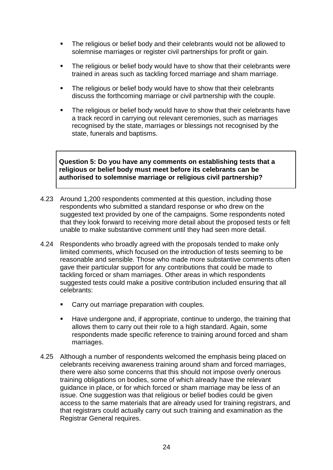- The religious or belief body and their celebrants would not be allowed to solemnise marriages or register civil partnerships for profit or gain.
- The religious or belief body would have to show that their celebrants were trained in areas such as tackling forced marriage and sham marriage.
- The religious or belief body would have to show that their celebrants discuss the forthcoming marriage or civil partnership with the couple.
- The religious or belief body would have to show that their celebrants have a track record in carrying out relevant ceremonies, such as marriages recognised by the state, marriages or blessings not recognised by the state, funerals and baptisms.

**Question 5: Do you have any comments on establishing tests that a religious or belief body must meet before its celebrants can be authorised to solemnise marriage or religious civil partnership?**

- 4.23 Around 1,200 respondents commented at this question, including those respondents who submitted a standard response or who drew on the suggested text provided by one of the campaigns. Some respondents noted that they look forward to receiving more detail about the proposed tests or felt unable to make substantive comment until they had seen more detail.
- 4.24 Respondents who broadly agreed with the proposals tended to make only limited comments, which focused on the introduction of tests seeming to be reasonable and sensible. Those who made more substantive comments often gave their particular support for any contributions that could be made to tackling forced or sham marriages. Other areas in which respondents suggested tests could make a positive contribution included ensuring that all celebrants:
	- **Carry out marriage preparation with couples.**
	- Have undergone and, if appropriate, continue to undergo, the training that allows them to carry out their role to a high standard. Again, some respondents made specific reference to training around forced and sham marriages.
- 4.25 Although a number of respondents welcomed the emphasis being placed on celebrants receiving awareness training around sham and forced marriages, there were also some concerns that this should not impose overly onerous training obligations on bodies, some of which already have the relevant guidance in place, or for which forced or sham marriage may be less of an issue. One suggestion was that religious or belief bodies could be given access to the same materials that are already used for training registrars, and that registrars could actually carry out such training and examination as the Registrar General requires.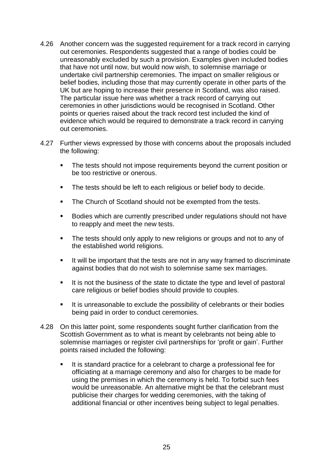- 4.26 Another concern was the suggested requirement for a track record in carrying out ceremonies. Respondents suggested that a range of bodies could be unreasonably excluded by such a provision. Examples given included bodies that have not until now, but would now wish, to solemnise marriage or undertake civil partnership ceremonies. The impact on smaller religious or belief bodies, including those that may currently operate in other parts of the UK but are hoping to increase their presence in Scotland, was also raised. The particular issue here was whether a track record of carrying out ceremonies in other jurisdictions would be recognised in Scotland. Other points or queries raised about the track record test included the kind of evidence which would be required to demonstrate a track record in carrying out ceremonies.
- 4.27 Further views expressed by those with concerns about the proposals included the following:
	- **The tests should not impose requirements beyond the current position or** be too restrictive or onerous.
	- The tests should be left to each religious or belief body to decide.
	- The Church of Scotland should not be exempted from the tests.
	- Bodies which are currently prescribed under regulations should not have to reapply and meet the new tests.
	- The tests should only apply to new religions or groups and not to any of the established world religions.
	- It will be important that the tests are not in any way framed to discriminate against bodies that do not wish to solemnise same sex marriages.
	- It is not the business of the state to dictate the type and level of pastoral care religious or belief bodies should provide to couples.
	- It is unreasonable to exclude the possibility of celebrants or their bodies being paid in order to conduct ceremonies.
- 4.28 On this latter point, some respondents sought further clarification from the Scottish Government as to what is meant by celebrants not being able to solemnise marriages or register civil partnerships for 'profit or gain'. Further points raised included the following:
	- It is standard practice for a celebrant to charge a professional fee for officiating at a marriage ceremony and also for charges to be made for using the premises in which the ceremony is held. To forbid such fees would be unreasonable. An alternative might be that the celebrant must publicise their charges for wedding ceremonies, with the taking of additional financial or other incentives being subject to legal penalties.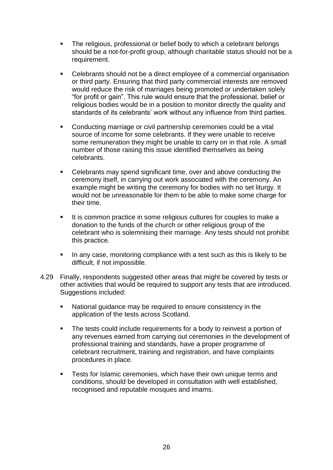- The religious, professional or belief body to which a celebrant belongs should be a not-for-profit group, although charitable status should not be a requirement.
- Celebrants should not be a direct employee of a commercial organisation or third party. Ensuring that third party commercial interests are removed would reduce the risk of marriages being promoted or undertaken solely ―for profit or gain‖. This rule would ensure that the professional, belief or religious bodies would be in a position to monitor directly the quality and standards of its celebrants' work without any influence from third parties.
- Conducting marriage or civil partnership ceremonies could be a vital source of income for some celebrants. If they were unable to receive some remuneration they might be unable to carry on in that role. A small number of those raising this issue identified themselves as being celebrants.
- Celebrants may spend significant time, over and above conducting the ceremony itself, in carrying out work associated with the ceremony. An example might be writing the ceremony for bodies with no set liturgy. It would not be unreasonable for them to be able to make some charge for their time.
- It is common practice in some religious cultures for couples to make a donation to the funds of the church or other religious group of the celebrant who is solemnising their marriage. Any tests should not prohibit this practice.
- In any case, monitoring compliance with a test such as this is likely to be difficult, if not impossible.
- 4.29 Finally, respondents suggested other areas that might be covered by tests or other activities that would be required to support any tests that are introduced. Suggestions included:
	- National guidance may be required to ensure consistency in the application of the tests across Scotland.
	- The tests could include requirements for a body to reinvest a portion of any revenues earned from carrying out ceremonies in the development of professional training and standards, have a proper programme of celebrant recruitment, training and registration, and have complaints procedures in place.
	- **Tests for Islamic ceremonies, which have their own unique terms and** conditions, should be developed in consultation with well established, recognised and reputable mosques and imams.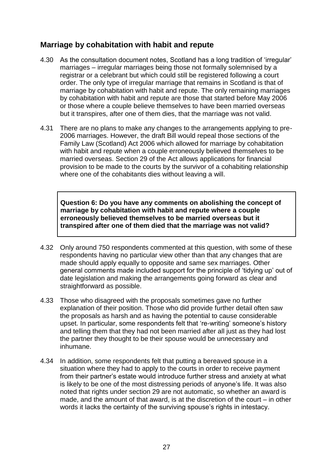## **Marriage by cohabitation with habit and repute**

- 4.30 As the consultation document notes, Scotland has a long tradition of 'irregular' marriages – irregular marriages being those not formally solemnised by a registrar or a celebrant but which could still be registered following a court order. The only type of irregular marriage that remains in Scotland is that of marriage by cohabitation with habit and repute. The only remaining marriages by cohabitation with habit and repute are those that started before May 2006 or those where a couple believe themselves to have been married overseas but it transpires, after one of them dies, that the marriage was not valid.
- 4.31 There are no plans to make any changes to the arrangements applying to pre-2006 marriages. However, the draft Bill would repeal those sections of the Family Law (Scotland) Act 2006 which allowed for marriage by cohabitation with habit and repute when a couple erroneously believed themselves to be married overseas. Section 29 of the Act allows applications for financial provision to be made to the courts by the survivor of a cohabiting relationship where one of the cohabitants dies without leaving a will.

**Question 6: Do you have any comments on abolishing the concept of marriage by cohabitation with habit and repute where a couple erroneously believed themselves to be married overseas but it transpired after one of them died that the marriage was not valid?**

- 4.32 Only around 750 respondents commented at this question, with some of these respondents having no particular view other than that any changes that are made should apply equally to opposite and same sex marriages. Other general comments made included support for the principle of 'tidying up' out of date legislation and making the arrangements going forward as clear and straightforward as possible.
- 4.33 Those who disagreed with the proposals sometimes gave no further explanation of their position. Those who did provide further detail often saw the proposals as harsh and as having the potential to cause considerable upset. In particular, some respondents felt that 're-writing' someone's history and telling them that they had not been married after all just as they had lost the partner they thought to be their spouse would be unnecessary and inhumane.
- 4.34 In addition, some respondents felt that putting a bereaved spouse in a situation where they had to apply to the courts in order to receive payment from their partner's estate would introduce further stress and anxiety at what is likely to be one of the most distressing periods of anyone's life. It was also noted that rights under section 29 are not automatic, so whether an award is made, and the amount of that award, is at the discretion of the court – in other words it lacks the certainty of the surviving spouse's rights in intestacy.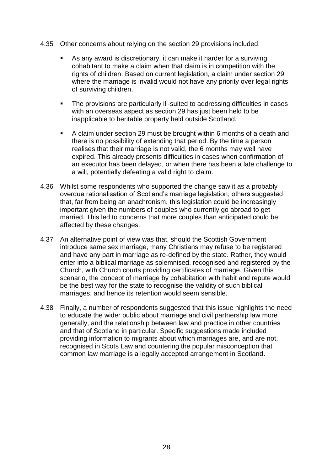- 4.35 Other concerns about relying on the section 29 provisions included:
	- As any award is discretionary, it can make it harder for a surviving cohabitant to make a claim when that claim is in competition with the rights of children. Based on current legislation, a claim under section 29 where the marriage is invalid would not have any priority over legal rights of surviving children.
	- The provisions are particularly ill-suited to addressing difficulties in cases with an overseas aspect as section 29 has just been held to be inapplicable to heritable property held outside Scotland.
	- A claim under section 29 must be brought within 6 months of a death and there is no possibility of extending that period. By the time a person realises that their marriage is not valid, the 6 months may well have expired. This already presents difficulties in cases when confirmation of an executor has been delayed, or when there has been a late challenge to a will, potentially defeating a valid right to claim.
- 4.36 Whilst some respondents who supported the change saw it as a probably overdue rationalisation of Scotland's marriage legislation, others suggested that, far from being an anachronism, this legislation could be increasingly important given the numbers of couples who currently go abroad to get married. This led to concerns that more couples than anticipated could be affected by these changes.
- 4.37 An alternative point of view was that, should the Scottish Government introduce same sex marriage, many Christians may refuse to be registered and have any part in marriage as re-defined by the state. Rather, they would enter into a biblical marriage as solemnised, recognised and registered by the Church, with Church courts providing certificates of marriage. Given this scenario, the concept of marriage by cohabitation with habit and repute would be the best way for the state to recognise the validity of such biblical marriages, and hence its retention would seem sensible.
- 4.38 Finally, a number of respondents suggested that this issue highlights the need to educate the wider public about marriage and civil partnership law more generally, and the relationship between law and practice in other countries and that of Scotland in particular. Specific suggestions made included providing information to migrants about which marriages are, and are not, recognised in Scots Law and countering the popular misconception that common law marriage is a legally accepted arrangement in Scotland.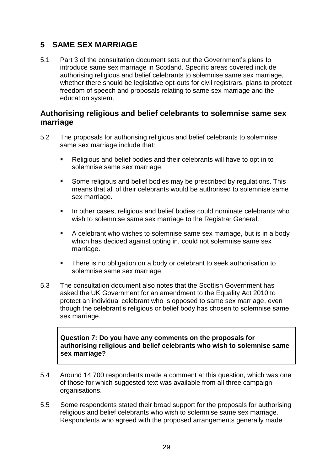## <span id="page-32-0"></span>**5 SAME SEX MARRIAGE**

5.1 Part 3 of the consultation document sets out the Government's plans to introduce same sex marriage in Scotland. Specific areas covered include authorising religious and belief celebrants to solemnise same sex marriage, whether there should be legislative opt-outs for civil registrars, plans to protect freedom of speech and proposals relating to same sex marriage and the education system.

## **Authorising religious and belief celebrants to solemnise same sex marriage**

- 5.2 The proposals for authorising religious and belief celebrants to solemnise same sex marriage include that:
	- Religious and belief bodies and their celebrants will have to opt in to solemnise same sex marriage.
	- Some religious and belief bodies may be prescribed by regulations. This means that all of their celebrants would be authorised to solemnise same sex marriage.
	- In other cases, religious and belief bodies could nominate celebrants who wish to solemnise same sex marriage to the Registrar General.
	- A celebrant who wishes to solemnise same sex marriage, but is in a body which has decided against opting in, could not solemnise same sex marriage.
	- **There is no obligation on a body or celebrant to seek authorisation to** solemnise same sex marriage.
- 5.3 The consultation document also notes that the Scottish Government has asked the UK Government for an amendment to the Equality Act 2010 to protect an individual celebrant who is opposed to same sex marriage, even though the celebrant's religious or belief body has chosen to solemnise same sex marriage.

**Question 7: Do you have any comments on the proposals for authorising religious and belief celebrants who wish to solemnise same sex marriage?**

- 5.4 Around 14,700 respondents made a comment at this question, which was one of those for which suggested text was available from all three campaign organisations.
- 5.5 Some respondents stated their broad support for the proposals for authorising religious and belief celebrants who wish to solemnise same sex marriage. Respondents who agreed with the proposed arrangements generally made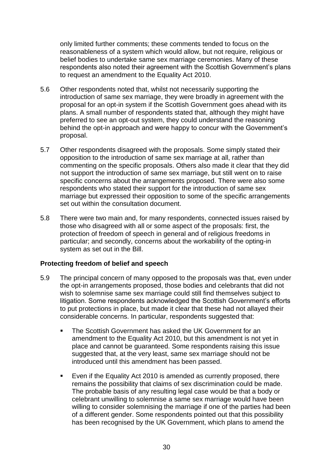only limited further comments; these comments tended to focus on the reasonableness of a system which would allow, but not require, religious or belief bodies to undertake same sex marriage ceremonies. Many of these respondents also noted their agreement with the Scottish Government's plans to request an amendment to the Equality Act 2010.

- 5.6 Other respondents noted that, whilst not necessarily supporting the introduction of same sex marriage, they were broadly in agreement with the proposal for an opt-in system if the Scottish Government goes ahead with its plans. A small number of respondents stated that, although they might have preferred to see an opt-out system, they could understand the reasoning behind the opt-in approach and were happy to concur with the Government's proposal.
- 5.7 Other respondents disagreed with the proposals. Some simply stated their opposition to the introduction of same sex marriage at all, rather than commenting on the specific proposals. Others also made it clear that they did not support the introduction of same sex marriage, but still went on to raise specific concerns about the arrangements proposed. There were also some respondents who stated their support for the introduction of same sex marriage but expressed their opposition to some of the specific arrangements set out within the consultation document.
- 5.8 There were two main and, for many respondents, connected issues raised by those who disagreed with all or some aspect of the proposals: first, the protection of freedom of speech in general and of religious freedoms in particular; and secondly, concerns about the workability of the opting-in system as set out in the Bill.

#### **Protecting freedom of belief and speech**

- 5.9 The principal concern of many opposed to the proposals was that, even under the opt-in arrangements proposed, those bodies and celebrants that did not wish to solemnise same sex marriage could still find themselves subject to litigation. Some respondents acknowledged the Scottish Government's efforts to put protections in place, but made it clear that these had not allayed their considerable concerns. In particular, respondents suggested that:
	- The Scottish Government has asked the UK Government for an amendment to the Equality Act 2010, but this amendment is not yet in place and cannot be guaranteed. Some respondents raising this issue suggested that, at the very least, same sex marriage should not be introduced until this amendment has been passed.
	- Even if the Equality Act 2010 is amended as currently proposed, there remains the possibility that claims of sex discrimination could be made. The probable basis of any resulting legal case would be that a body or celebrant unwilling to solemnise a same sex marriage would have been willing to consider solemnising the marriage if one of the parties had been of a different gender. Some respondents pointed out that this possibility has been recognised by the UK Government, which plans to amend the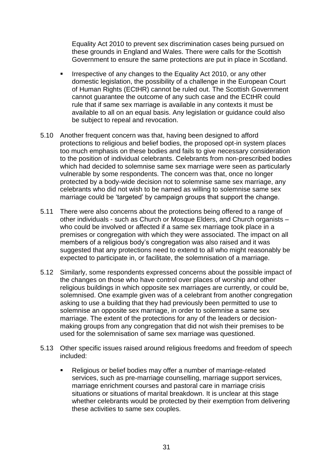Equality Act 2010 to prevent sex discrimination cases being pursued on these grounds in England and Wales. There were calls for the Scottish Government to ensure the same protections are put in place in Scotland.

- Irrespective of any changes to the Equality Act 2010, or any other domestic legislation, the possibility of a challenge in the European Court of Human Rights (ECtHR) cannot be ruled out. The Scottish Government cannot guarantee the outcome of any such case and the ECtHR could rule that if same sex marriage is available in any contexts it must be available to all on an equal basis. Any legislation or guidance could also be subject to repeal and revocation.
- 5.10 Another frequent concern was that, having been designed to afford protections to religious and belief bodies, the proposed opt-in system places too much emphasis on these bodies and fails to give necessary consideration to the position of individual celebrants. Celebrants from non-prescribed bodies which had decided to solemnise same sex marriage were seen as particularly vulnerable by some respondents. The concern was that, once no longer protected by a body-wide decision not to solemnise same sex marriage, any celebrants who did not wish to be named as willing to solemnise same sex marriage could be 'targeted' by campaign groups that support the change.
- 5.11 There were also concerns about the protections being offered to a range of other individuals - such as Church or Mosque Elders, and Church organists – who could be involved or affected if a same sex marriage took place in a premises or congregation with which they were associated. The impact on all members of a religious body's congregation was also raised and it was suggested that any protections need to extend to all who might reasonably be expected to participate in, or facilitate, the solemnisation of a marriage.
- 5.12 Similarly, some respondents expressed concerns about the possible impact of the changes on those who have control over places of worship and other religious buildings in which opposite sex marriages are currently, or could be, solemnised. One example given was of a celebrant from another congregation asking to use a building that they had previously been permitted to use to solemnise an opposite sex marriage, in order to solemnise a same sex marriage. The extent of the protections for any of the leaders or decisionmaking groups from any congregation that did not wish their premises to be used for the solemnisation of same sex marriage was questioned.
- 5.13 Other specific issues raised around religious freedoms and freedom of speech included:
	- Religious or belief bodies may offer a number of marriage-related services, such as pre-marriage counselling, marriage support services, marriage enrichment courses and pastoral care in marriage crisis situations or situations of marital breakdown. It is unclear at this stage whether celebrants would be protected by their exemption from delivering these activities to same sex couples.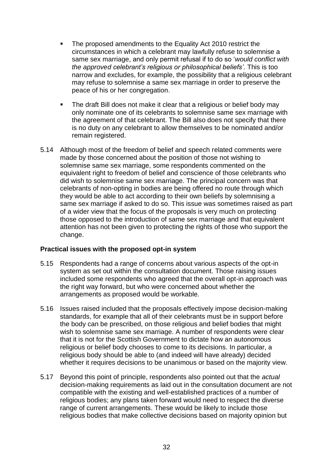- The proposed amendments to the Equality Act 2010 restrict the circumstances in which a celebrant may lawfully refuse to solemnise a same sex marriage, and only permit refusal if to do so ‗*would conflict with the approved celebrant's religious or philosophical beliefs'*. This is too narrow and excludes, for example, the possibility that a religious celebrant may refuse to solemnise a same sex marriage in order to preserve the peace of his or her congregation.
- The draft Bill does not make it clear that a religious or belief body may only nominate one of its celebrants to solemnise same sex marriage with the agreement of that celebrant. The Bill also does not specify that there is no duty on any celebrant to allow themselves to be nominated and/or remain registered.
- 5.14 Although most of the freedom of belief and speech related comments were made by those concerned about the position of those not wishing to solemnise same sex marriage, some respondents commented on the equivalent right to freedom of belief and conscience of those celebrants who did wish to solemnise same sex marriage. The principal concern was that celebrants of non-opting in bodies are being offered no route through which they would be able to act according to their own beliefs by solemnising a same sex marriage if asked to do so. This issue was sometimes raised as part of a wider view that the focus of the proposals is very much on protecting those opposed to the introduction of same sex marriage and that equivalent attention has not been given to protecting the rights of those who support the change.

#### **Practical issues with the proposed opt-in system**

- 5.15 Respondents had a range of concerns about various aspects of the opt-in system as set out within the consultation document. Those raising issues included some respondents who agreed that the overall opt-in approach was the right way forward, but who were concerned about whether the arrangements as proposed would be workable.
- 5.16 Issues raised included that the proposals effectively impose decision-making standards, for example that all of their celebrants must be in support before the body can be prescribed, on those religious and belief bodies that might wish to solemnise same sex marriage. A number of respondents were clear that it is not for the Scottish Government to dictate how an autonomous religious or belief body chooses to come to its decisions. In particular, a religious body should be able to (and indeed will have already) decided whether it requires decisions to be unanimous or based on the majority view.
- 5.17 Beyond this point of principle, respondents also pointed out that the *actual* decision-making requirements as laid out in the consultation document are not compatible with the existing and well-established practices of a number of religious bodies; any plans taken forward would need to respect the diverse range of current arrangements. These would be likely to include those religious bodies that make collective decisions based on majority opinion but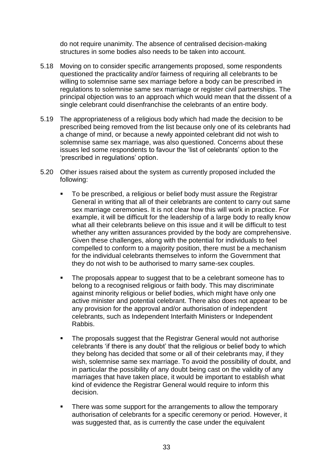do not require unanimity. The absence of centralised decision-making structures in some bodies also needs to be taken into account.

- 5.18 Moving on to consider specific arrangements proposed, some respondents questioned the practicality and/or fairness of requiring all celebrants to be willing to solemnise same sex marriage before a body can be prescribed in regulations to solemnise same sex marriage or register civil partnerships. The principal objection was to an approach which would mean that the dissent of a single celebrant could disenfranchise the celebrants of an entire body.
- 5.19 The appropriateness of a religious body which had made the decision to be prescribed being removed from the list because only one of its celebrants had a change of mind, or because a newly appointed celebrant did not wish to solemnise same sex marriage, was also questioned. Concerns about these issues led some respondents to favour the 'list of celebrants' option to the ‗prescribed in regulations' option.
- 5.20 Other issues raised about the system as currently proposed included the following:
	- To be prescribed, a religious or belief body must assure the Registrar General in writing that all of their celebrants are content to carry out same sex marriage ceremonies. It is not clear how this will work in practice. For example, it will be difficult for the leadership of a large body to really know what all their celebrants believe on this issue and it will be difficult to test whether any written assurances provided by the body are comprehensive. Given these challenges, along with the potential for individuals to feel compelled to conform to a majority position, there must be a mechanism for the individual celebrants themselves to inform the Government that they do not wish to be authorised to marry same-sex couples.
	- The proposals appear to suggest that to be a celebrant someone has to belong to a recognised religious or faith body. This may discriminate against minority religious or belief bodies, which might have only one active minister and potential celebrant. There also does not appear to be any provision for the approval and/or authorisation of independent celebrants, such as Independent Interfaith Ministers or Independent Rabbis.
	- The proposals suggest that the Registrar General would not authorise celebrants ‗if there is any doubt' that the religious or belief body to which they belong has decided that some or all of their celebrants may, if they wish, solemnise same sex marriage. To avoid the possibility of doubt, and in particular the possibility of any doubt being cast on the validity of any marriages that have taken place, it would be important to establish what kind of evidence the Registrar General would require to inform this decision.
	- There was some support for the arrangements to allow the temporary authorisation of celebrants for a specific ceremony or period. However, it was suggested that, as is currently the case under the equivalent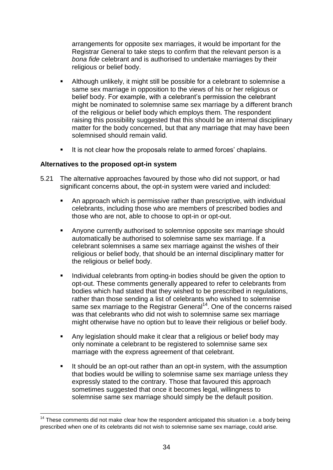arrangements for opposite sex marriages, it would be important for the Registrar General to take steps to confirm that the relevant person is a *bona fide* celebrant and is authorised to undertake marriages by their religious or belief body.

- Although unlikely, it might still be possible for a celebrant to solemnise a same sex marriage in opposition to the views of his or her religious or belief body. For example, with a celebrant's permission the celebrant might be nominated to solemnise same sex marriage by a different branch of the religious or belief body which employs them. The respondent raising this possibility suggested that this should be an internal disciplinary matter for the body concerned, but that any marriage that may have been solemnised should remain valid.
- It is not clear how the proposals relate to armed forces' chaplains.

#### **Alternatives to the proposed opt-in system**

1

- 5.21 The alternative approaches favoured by those who did not support, or had significant concerns about, the opt-in system were varied and included:
	- An approach which is permissive rather than prescriptive, with individual celebrants, including those who are members of prescribed bodies and those who are not, able to choose to opt-in or opt-out.
	- Anyone currently authorised to solemnise opposite sex marriage should automatically be authorised to solemnise same sex marriage. If a celebrant solemnises a same sex marriage against the wishes of their religious or belief body, that should be an internal disciplinary matter for the religious or belief body.
	- **Individual celebrants from opting-in bodies should be given the option to** opt-out. These comments generally appeared to refer to celebrants from bodies which had stated that they wished to be prescribed in regulations, rather than those sending a list of celebrants who wished to solemnise same sex marriage to the Registrar General<sup>14</sup>. One of the concerns raised was that celebrants who did not wish to solemnise same sex marriage might otherwise have no option but to leave their religious or belief body.
	- Any legislation should make it clear that a religious or belief body may only nominate a celebrant to be registered to solemnise same sex marriage with the express agreement of that celebrant.
	- It should be an opt-out rather than an opt-in system, with the assumption that bodies would be willing to solemnise same sex marriage unless they expressly stated to the contrary. Those that favoured this approach sometimes suggested that once it becomes legal, willingness to solemnise same sex marriage should simply be the default position.

 $14$  These comments did not make clear how the respondent anticipated this situation i.e. a body being prescribed when one of its celebrants did not wish to solemnise same sex marriage, could arise.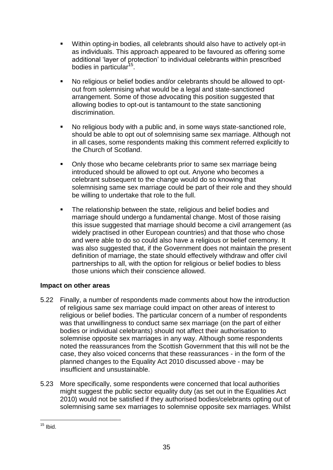- Within opting-in bodies, all celebrants should also have to actively opt-in as individuals. This approach appeared to be favoured as offering some additional 'layer of protection' to individual celebrants within prescribed bodies in particular<sup>15</sup>.
- No religious or belief bodies and/or celebrants should be allowed to optout from solemnising what would be a legal and state-sanctioned arrangement. Some of those advocating this position suggested that allowing bodies to opt-out is tantamount to the state sanctioning discrimination.
- No religious body with a public and, in some ways state-sanctioned role, should be able to opt out of solemnising same sex marriage. Although not in all cases, some respondents making this comment referred explicitly to the Church of Scotland.
- Only those who became celebrants prior to same sex marriage being introduced should be allowed to opt out. Anyone who becomes a celebrant subsequent to the change would do so knowing that solemnising same sex marriage could be part of their role and they should be willing to undertake that role to the full.
- **The relationship between the state, religious and belief bodies and** marriage should undergo a fundamental change. Most of those raising this issue suggested that marriage should become a civil arrangement (as widely practised in other European countries) and that those who chose and were able to do so could also have a religious or belief ceremony. It was also suggested that, if the Government does not maintain the present definition of marriage, the state should effectively withdraw and offer civil partnerships to all, with the option for religious or belief bodies to bless those unions which their conscience allowed.

#### **Impact on other areas**

- 5.22 Finally, a number of respondents made comments about how the introduction of religious same sex marriage could impact on other areas of interest to religious or belief bodies. The particular concern of a number of respondents was that unwillingness to conduct same sex marriage (on the part of either bodies or individual celebrants) should not affect their authorisation to solemnise opposite sex marriages in any way. Although some respondents noted the reassurances from the Scottish Government that this will not be the case, they also voiced concerns that these reassurances - in the form of the planned changes to the Equality Act 2010 discussed above - may be insufficient and unsustainable.
- 5.23 More specifically, some respondents were concerned that local authorities might suggest the public sector equality duty (as set out in the Equalities Act 2010) would not be satisfied if they authorised bodies/celebrants opting out of solemnising same sex marriages to solemnise opposite sex marriages. Whilst

<sup>1</sup>  $15$  Ibid.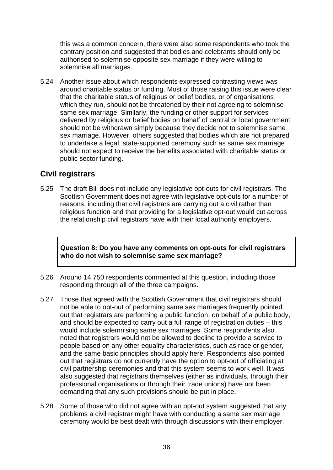this was a common concern, there were also some respondents who took the contrary position and suggested that bodies and celebrants should only be authorised to solemnise opposite sex marriage if they were willing to solemnise all marriages.

5.24 Another issue about which respondents expressed contrasting views was around charitable status or funding. Most of those raising this issue were clear that the charitable status of religious or belief bodies, or of organisations which they run, should not be threatened by their not agreeing to solemnise same sex marriage. Similarly, the funding or other support for services delivered by religious or belief bodies on behalf of central or local government should not be withdrawn simply because they decide not to solemnise same sex marriage. However, others suggested that bodies which are not prepared to undertake a legal, state-supported ceremony such as same sex marriage should not expect to receive the benefits associated with charitable status or public sector funding.

## **Civil registrars**

5.25 The draft Bill does not include any legislative opt-outs for civil registrars. The Scottish Government does not agree with legislative opt-outs for a number of reasons, including that civil registrars are carrying out a civil rather than religious function and that providing for a legislative opt-out would cut across the relationship civil registrars have with their local authority employers.

**Question 8: Do you have any comments on opt-outs for civil registrars who do not wish to solemnise same sex marriage?**

- 5.26 Around 14,750 respondents commented at this question, including those responding through all of the three campaigns.
- 5.27 Those that agreed with the Scottish Government that civil registrars should not be able to opt-out of performing same sex marriages frequently pointed out that registrars are performing a public function, on behalf of a public body, and should be expected to carry out a full range of registration duties – this would include solemnising same sex marriages. Some respondents also noted that registrars would not be allowed to decline to provide a service to people based on any other equality characteristics, such as race or gender, and the same basic principles should apply here. Respondents also pointed out that registrars do not currently have the option to opt-out of officiating at civil partnership ceremonies and that this system seems to work well. It was also suggested that registrars themselves (either as individuals, through their professional organisations or through their trade unions) have not been demanding that any such provisions should be put in place.
- 5.28 Some of those who did not agree with an opt-out system suggested that any problems a civil registrar might have with conducting a same sex marriage ceremony would be best dealt with through discussions with their employer,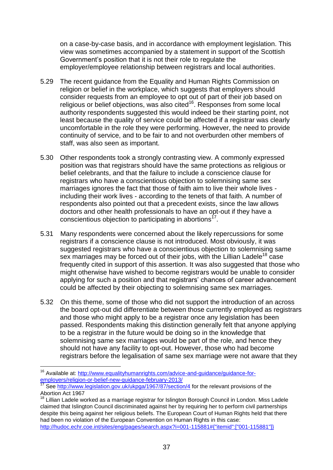on a case-by-case basis, and in accordance with employment legislation. This view was sometimes accompanied by a statement in support of the Scottish Government's position that it is not their role to regulate the employer/employee relationship between registrars and local authorities.

- 5.29 The recent guidance from the Equality and Human Rights Commission on religion or belief in the workplace, which suggests that employers should consider requests from an employee to opt out of part of their job based on religious or belief objections, was also cited $16$ . Responses from some local authority respondents suggested this would indeed be their starting point, not least because the quality of service could be affected if a registrar was clearly uncomfortable in the role they were performing. However, the need to provide continuity of service, and to be fair to and not overburden other members of staff, was also seen as important.
- 5.30 Other respondents took a strongly contrasting view. A commonly expressed position was that registrars should have the same protections as religious or belief celebrants, and that the failure to include a conscience clause for registrars who have a conscientious objection to solemnising same sex marriages ignores the fact that those of faith aim to live their whole lives including their work lives - according to the tenets of that faith. A number of respondents also pointed out that a precedent exists, since the law allows doctors and other health professionals to have an opt-out if they have a conscientious objection to participating in abortions<sup>17</sup>.
- 5.31 Many respondents were concerned about the likely repercussions for some registrars if a conscience clause is not introduced. Most obviously, it was suggested registrars who have a conscientious objection to solemnising same sex marriages may be forced out of their jobs, with the Lillian Ladele<sup>18</sup> case frequently cited in support of this assertion. It was also suggested that those who might otherwise have wished to become registrars would be unable to consider applying for such a position and that registrars' chances of career advancement could be affected by their objecting to solemnising same sex marriages.
- 5.32 On this theme, some of those who did not support the introduction of an across the board opt-out did differentiate between those currently employed as registrars and those who might apply to be a registrar once any legislation has been passed. Respondents making this distinction generally felt that anyone applying to be a registrar in the future would be doing so in the knowledge that solemnising same sex marriages would be part of the role, and hence they should not have any facility to opt-out. However, those who had become registrars before the legalisation of same sex marriage were not aware that they

1

<sup>&</sup>lt;sup>16</sup> Available at: [http://www.equalityhumanrights.com/advice-and-guidance/guidance-for](http://www.equalityhumanrights.com/advice-and-guidance/guidance-for-employers/religion-or-belief-new-guidance-february-2013/)[employers/religion-or-belief-new-guidance-february-2013/](http://www.equalityhumanrights.com/advice-and-guidance/guidance-for-employers/religion-or-belief-new-guidance-february-2013/)<br>17 See http://

See<http://www.legislation.gov.uk/ukpga/1967/87/section/4>for the relevant provisions of the Abortion Act 1967

<sup>18</sup> Lillian Ladele worked as a marriage registrar for Islington Borough Council in London. Miss Ladele claimed that Islington Council discriminated against her by requiring her to perform civil partnerships despite this being against her religious beliefs. The European Court of Human Rights held that there had been no violation of the European Convention on Human Rights in this case: [http://hudoc.echr.coe.int/sites/eng/pages/search.aspx?i=001-115881#{"itemid":\["001-115881"\]}](http://hudoc.echr.coe.int/sites/eng/pages/search.aspx?i=001-115881#{"itemid":["001-115881"]})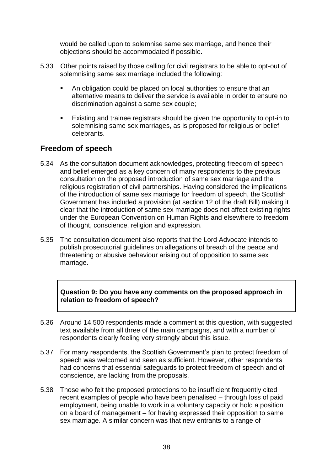would be called upon to solemnise same sex marriage, and hence their objections should be accommodated if possible.

- 5.33 Other points raised by those calling for civil registrars to be able to opt-out of solemnising same sex marriage included the following:
	- An obligation could be placed on local authorities to ensure that an alternative means to deliver the service is available in order to ensure no discrimination against a same sex couple;
	- Existing and trainee registrars should be given the opportunity to opt-in to solemnising same sex marriages, as is proposed for religious or belief celebrants.

## **Freedom of speech**

- 5.34 As the consultation document acknowledges, protecting freedom of speech and belief emerged as a key concern of many respondents to the previous consultation on the proposed introduction of same sex marriage and the religious registration of civil partnerships. Having considered the implications of the introduction of same sex marriage for freedom of speech, the Scottish Government has included a provision (at section 12 of the draft Bill) making it clear that the introduction of same sex marriage does not affect existing rights under the European Convention on Human Rights and elsewhere to freedom of thought, conscience, religion and expression.
- 5.35 The consultation document also reports that the Lord Advocate intends to publish prosecutorial guidelines on allegations of breach of the peace and threatening or abusive behaviour arising out of opposition to same sex marriage.

#### **Question 9: Do you have any comments on the proposed approach in relation to freedom of speech?**

- 5.36 Around 14,500 respondents made a comment at this question, with suggested text available from all three of the main campaigns, and with a number of respondents clearly feeling very strongly about this issue.
- 5.37 For many respondents, the Scottish Government's plan to protect freedom of speech was welcomed and seen as sufficient. However, other respondents had concerns that essential safeguards to protect freedom of speech and of conscience, are lacking from the proposals.
- 5.38 Those who felt the proposed protections to be insufficient frequently cited recent examples of people who have been penalised – through loss of paid employment, being unable to work in a voluntary capacity or hold a position on a board of management – for having expressed their opposition to same sex marriage. A similar concern was that new entrants to a range of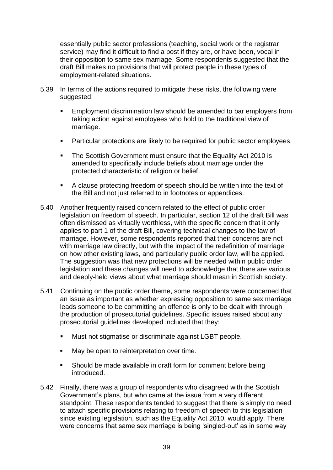essentially public sector professions (teaching, social work or the registrar service) may find it difficult to find a post if they are, or have been, vocal in their opposition to same sex marriage. Some respondents suggested that the draft Bill makes no provisions that will protect people in these types of employment-related situations.

- 5.39 In terms of the actions required to mitigate these risks, the following were suggested:
	- **Employment discrimination law should be amended to bar employers from** taking action against employees who hold to the traditional view of marriage.
	- **Particular protections are likely to be required for public sector employees.**
	- The Scottish Government must ensure that the Equality Act 2010 is amended to specifically include beliefs about marriage under the protected characteristic of religion or belief.
	- A clause protecting freedom of speech should be written into the text of the Bill and not just referred to in footnotes or appendices.
- 5.40 Another frequently raised concern related to the effect of public order legislation on freedom of speech. In particular, section 12 of the draft Bill was often dismissed as virtually worthless, with the specific concern that it only applies to part 1 of the draft Bill, covering technical changes to the law of marriage. However, some respondents reported that their concerns are not with marriage law directly, but with the impact of the redefinition of marriage on how other existing laws, and particularly public order law, will be applied. The suggestion was that new protections will be needed within public order legislation and these changes will need to acknowledge that there are various and deeply-held views about what marriage should mean in Scottish society.
- 5.41 Continuing on the public order theme, some respondents were concerned that an issue as important as whether expressing opposition to same sex marriage leads someone to be committing an offence is only to be dealt with through the production of prosecutorial guidelines. Specific issues raised about any prosecutorial guidelines developed included that they:
	- Must not stigmatise or discriminate against LGBT people.
	- May be open to reinterpretation over time.
	- Should be made available in draft form for comment before being introduced.
- 5.42 Finally, there was a group of respondents who disagreed with the Scottish Government's plans, but who came at the issue from a very different standpoint. These respondents tended to suggest that there is simply no need to attach specific provisions relating to freedom of speech to this legislation since existing legislation, such as the Equality Act 2010, would apply. There were concerns that same sex marriage is being 'singled-out' as in some way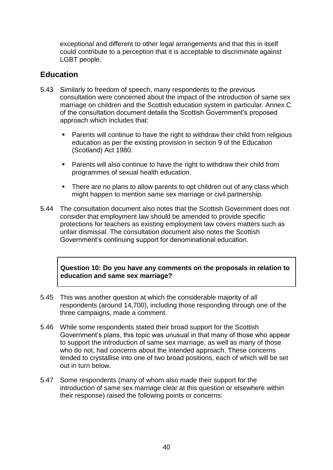exceptional and different to other legal arrangements and that this in itself could contribute to a perception that it is acceptable to discriminate against LGBT people.

## **Education**

- 5.43 Similarly to freedom of speech, many respondents to the previous consultation were concerned about the impact of the introduction of same sex marriage on children and the Scottish education system in particular. Annex C of the consultation document details the Scottish Government's proposed approach which includes that:
	- **Parents will continue to have the right to withdraw their child from religious** education as per the existing provision in section 9 of the Education (Scotland) Act 1980.
	- **Parents will also continue to have the right to withdraw their child from** programmes of sexual health education.
	- There are no plans to allow parents to opt children out of any class which might happen to mention same sex marriage or civil partnership.
- 5.44 The consultation document also notes that the Scottish Government does not consider that employment law should be amended to provide specific protections for teachers as existing employment law covers matters such as unfair dismissal. The consultation document also notes the Scottish Government's continuing support for denominational education.

**Question 10: Do you have any comments on the proposals in relation to education and same sex marriage?**

- 5.45 This was another question at which the considerable majority of all respondents (around 14,700), including those responding through one of the three campaigns, made a comment.
- 5.46 While some respondents stated their broad support for the Scottish Government's plans, this topic was unusual in that many of those who appear to support the introduction of same sex marriage, as well as many of those who do not, had concerns about the intended approach. These concerns tended to crystallise into one of two broad positions, each of which will be set out in turn below.
- 5.47 Some respondents (many of whom also made their support for the introduction of same sex marriage clear at this question or elsewhere within their response) raised the following points or concerns: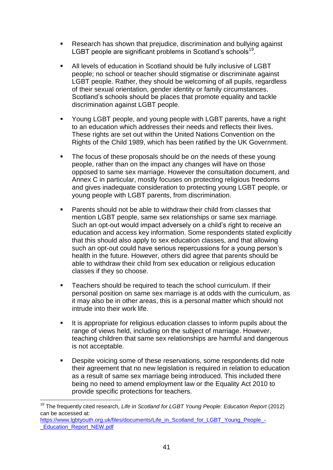- **Research has shown that prejudice, discrimination and bullying against** LGBT people are significant problems in Scotland's schools<sup>19</sup>.
- All levels of education in Scotland should be fully inclusive of LGBT people; no school or teacher should stigmatise or discriminate against LGBT people. Rather, they should be welcoming of all pupils, regardless of their sexual orientation, gender identity or family circumstances. Scotland's schools should be places that promote equality and tackle discrimination against LGBT people.
- Young LGBT people, and young people with LGBT parents, have a right to an education which addresses their needs and reflects their lives. These rights are set out within the United Nations Convention on the Rights of the Child 1989, which has been ratified by the UK Government.
- The focus of these proposals should be on the needs of these young people, rather than on the impact any changes will have on those opposed to same sex marriage. However the consultation document, and Annex C in particular, mostly focuses on protecting religious freedoms and gives inadequate consideration to protecting young LGBT people, or young people with LGBT parents, from discrimination.
- **Parents should not be able to withdraw their child from classes that** mention LGBT people, same sex relationships or same sex marriage. Such an opt-out would impact adversely on a child's right to receive an education and access key information. Some respondents stated explicitly that this should also apply to sex education classes, and that allowing such an opt-out could have serious repercussions for a young person's health in the future. However, others did agree that parents should be able to withdraw their child from sex education or religious education classes if they so choose.
- **EXEC** Teachers should be required to teach the school curriculum. If their personal position on same sex marriage is at odds with the curriculum, as it may also be in other areas, this is a personal matter which should not intrude into their work life.
- It is appropriate for religious education classes to inform pupils about the range of views held, including on the subject of marriage. However, teaching children that same sex relationships are harmful and dangerous is not acceptable.
- **Despite voicing some of these reservations, some respondents did note** their agreement that no new legislation is required in relation to education as a result of same sex marriage being introduced. This included there being no need to amend employment law or the Equality Act 2010 to provide specific protections for teachers.

<sup>1</sup> <sup>19</sup> The frequently cited research, *Life in Scotland for LGBT Young People: Education Report* (2012) can be accessed at:

[https://www.lgbtyouth.org.uk/files/documents/Life\\_in\\_Scotland\\_for\\_LGBT\\_Young\\_People\\_-](https://www.lgbtyouth.org.uk/files/documents/Life_in_Scotland_for_LGBT_Young_People_-_Education_Report_NEW.pdf) Education\_Report\_NEW.pdf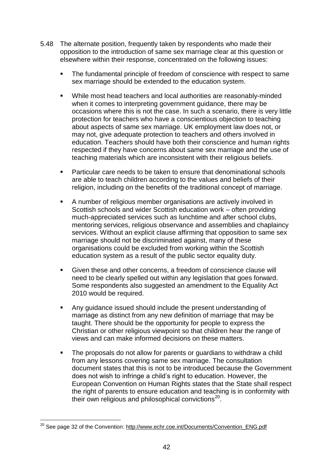- 5.48 The alternate position, frequently taken by respondents who made their opposition to the introduction of same sex marriage clear at this question or elsewhere within their response, concentrated on the following issues:
	- The fundamental principle of freedom of conscience with respect to same sex marriage should be extended to the education system.
	- While most head teachers and local authorities are reasonably-minded when it comes to interpreting government guidance, there may be occasions where this is not the case. In such a scenario, there is very little protection for teachers who have a conscientious objection to teaching about aspects of same sex marriage. UK employment law does not, or may not, give adequate protection to teachers and others involved in education. Teachers should have both their conscience and human rights respected if they have concerns about same sex marriage and the use of teaching materials which are inconsistent with their religious beliefs.
	- **Particular care needs to be taken to ensure that denominational schools** are able to teach children according to the values and beliefs of their religion, including on the benefits of the traditional concept of marriage.
	- A number of religious member organisations are actively involved in Scottish schools and wider Scottish education work – often providing much-appreciated services such as lunchtime and after school clubs, mentoring services, religious observance and assemblies and chaplaincy services. Without an explicit clause affirming that opposition to same sex marriage should not be discriminated against, many of these organisations could be excluded from working within the Scottish education system as a result of the public sector equality duty.
	- Given these and other concerns, a freedom of conscience clause will need to be clearly spelled out within any legislation that goes forward. Some respondents also suggested an amendment to the Equality Act 2010 would be required.
	- Any guidance issued should include the present understanding of marriage as distinct from any new definition of marriage that may be taught. There should be the opportunity for people to express the Christian or other religious viewpoint so that children hear the range of views and can make informed decisions on these matters.
	- The proposals do not allow for parents or quardians to withdraw a child from any lessons covering same sex marriage. The consultation document states that this is not to be introduced because the Government does not wish to infringe a child's right to education. However, the European Convention on Human Rights states that the State shall respect the right of parents to ensure education and teaching is in conformity with their own religious and philosophical convictions<sup>20</sup>.

1

<sup>&</sup>lt;sup>20</sup> See page 32 of the Convention: [http://www.echr.coe.int/Documents/Convention\\_ENG.pdf](http://www.echr.coe.int/Documents/Convention_ENG.pdf)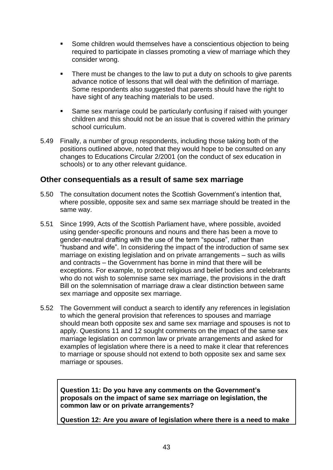- **Some children would themselves have a conscientious objection to being** required to participate in classes promoting a view of marriage which they consider wrong.
- There must be changes to the law to put a duty on schools to give parents advance notice of lessons that will deal with the definition of marriage. Some respondents also suggested that parents should have the right to have sight of any teaching materials to be used.
- Same sex marriage could be particularly confusing if raised with younger children and this should not be an issue that is covered within the primary school curriculum.
- 5.49 Finally, a number of group respondents, including those taking both of the positions outlined above, noted that they would hope to be consulted on any changes to Educations Circular 2/2001 (on the conduct of sex education in schools) or to any other relevant guidance.

### **Other consequentials as a result of same sex marriage**

- 5.50 The consultation document notes the Scottish Government's intention that, where possible, opposite sex and same sex marriage should be treated in the same way.
- 5.51 Since 1999, Acts of the Scottish Parliament have, where possible, avoided using gender-specific pronouns and nouns and there has been a move to gender-neutral drafting with the use of the term "spouse", rather than "husband and wife". In considering the impact of the introduction of same sex marriage on existing legislation and on private arrangements – such as wills and contracts – the Government has borne in mind that there will be exceptions. For example, to protect religious and belief bodies and celebrants who do not wish to solemnise same sex marriage, the provisions in the draft Bill on the solemnisation of marriage draw a clear distinction between same sex marriage and opposite sex marriage.
- 5.52 The Government will conduct a search to identify any references in legislation to which the general provision that references to spouses and marriage should mean both opposite sex and same sex marriage and spouses is not to apply. Questions 11 and 12 sought comments on the impact of the same sex marriage legislation on common law or private arrangements and asked for examples of legislation where there is a need to make it clear that references to marriage or spouse should not extend to both opposite sex and same sex marriage or spouses.

**Question 11: Do you have any comments on the Government's proposals on the impact of same sex marriage on legislation, the common law or on private arrangements?**

**Question 12: Are you aware of legislation where there is a need to make**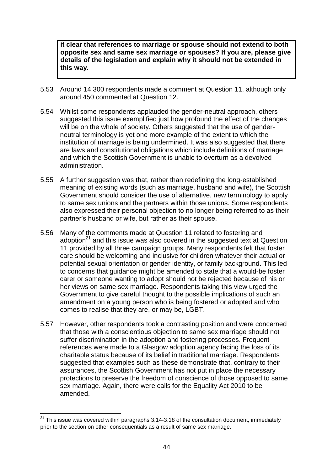**it clear that references to marriage or spouse should not extend to both opposite sex and same sex marriage or spouses? If you are, please give details of the legislation and explain why it should not be extended in this way.**

- 5.53 Around 14,300 respondents made a comment at Question 11, although only around 450 commented at Question 12.
- 5.54 Whilst some respondents applauded the gender-neutral approach, others suggested this issue exemplified just how profound the effect of the changes will be on the whole of society. Others suggested that the use of genderneutral terminology is yet one more example of the extent to which the institution of marriage is being undermined. It was also suggested that there are laws and constitutional obligations which include definitions of marriage and which the Scottish Government is unable to overturn as a devolved administration.
- 5.55 A further suggestion was that, rather than redefining the long-established meaning of existing words (such as marriage, husband and wife), the Scottish Government should consider the use of alternative, new terminology to apply to same sex unions and the partners within those unions. Some respondents also expressed their personal objection to no longer being referred to as their partner's husband or wife, but rather as their spouse.
- 5.56 Many of the comments made at Question 11 related to fostering and adoption<sup>21</sup> and this issue was also covered in the suggested text at Question 11 provided by all three campaign groups. Many respondents felt that foster care should be welcoming and inclusive for children whatever their actual or potential sexual orientation or gender identity, or family background. This led to concerns that guidance might be amended to state that a would-be foster carer or someone wanting to adopt should not be rejected because of his or her views on same sex marriage. Respondents taking this view urged the Government to give careful thought to the possible implications of such an amendment on a young person who is being fostered or adopted and who comes to realise that they are, or may be, LGBT.
- 5.57 However, other respondents took a contrasting position and were concerned that those with a conscientious objection to same sex marriage should not suffer discrimination in the adoption and fostering processes. Frequent references were made to a Glasgow adoption agency facing the loss of its charitable status because of its belief in traditional marriage. Respondents suggested that examples such as these demonstrate that, contrary to their assurances, the Scottish Government has not put in place the necessary protections to preserve the freedom of conscience of those opposed to same sex marriage. Again, there were calls for the Equality Act 2010 to be amended.

1

 $21$  This issue was covered within paragraphs 3.14-3.18 of the consultation document, immediately prior to the section on other consequentials as a result of same sex marriage.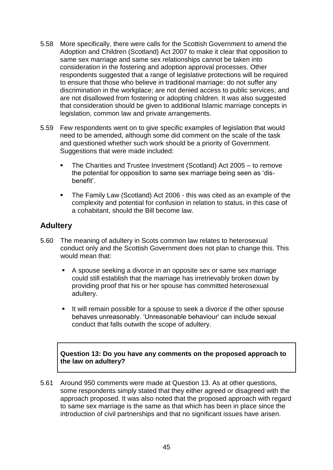- 5.58 More specifically, there were calls for the Scottish Government to amend the Adoption and Children (Scotland) Act 2007 to make it clear that opposition to same sex marriage and same sex relationships cannot be taken into consideration in the fostering and adoption approval processes. Other respondents suggested that a range of legislative protections will be required to ensure that those who believe in traditional marriage: do not suffer any discrimination in the workplace; are not denied access to public services; and are not disallowed from fostering or adopting children. It was also suggested that consideration should be given to additional Islamic marriage concepts in legislation, common law and private arrangements.
- 5.59 Few respondents went on to give specific examples of legislation that would need to be amended, although some did comment on the scale of the task and questioned whether such work should be a priority of Government. Suggestions that were made included:
	- The Charities and Trustee Investment (Scotland) Act 2005 to remove the potential for opposition to same sex marriage being seen as 'disbenefit'.
	- The Family Law (Scotland) Act 2006 this was cited as an example of the complexity and potential for confusion in relation to status, in this case of a cohabitant, should the Bill become law.

## **Adultery**

- 5.60 The meaning of adultery in Scots common law relates to heterosexual conduct only and the Scottish Government does not plan to change this. This would mean that:
	- A spouse seeking a divorce in an opposite sex or same sex marriage could still establish that the marriage has irretrievably broken down by providing proof that his or her spouse has committed heterosexual adultery.
	- It will remain possible for a spouse to seek a divorce if the other spouse behaves unreasonably. ‗Unreasonable behaviour' can include sexual conduct that falls outwith the scope of adultery.

**Question 13: Do you have any comments on the proposed approach to the law on adultery?**

5.61 Around 950 comments were made at Question 13. As at other questions, some respondents simply stated that they either agreed or disagreed with the approach proposed. It was also noted that the proposed approach with regard to same sex marriage is the same as that which has been in place since the introduction of civil partnerships and that no significant issues have arisen.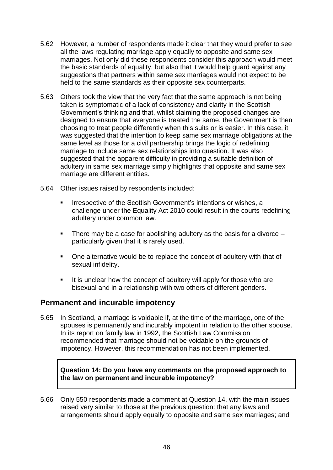- 5.62 However, a number of respondents made it clear that they would prefer to see all the laws regulating marriage apply equally to opposite and same sex marriages. Not only did these respondents consider this approach would meet the basic standards of equality, but also that it would help guard against any suggestions that partners within same sex marriages would not expect to be held to the same standards as their opposite sex counterparts.
- 5.63 Others took the view that the very fact that the same approach is not being taken is symptomatic of a lack of consistency and clarity in the Scottish Government's thinking and that, whilst claiming the proposed changes are designed to ensure that everyone is treated the same, the Government is then choosing to treat people differently when this suits or is easier. In this case, it was suggested that the intention to keep same sex marriage obligations at the same level as those for a civil partnership brings the logic of redefining marriage to include same sex relationships into question. It was also suggested that the apparent difficulty in providing a suitable definition of adultery in same sex marriage simply highlights that opposite and same sex marriage are different entities.
- 5.64 Other issues raised by respondents included:
	- Irrespective of the Scottish Government's intentions or wishes, a challenge under the Equality Act 2010 could result in the courts redefining adultery under common law.
	- There may be a case for abolishing adultery as the basis for a divorce  $$ particularly given that it is rarely used.
	- One alternative would be to replace the concept of adultery with that of sexual infidelity.
	- It is unclear how the concept of adultery will apply for those who are bisexual and in a relationship with two others of different genders.

### **Permanent and incurable impotency**

5.65 In Scotland, a marriage is voidable if, at the time of the marriage, one of the spouses is permanently and incurably impotent in relation to the other spouse. In its report on family law in 1992, the Scottish Law Commission recommended that marriage should not be voidable on the grounds of impotency. However, this recommendation has not been implemented.

#### **Question 14: Do you have any comments on the proposed approach to the law on permanent and incurable impotency?**

5.66 Only 550 respondents made a comment at Question 14, with the main issues raised very similar to those at the previous question: that any laws and arrangements should apply equally to opposite and same sex marriages; and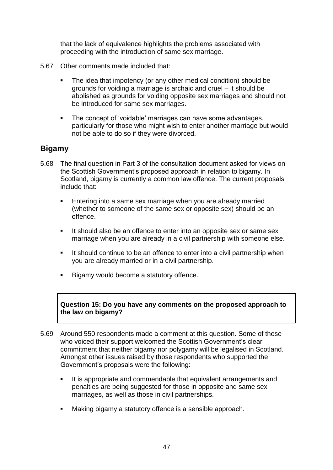that the lack of equivalence highlights the problems associated with proceeding with the introduction of same sex marriage.

- 5.67 Other comments made included that:
	- The idea that impotency (or any other medical condition) should be grounds for voiding a marriage is archaic and cruel – it should be abolished as grounds for voiding opposite sex marriages and should not be introduced for same sex marriages.
	- **The concept of 'voidable' marriages can have some advantages,** particularly for those who might wish to enter another marriage but would not be able to do so if they were divorced.

## **Bigamy**

- 5.68 The final question in Part 3 of the consultation document asked for views on the Scottish Government's proposed approach in relation to bigamy. In Scotland, bigamy is currently a common law offence. The current proposals include that:
	- **Entering into a same sex marriage when you are already married** (whether to someone of the same sex or opposite sex) should be an offence.
	- It should also be an offence to enter into an opposite sex or same sex marriage when you are already in a civil partnership with someone else.
	- It should continue to be an offence to enter into a civil partnership when you are already married or in a civil partnership.
	- Bigamy would become a statutory offence.

**Question 15: Do you have any comments on the proposed approach to the law on bigamy?**

- 5.69 Around 550 respondents made a comment at this question. Some of those who voiced their support welcomed the Scottish Government's clear commitment that neither bigamy nor polygamy will be legalised in Scotland. Amongst other issues raised by those respondents who supported the Government's proposals were the following:
	- It is appropriate and commendable that equivalent arrangements and penalties are being suggested for those in opposite and same sex marriages, as well as those in civil partnerships.
	- **Making bigamy a statutory offence is a sensible approach.**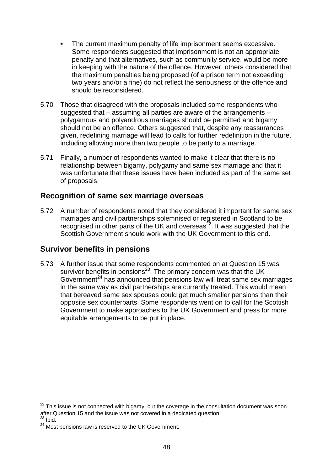- **The current maximum penalty of life imprisonment seems excessive.** Some respondents suggested that imprisonment is not an appropriate penalty and that alternatives, such as community service, would be more in keeping with the nature of the offence. However, others considered that the maximum penalties being proposed (of a prison term not exceeding two years and/or a fine) do not reflect the seriousness of the offence and should be reconsidered.
- 5.70 Those that disagreed with the proposals included some respondents who suggested that – assuming all parties are aware of the arrangements – polygamous and polyandrous marriages should be permitted and bigamy should not be an offence. Others suggested that, despite any reassurances given, redefining marriage will lead to calls for further redefinition in the future, including allowing more than two people to be party to a marriage.
- 5.71 Finally, a number of respondents wanted to make it clear that there is no relationship between bigamy, polygamy and same sex marriage and that it was unfortunate that these issues have been included as part of the same set of proposals.

### **Recognition of same sex marriage overseas**

5.72 A number of respondents noted that they considered it important for same sex marriages and civil partnerships solemnised or registered in Scotland to be recognised in other parts of the UK and overseas<sup> $22$ </sup>. It was suggested that the Scottish Government should work with the UK Government to this end.

## **Survivor benefits in pensions**

5.73 A further issue that some respondents commented on at Question 15 was survivor benefits in pensions<sup>23</sup>. The primary concern was that the UK Government $24$  has announced that pensions law will treat same sex marriages in the same way as civil partnerships are currently treated. This would mean that bereaved same sex spouses could get much smaller pensions than their opposite sex counterparts. Some respondents went on to call for the Scottish Government to make approaches to the UK Government and press for more equitable arrangements to be put in place.

1

 $22$  This issue is not connected with bigamy, but the coverage in the consultation document was soon after Question 15 and the issue was not covered in a dedicated question.

 $23$  Ibid.

<sup>&</sup>lt;sup>24</sup> Most pensions law is reserved to the UK Government.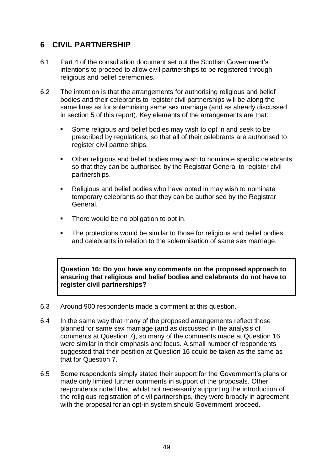## **6 CIVIL PARTNERSHIP**

- 6.1 Part 4 of the consultation document set out the Scottish Government's intentions to proceed to allow civil partnerships to be registered through religious and belief ceremonies.
- 6.2 The intention is that the arrangements for authorising religious and belief bodies and their celebrants to register civil partnerships will be along the same lines as for solemnising same sex marriage (and as already discussed in section 5 of this report). Key elements of the arrangements are that:
	- Some religious and belief bodies may wish to opt in and seek to be prescribed by regulations, so that all of their celebrants are authorised to register civil partnerships.
	- Other religious and belief bodies may wish to nominate specific celebrants so that they can be authorised by the Registrar General to register civil partnerships.
	- Religious and belief bodies who have opted in may wish to nominate temporary celebrants so that they can be authorised by the Registrar General.
	- There would be no obligation to opt in.
	- The protections would be similar to those for religious and belief bodies and celebrants in relation to the solemnisation of same sex marriage.

**Question 16: Do you have any comments on the proposed approach to ensuring that religious and belief bodies and celebrants do not have to register civil partnerships?**

- 6.3 Around 900 respondents made a comment at this question.
- 6.4 In the same way that many of the proposed arrangements reflect those planned for same sex marriage (and as discussed in the analysis of comments at Question 7), so many of the comments made at Question 16 were similar in their emphasis and focus. A small number of respondents suggested that their position at Question 16 could be taken as the same as that for Question 7.
- 6.5 Some respondents simply stated their support for the Government's plans or made only limited further comments in support of the proposals. Other respondents noted that, whilst not necessarily supporting the introduction of the religious registration of civil partnerships, they were broadly in agreement with the proposal for an opt-in system should Government proceed.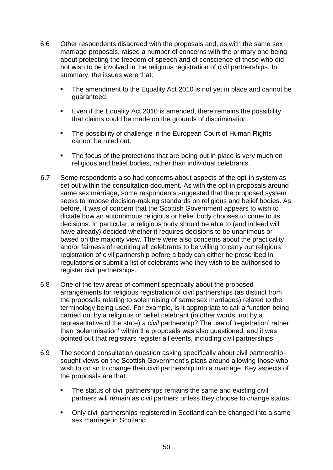- 6.6 Other respondents disagreed with the proposals and, as with the same sex marriage proposals, raised a number of concerns with the primary one being about protecting the freedom of speech and of conscience of those who did not wish to be involved in the religious registration of civil partnerships. In summary, the issues were that:
	- The amendment to the Equality Act 2010 is not yet in place and cannot be guaranteed.
	- Even if the Equality Act 2010 is amended, there remains the possibility that claims could be made on the grounds of discrimination.
	- The possibility of challenge in the European Court of Human Rights cannot be ruled out.
	- The focus of the protections that are being put in place is very much on religious and belief bodies, rather than individual celebrants.
- 6.7 Some respondents also had concerns about aspects of the opt-in system as set out within the consultation document. As with the opt-in proposals around same sex marriage, some respondents suggested that the proposed system seeks to impose decision-making standards on religious and belief bodies. As before, it was of concern that the Scottish Government appears to wish to dictate how an autonomous religious or belief body chooses to come to its decisions. In particular, a religious body should be able to (and indeed will have already) decided whether it requires decisions to be unanimous or based on the majority view. There were also concerns about the practicality and/or fairness of requiring all celebrants to be willing to carry out religious registration of civil partnership before a body can either be prescribed in regulations or submit a list of celebrants who they wish to be authorised to register civil partnerships.
- 6.8 One of the few areas of comment specifically about the proposed arrangements for religious registration of civil partnerships (as distinct from the proposals relating to solemnising of same sex marriages) related to the terminology being used. For example, is it appropriate to call a function being carried out by a religious or belief celebrant (in other words, not by a representative of the state) a *civil* partnership? The use of 'registration' rather than 'solemnisation' within the proposals was also questioned, and it was pointed out that registrars register all events, including civil partnerships.
- 6.9 The second consultation question asking specifically about civil partnership sought views on the Scottish Government's plans around allowing those who wish to do so to change their civil partnership into a marriage. Key aspects of the proposals are that:
	- The status of civil partnerships remains the same and existing civil partners will remain as civil partners unless they choose to change status.
	- Only civil partnerships registered in Scotland can be changed into a same sex marriage in Scotland.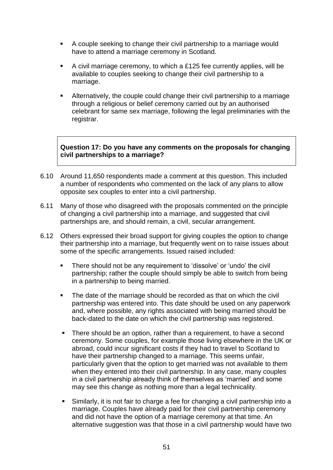- A couple seeking to change their civil partnership to a marriage would have to attend a marriage ceremony in Scotland.
- $\blacksquare$  A civil marriage ceremony, to which a £125 fee currently applies, will be available to couples seeking to change their civil partnership to a marriage.
- Alternatively, the couple could change their civil partnership to a marriage through a religious or belief ceremony carried out by an authorised celebrant for same sex marriage, following the legal preliminaries with the registrar.

**Question 17: Do you have any comments on the proposals for changing civil partnerships to a marriage?**

- 6.10 Around 11,650 respondents made a comment at this question. This included a number of respondents who commented on the lack of any plans to allow opposite sex couples to enter into a civil partnership.
- 6.11 Many of those who disagreed with the proposals commented on the principle of changing a civil partnership into a marriage, and suggested that civil partnerships are, and should remain, a civil, secular arrangement.
- 6.12 Others expressed their broad support for giving couples the option to change their partnership into a marriage, but frequently went on to raise issues about some of the specific arrangements. Issued raised included:
	- **There should not be any requirement to 'dissolve' or 'undo' the civil** partnership; rather the couple should simply be able to switch from being in a partnership to being married.
	- The date of the marriage should be recorded as that on which the civil partnership was entered into. This date should be used on any paperwork and, where possible, any rights associated with being married should be back-dated to the date on which the civil partnership was registered.
	- There should be an option, rather than a requirement, to have a second ceremony. Some couples, for example those living elsewhere in the UK or abroad, could incur significant costs if they had to travel to Scotland to have their partnership changed to a marriage. This seems unfair, particularly given that the option to get married was not available to them when they entered into their civil partnership. In any case, many couples in a civil partnership already think of themselves as 'married' and some may see this change as nothing more than a legal technicality.
	- Similarly, it is not fair to charge a fee for changing a civil partnership into a marriage. Couples have already paid for their civil partnership ceremony and did not have the option of a marriage ceremony at that time. An alternative suggestion was that those in a civil partnership would have two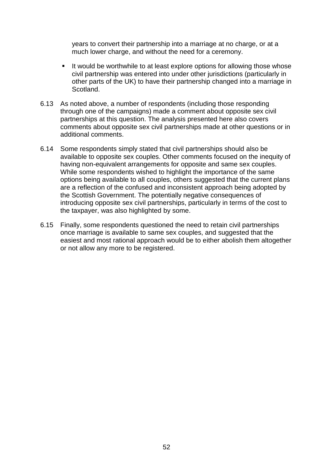years to convert their partnership into a marriage at no charge, or at a much lower charge, and without the need for a ceremony.

- It would be worthwhile to at least explore options for allowing those whose civil partnership was entered into under other jurisdictions (particularly in other parts of the UK) to have their partnership changed into a marriage in Scotland.
- 6.13 As noted above, a number of respondents (including those responding through one of the campaigns) made a comment about opposite sex civil partnerships at this question. The analysis presented here also covers comments about opposite sex civil partnerships made at other questions or in additional comments.
- 6.14 Some respondents simply stated that civil partnerships should also be available to opposite sex couples. Other comments focused on the inequity of having non-equivalent arrangements for opposite and same sex couples. While some respondents wished to highlight the importance of the same options being available to all couples, others suggested that the current plans are a reflection of the confused and inconsistent approach being adopted by the Scottish Government. The potentially negative consequences of introducing opposite sex civil partnerships, particularly in terms of the cost to the taxpayer, was also highlighted by some.
- 6.15 Finally, some respondents questioned the need to retain civil partnerships once marriage is available to same sex couples, and suggested that the easiest and most rational approach would be to either abolish them altogether or not allow any more to be registered.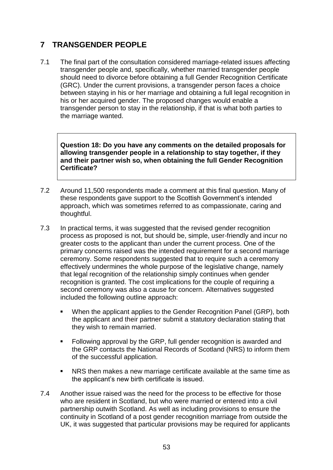## **7 TRANSGENDER PEOPLE**

7.1 The final part of the consultation considered marriage-related issues affecting transgender people and, specifically, whether married transgender people should need to divorce before obtaining a full Gender Recognition Certificate (GRC). Under the current provisions, a transgender person faces a choice between staying in his or her marriage and obtaining a full legal recognition in his or her acquired gender. The proposed changes would enable a transgender person to stay in the relationship, if that is what both parties to the marriage wanted.

**Question 18: Do you have any comments on the detailed proposals for allowing transgender people in a relationship to stay together, if they and their partner wish so, when obtaining the full Gender Recognition Certificate?**

- 7.2 Around 11,500 respondents made a comment at this final question. Many of these respondents gave support to the Scottish Government's intended approach, which was sometimes referred to as compassionate, caring and thoughtful.
- 7.3 In practical terms, it was suggested that the revised gender recognition process as proposed is not, but should be, simple, user-friendly and incur no greater costs to the applicant than under the current process. One of the primary concerns raised was the intended requirement for a second marriage ceremony. Some respondents suggested that to require such a ceremony effectively undermines the whole purpose of the legislative change, namely that legal recognition of the relationship simply continues when gender recognition is granted. The cost implications for the couple of requiring a second ceremony was also a cause for concern. Alternatives suggested included the following outline approach:
	- When the applicant applies to the Gender Recognition Panel (GRP), both the applicant and their partner submit a statutory declaration stating that they wish to remain married.
	- **F** Following approval by the GRP, full gender recognition is awarded and the GRP contacts the National Records of Scotland (NRS) to inform them of the successful application.
	- NRS then makes a new marriage certificate available at the same time as the applicant's new birth certificate is issued.
- 7.4 Another issue raised was the need for the process to be effective for those who are resident in Scotland, but who were married or entered into a civil partnership outwith Scotland. As well as including provisions to ensure the continuity in Scotland of a post gender recognition marriage from outside the UK, it was suggested that particular provisions may be required for applicants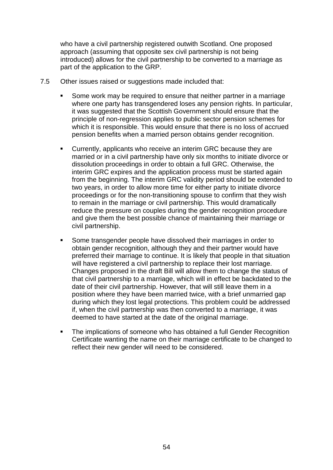who have a civil partnership registered outwith Scotland. One proposed approach (assuming that opposite sex civil partnership is not being introduced) allows for the civil partnership to be converted to a marriage as part of the application to the GRP.

- 7.5 Other issues raised or suggestions made included that:
	- Some work may be required to ensure that neither partner in a marriage where one party has transgendered loses any pension rights. In particular, it was suggested that the Scottish Government should ensure that the principle of non-regression applies to public sector pension schemes for which it is responsible. This would ensure that there is no loss of accrued pension benefits when a married person obtains gender recognition.
	- Currently, applicants who receive an interim GRC because they are married or in a civil partnership have only six months to initiate divorce or dissolution proceedings in order to obtain a full GRC. Otherwise, the interim GRC expires and the application process must be started again from the beginning. The interim GRC validity period should be extended to two years, in order to allow more time for either party to initiate divorce proceedings or for the non-transitioning spouse to confirm that they wish to remain in the marriage or civil partnership. This would dramatically reduce the pressure on couples during the gender recognition procedure and give them the best possible chance of maintaining their marriage or civil partnership.
	- Some transgender people have dissolved their marriages in order to obtain gender recognition, although they and their partner would have preferred their marriage to continue. It is likely that people in that situation will have registered a civil partnership to replace their lost marriage. Changes proposed in the draft Bill will allow them to change the status of that civil partnership to a marriage, which will in effect be backdated to the date of their civil partnership. However, that will still leave them in a position where they have been married twice, with a brief unmarried gap during which they lost legal protections. This problem could be addressed if, when the civil partnership was then converted to a marriage, it was deemed to have started at the date of the original marriage.
	- The implications of someone who has obtained a full Gender Recognition Certificate wanting the name on their marriage certificate to be changed to reflect their new gender will need to be considered.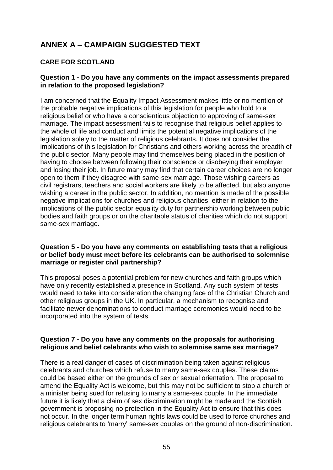# **ANNEX A – CAMPAIGN SUGGESTED TEXT**

#### **CARE FOR SCOTLAND**

#### **Question 1 - Do you have any comments on the impact assessments prepared in relation to the proposed legislation?**

I am concerned that the Equality Impact Assessment makes little or no mention of the probable negative implications of this legislation for people who hold to a religious belief or who have a conscientious objection to approving of same-sex marriage. The impact assessment fails to recognise that religious belief applies to the whole of life and conduct and limits the potential negative implications of the legislation solely to the matter of religious celebrants. It does not consider the implications of this legislation for Christians and others working across the breadth of the public sector. Many people may find themselves being placed in the position of having to choose between following their conscience or disobeying their employer and losing their job. In future many may find that certain career choices are no longer open to them if they disagree with same-sex marriage. Those wishing careers as civil registrars, teachers and social workers are likely to be affected, but also anyone wishing a career in the public sector. In addition, no mention is made of the possible negative implications for churches and religious charities, either in relation to the implications of the public sector equality duty for partnership working between public bodies and faith groups or on the charitable status of charities which do not support same-sex marriage.

#### **Question 5 - Do you have any comments on establishing tests that a religious or belief body must meet before its celebrants can be authorised to solemnise marriage or register civil partnership?**

This proposal poses a potential problem for new churches and faith groups which have only recently established a presence in Scotland. Any such system of tests would need to take into consideration the changing face of the Christian Church and other religious groups in the UK. In particular, a mechanism to recognise and facilitate newer denominations to conduct marriage ceremonies would need to be incorporated into the system of tests.

#### **Question 7 - Do you have any comments on the proposals for authorising religious and belief celebrants who wish to solemnise same sex marriage?**

There is a real danger of cases of discrimination being taken against religious celebrants and churches which refuse to marry same-sex couples. These claims could be based either on the grounds of sex or sexual orientation. The proposal to amend the Equality Act is welcome, but this may not be sufficient to stop a church or a minister being sued for refusing to marry a same-sex couple. In the immediate future it is likely that a claim of sex discrimination might be made and the Scottish government is proposing no protection in the Equality Act to ensure that this does not occur. In the longer term human rights laws could be used to force churches and religious celebrants to 'marry' same-sex couples on the ground of non-discrimination.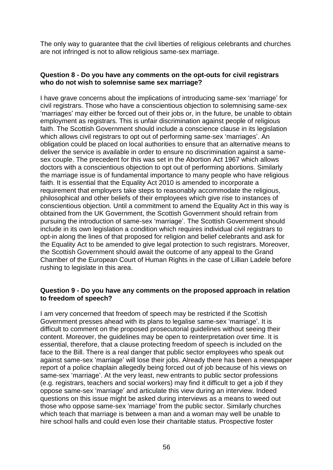The only way to guarantee that the civil liberties of religious celebrants and churches are not infringed is not to allow religious same-sex marriage.

#### **Question 8 - Do you have any comments on the opt-outs for civil registrars who do not wish to solemnise same sex marriage?**

I have grave concerns about the implications of introducing same-sex 'marriage' for civil registrars. Those who have a conscientious objection to solemnising same-sex ‗marriages' may either be forced out of their jobs or, in the future, be unable to obtain employment as registrars. This is unfair discrimination against people of religious faith. The Scottish Government should include a conscience clause in its legislation which allows civil registrars to opt out of performing same-sex 'marriages'. An obligation could be placed on local authorities to ensure that an alternative means to deliver the service is available in order to ensure no discrimination against a samesex couple. The precedent for this was set in the Abortion Act 1967 which allows doctors with a conscientious objection to opt out of performing abortions. Similarly the marriage issue is of fundamental importance to many people who have religious faith. It is essential that the Equality Act 2010 is amended to incorporate a requirement that employers take steps to reasonably accommodate the religious, philosophical and other beliefs of their employees which give rise to instances of conscientious objection. Until a commitment to amend the Equality Act in this way is obtained from the UK Government, the Scottish Government should refrain from pursuing the introduction of same-sex 'marriage'. The Scottish Government should include in its own legislation a condition which requires individual civil registrars to opt-in along the lines of that proposed for religion and belief celebrants and ask for the Equality Act to be amended to give legal protection to such registrars. Moreover, the Scottish Government should await the outcome of any appeal to the Grand Chamber of the European Court of Human Rights in the case of Lillian Ladele before rushing to legislate in this area.

#### **Question 9 - Do you have any comments on the proposed approach in relation to freedom of speech?**

I am very concerned that freedom of speech may be restricted if the Scottish Government presses ahead with its plans to legalise same-sex 'marriage'. It is difficult to comment on the proposed prosecutorial guidelines without seeing their content. Moreover, the guidelines may be open to reinterpretation over time. It is essential, therefore, that a clause protecting freedom of speech is included on the face to the Bill. There is a real danger that public sector employees who speak out against same-sex 'marriage' will lose their jobs. Already there has been a newspaper report of a police chaplain allegedly being forced out of job because of his views on same-sex 'marriage'. At the very least, new entrants to public sector professions (e.g. registrars, teachers and social workers) may find it difficult to get a job if they oppose same-sex ‗marriage' and articulate this view during an interview. Indeed questions on this issue might be asked during interviews as a means to weed out those who oppose same-sex 'marriage' from the public sector. Similarly churches which teach that marriage is between a man and a woman may well be unable to hire school halls and could even lose their charitable status. Prospective foster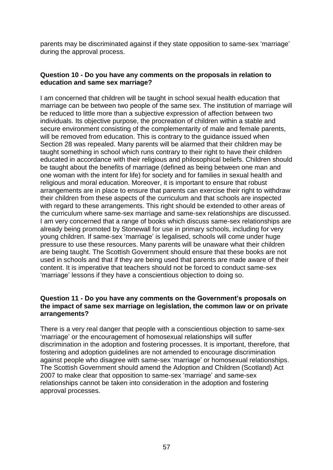parents may be discriminated against if they state opposition to same-sex 'marriage' during the approval process.

#### **Question 10 - Do you have any comments on the proposals in relation to education and same sex marriage?**

I am concerned that children will be taught in school sexual health education that marriage can be between two people of the same sex. The institution of marriage will be reduced to little more than a subjective expression of affection between two individuals. Its objective purpose, the procreation of children within a stable and secure environment consisting of the complementarity of male and female parents, will be removed from education. This is contrary to the guidance issued when Section 28 was repealed. Many parents will be alarmed that their children may be taught something in school which runs contrary to their right to have their children educated in accordance with their religious and philosophical beliefs. Children should be taught about the benefits of marriage (defined as being between one man and one woman with the intent for life) for society and for families in sexual health and religious and moral education. Moreover, it is important to ensure that robust arrangements are in place to ensure that parents can exercise their right to withdraw their children from these aspects of the curriculum and that schools are inspected with regard to these arrangements. This right should be extended to other areas of the curriculum where same-sex marriage and same-sex relationships are discussed. I am very concerned that a range of books which discuss same-sex relationships are already being promoted by Stonewall for use in primary schools, including for very young children. If same-sex 'marriage' is legalised, schools will come under huge pressure to use these resources. Many parents will be unaware what their children are being taught. The Scottish Government should ensure that these books are not used in schools and that if they are being used that parents are made aware of their content. It is imperative that teachers should not be forced to conduct same-sex ‗marriage' lessons if they have a conscientious objection to doing so.

#### **Question 11 - Do you have any comments on the Government's proposals on the impact of same sex marriage on legislation, the common law or on private arrangements?**

There is a very real danger that people with a conscientious objection to same-sex ‗marriage' or the encouragement of homosexual relationships will suffer discrimination in the adoption and fostering processes. It is important, therefore, that fostering and adoption guidelines are not amended to encourage discrimination against people who disagree with same-sex 'marriage' or homosexual relationships. The Scottish Government should amend the Adoption and Children (Scotland) Act 2007 to make clear that opposition to same-sex 'marriage' and same-sex relationships cannot be taken into consideration in the adoption and fostering approval processes.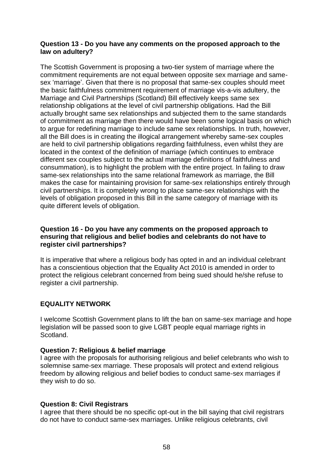#### **Question 13 - Do you have any comments on the proposed approach to the law on adultery?**

The Scottish Government is proposing a two-tier system of marriage where the commitment requirements are not equal between opposite sex marriage and samesex 'marriage'. Given that there is no proposal that same-sex couples should meet the basic faithfulness commitment requirement of marriage vis-a-vis adultery, the Marriage and Civil Partnerships (Scotland) Bill effectively keeps same sex relationship obligations at the level of civil partnership obligations. Had the Bill actually brought same sex relationships and subjected them to the same standards of commitment as marriage then there would have been some logical basis on which to argue for redefining marriage to include same sex relationships. In truth, however, all the Bill does is in creating the illogical arrangement whereby same-sex couples are held to civil partnership obligations regarding faithfulness, even whilst they are located in the context of the definition of marriage (which continues to embrace different sex couples subject to the actual marriage definitions of faithfulness and consummation), is to highlight the problem with the entire project. In failing to draw same-sex relationships into the same relational framework as marriage, the Bill makes the case for maintaining provision for same-sex relationships entirely through civil partnerships. It is completely wrong to place same-sex relationships with the levels of obligation proposed in this Bill in the same category of marriage with its quite different levels of obligation.

#### **Question 16 - Do you have any comments on the proposed approach to ensuring that religious and belief bodies and celebrants do not have to register civil partnerships?**

It is imperative that where a religious body has opted in and an individual celebrant has a conscientious objection that the Equality Act 2010 is amended in order to protect the religious celebrant concerned from being sued should he/she refuse to register a civil partnership.

#### **EQUALITY NETWORK**

I welcome Scottish Government plans to lift the ban on same-sex marriage and hope legislation will be passed soon to give LGBT people equal marriage rights in Scotland.

#### **Question 7: Religious & belief marriage**

I agree with the proposals for authorising religious and belief celebrants who wish to solemnise same-sex marriage. These proposals will protect and extend religious freedom by allowing religious and belief bodies to conduct same-sex marriages if they wish to do so.

#### **Question 8: Civil Registrars**

I agree that there should be no specific opt-out in the bill saying that civil registrars do not have to conduct same-sex marriages. Unlike religious celebrants, civil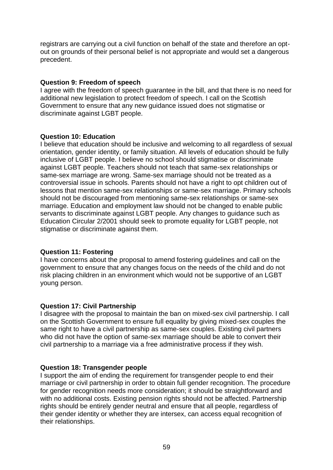registrars are carrying out a civil function on behalf of the state and therefore an optout on grounds of their personal belief is not appropriate and would set a dangerous precedent.

#### **Question 9: Freedom of speech**

I agree with the freedom of speech guarantee in the bill, and that there is no need for additional new legislation to protect freedom of speech. I call on the Scottish Government to ensure that any new guidance issued does not stigmatise or discriminate against LGBT people.

#### **Question 10: Education**

I believe that education should be inclusive and welcoming to all regardless of sexual orientation, gender identity, or family situation. All levels of education should be fully inclusive of LGBT people. I believe no school should stigmatise or discriminate against LGBT people. Teachers should not teach that same-sex relationships or same-sex marriage are wrong. Same-sex marriage should not be treated as a controversial issue in schools. Parents should not have a right to opt children out of lessons that mention same-sex relationships or same-sex marriage. Primary schools should not be discouraged from mentioning same-sex relationships or same-sex marriage. Education and employment law should not be changed to enable public servants to discriminate against LGBT people. Any changes to guidance such as Education Circular 2/2001 should seek to promote equality for LGBT people, not stigmatise or discriminate against them.

#### **Question 11: Fostering**

I have concerns about the proposal to amend fostering guidelines and call on the government to ensure that any changes focus on the needs of the child and do not risk placing children in an environment which would not be supportive of an LGBT young person.

#### **Question 17: Civil Partnership**

I disagree with the proposal to maintain the ban on mixed-sex civil partnership. I call on the Scottish Government to ensure full equality by giving mixed-sex couples the same right to have a civil partnership as same-sex couples. Existing civil partners who did not have the option of same-sex marriage should be able to convert their civil partnership to a marriage via a free administrative process if they wish.

#### **Question 18: Transgender people**

I support the aim of ending the requirement for transgender people to end their marriage or civil partnership in order to obtain full gender recognition. The procedure for gender recognition needs more consideration; it should be straightforward and with no additional costs. Existing pension rights should not be affected. Partnership rights should be entirely gender neutral and ensure that all people, regardless of their gender identity or whether they are intersex, can access equal recognition of their relationships.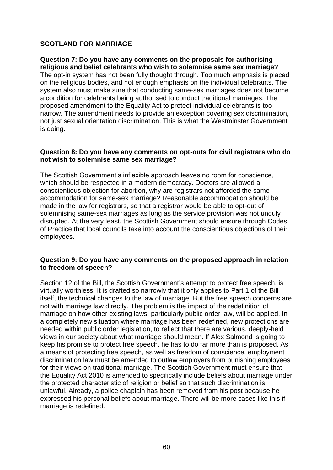#### **SCOTLAND FOR MARRIAGE**

**Question 7: Do you have any comments on the proposals for authorising religious and belief celebrants who wish to solemnise same sex marriage?**  The opt-in system has not been fully thought through. Too much emphasis is placed on the religious bodies, and not enough emphasis on the individual celebrants. The system also must make sure that conducting same-sex marriages does not become a condition for celebrants being authorised to conduct traditional marriages. The proposed amendment to the Equality Act to protect individual celebrants is too narrow. The amendment needs to provide an exception covering sex discrimination, not just sexual orientation discrimination. This is what the Westminster Government is doing.

#### **Question 8: Do you have any comments on opt-outs for civil registrars who do not wish to solemnise same sex marriage?**

The Scottish Government's inflexible approach leaves no room for conscience, which should be respected in a modern democracy. Doctors are allowed a conscientious objection for abortion, why are registrars not afforded the same accommodation for same-sex marriage? Reasonable accommodation should be made in the law for registrars, so that a registrar would be able to opt-out of solemnising same-sex marriages as long as the service provision was not unduly disrupted. At the very least, the Scottish Government should ensure through Codes of Practice that local councils take into account the conscientious objections of their employees.

#### **Question 9: Do you have any comments on the proposed approach in relation to freedom of speech?**

Section 12 of the Bill, the Scottish Government's attempt to protect free speech, is virtually worthless. It is drafted so narrowly that it only applies to Part 1 of the Bill itself, the technical changes to the law of marriage. But the free speech concerns are not with marriage law directly. The problem is the impact of the redefinition of marriage on how other existing laws, particularly public order law, will be applied. In a completely new situation where marriage has been redefined, new protections are needed within public order legislation, to reflect that there are various, deeply-held views in our society about what marriage should mean. If Alex Salmond is going to keep his promise to protect free speech, he has to do far more than is proposed. As a means of protecting free speech, as well as freedom of conscience, employment discrimination law must be amended to outlaw employers from punishing employees for their views on traditional marriage. The Scottish Government must ensure that the Equality Act 2010 is amended to specifically include beliefs about marriage under the protected characteristic of religion or belief so that such discrimination is unlawful. Already, a police chaplain has been removed from his post because he expressed his personal beliefs about marriage. There will be more cases like this if marriage is redefined.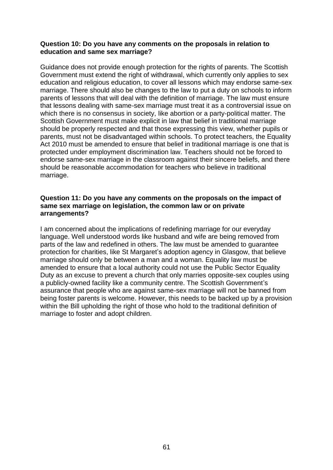#### **Question 10: Do you have any comments on the proposals in relation to education and same sex marriage?**

Guidance does not provide enough protection for the rights of parents. The Scottish Government must extend the right of withdrawal, which currently only applies to sex education and religious education, to cover all lessons which may endorse same-sex marriage. There should also be changes to the law to put a duty on schools to inform parents of lessons that will deal with the definition of marriage. The law must ensure that lessons dealing with same-sex marriage must treat it as a controversial issue on which there is no consensus in society, like abortion or a party-political matter. The Scottish Government must make explicit in law that belief in traditional marriage should be properly respected and that those expressing this view, whether pupils or parents, must not be disadvantaged within schools. To protect teachers, the Equality Act 2010 must be amended to ensure that belief in traditional marriage is one that is protected under employment discrimination law. Teachers should not be forced to endorse same-sex marriage in the classroom against their sincere beliefs, and there should be reasonable accommodation for teachers who believe in traditional marriage.

#### **Question 11: Do you have any comments on the proposals on the impact of same sex marriage on legislation, the common law or on private arrangements?**

I am concerned about the implications of redefining marriage for our everyday language. Well understood words like husband and wife are being removed from parts of the law and redefined in others. The law must be amended to guarantee protection for charities, like St Margaret's adoption agency in Glasgow, that believe marriage should only be between a man and a woman. Equality law must be amended to ensure that a local authority could not use the Public Sector Equality Duty as an excuse to prevent a church that only marries opposite-sex couples using a publicly-owned facility like a community centre. The Scottish Government's assurance that people who are against same-sex marriage will not be banned from being foster parents is welcome. However, this needs to be backed up by a provision within the Bill upholding the right of those who hold to the traditional definition of marriage to foster and adopt children.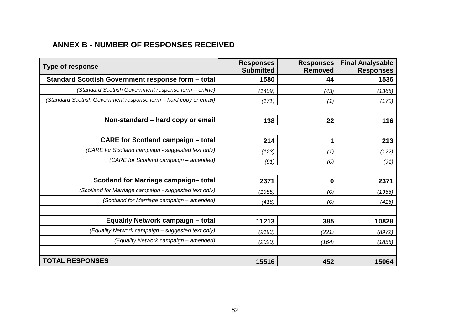# **ANNEX B - NUMBER OF RESPONSES RECEIVED**

| <b>Type of response</b>                                           | <b>Responses</b><br><b>Submitted</b> | <b>Responses</b><br><b>Removed</b> | <b>Final Analysable</b><br><b>Responses</b> |
|-------------------------------------------------------------------|--------------------------------------|------------------------------------|---------------------------------------------|
| Standard Scottish Government response form - total                | 1580                                 | 44                                 | 1536                                        |
| (Standard Scottish Government response form - online)             | (1409)                               | (43)                               | (1366)                                      |
| (Standard Scottish Government response form - hard copy or email) | (171)                                | (1)                                | (170)                                       |
| Non-standard - hard copy or email                                 | 138                                  | 22                                 | 116                                         |
| <b>CARE for Scotland campaign - total</b>                         | 214                                  |                                    | 213                                         |
| (CARE for Scotland campaign - suggested text only)                | (123)                                | (1)                                | (122)                                       |
| (CARE for Scotland campaign - amended)                            | (91)                                 | (0)                                | (91)                                        |
|                                                                   |                                      |                                    |                                             |
| Scotland for Marriage campaign-total                              | 2371                                 | 0                                  | 2371                                        |
| (Scotland for Marriage campaign - suggested text only)            | (1955)                               | (0)                                | (1955)                                      |
| (Scotland for Marriage campaign - amended)                        | (416)                                | (0)                                | (416)                                       |
|                                                                   |                                      |                                    |                                             |
| <b>Equality Network campaign - total</b>                          | 11213                                | 385                                | 10828                                       |
| (Equality Network campaign - suggested text only)                 | (9193)                               | (221)                              | (8972)                                      |
| (Equality Network campaign - amended)                             | (2020)                               | (164)                              | (1856)                                      |
|                                                                   |                                      |                                    |                                             |
| <b>TOTAL RESPONSES</b>                                            | 15516                                | 452                                | 15064                                       |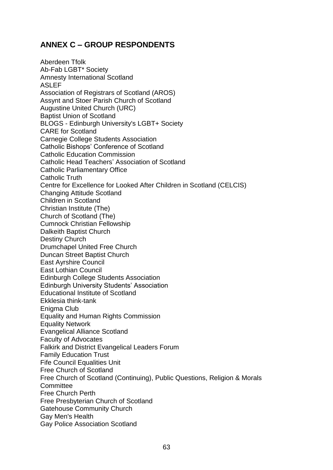## **ANNEX C – GROUP RESPONDENTS**

Aberdeen Tfolk Ab-Fab LGBT\* Society Amnesty International Scotland ASLEF Association of Registrars of Scotland (AROS) Assynt and Stoer Parish Church of Scotland Augustine United Church (URC) Baptist Union of Scotland BLOGS - Edinburgh University's LGBT+ Society CARE for Scotland Carnegie College Students Association Catholic Bishops' Conference of Scotland Catholic Education Commission Catholic Head Teachers' Association of Scotland Catholic Parliamentary Office Catholic Truth Centre for Excellence for Looked After Children in Scotland (CELCIS) Changing Attitude Scotland Children in Scotland Christian Institute (The) Church of Scotland (The) Cumnock Christian Fellowship Dalkeith Baptist Church Destiny Church Drumchapel United Free Church Duncan Street Baptist Church East Ayrshire Council East Lothian Council Edinburgh College Students Association Edinburgh University Students' Association Educational Institute of Scotland Ekklesia think-tank Enigma Club Equality and Human Rights Commission Equality Network Evangelical Alliance Scotland Faculty of Advocates Falkirk and District Evangelical Leaders Forum Family Education Trust Fife Council Equalities Unit Free Church of Scotland Free Church of Scotland (Continuing), Public Questions, Religion & Morals **Committee** Free Church Perth Free Presbyterian Church of Scotland Gatehouse Community Church Gay Men's Health Gay Police Association Scotland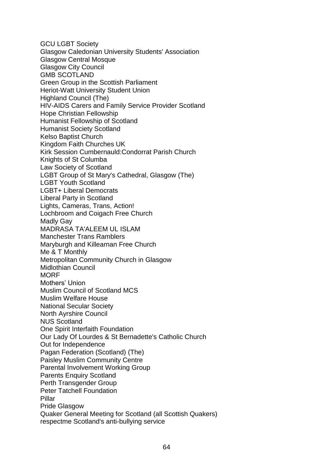GCU LGBT Society Glasgow Caledonian University Students' Association Glasgow Central Mosque Glasgow City Council GMB SCOTLAND Green Group in the Scottish Parliament Heriot-Watt University Student Union Highland Council (The) HIV-AIDS Carers and Family Service Provider Scotland Hope Christian Fellowship Humanist Fellowship of Scotland Humanist Society Scotland Kelso Baptist Church Kingdom Faith Churches UK Kirk Session Cumbernauld:Condorrat Parish Church Knights of St Columba Law Society of Scotland LGBT Group of St Mary's Cathedral, Glasgow (The) LGBT Youth Scotland LGBT+ Liberal Democrats Liberal Party in Scotland Lights, Cameras, Trans, Action! Lochbroom and Coigach Free Church Madly Gay MADRASA TA'ALEEM UL ISLAM Manchester Trans Ramblers Maryburgh and Killearnan Free Church Me & T Monthly Metropolitan Community Church in Glasgow Midlothian Council **MORF** Mothers' Union Muslim Council of Scotland MCS Muslim Welfare House National Secular Society North Ayrshire Council NUS Scotland One Spirit Interfaith Foundation Our Lady Of Lourdes & St Bernadette's Catholic Church Out for Independence Pagan Federation (Scotland) (The) Paisley Muslim Community Centre Parental Involvement Working Group Parents Enquiry Scotland Perth Transgender Group Peter Tatchell Foundation Pillar Pride Glasgow Quaker General Meeting for Scotland (all Scottish Quakers) respectme Scotland's anti-bullying service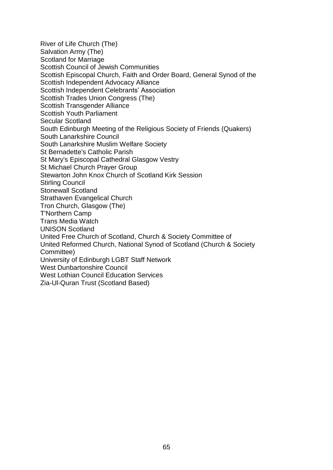River of Life Church (The) Salvation Army (The) Scotland for Marriage Scottish Council of Jewish Communities Scottish Episcopal Church, Faith and Order Board, General Synod of the Scottish Independent Advocacy Alliance Scottish Independent Celebrants' Association Scottish Trades Union Congress (The) Scottish Transgender Alliance Scottish Youth Parliament Secular Scotland South Edinburgh Meeting of the Religious Society of Friends (Quakers) South Lanarkshire Council South Lanarkshire Muslim Welfare Society St Bernadette's Catholic Parish St Mary's Episcopal Cathedral Glasgow Vestry St Michael Church Prayer Group Stewarton John Knox Church of Scotland Kirk Session Stirling Council Stonewall Scotland Strathaven Evangelical Church Tron Church, Glasgow (The) T'Northern Camp Trans Media Watch UNISON Scotland United Free Church of Scotland, Church & Society Committee of United Reformed Church, National Synod of Scotland (Church & Society Committee) University of Edinburgh LGBT Staff Network West Dunbartonshire Council West Lothian Council Education Services Zia-Ul-Quran Trust (Scotland Based)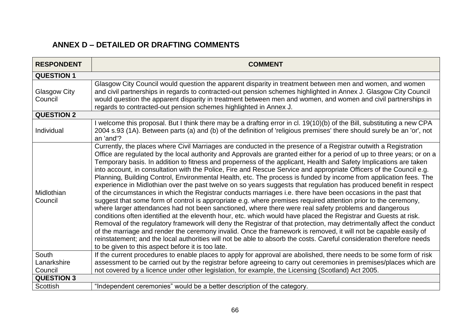# **ANNEX D – DETAILED OR DRAFTING COMMENTS**

| <b>RESPONDENT</b>              | <b>COMMENT</b>                                                                                                                                                                                                                                                                                                                                                                                                                                                                                                                                                                                                                                                                                                                                                                                                                                                                                                                                                                                                                                                                                                                                                                                                                                                                                                                                                                                                                                                                                                                                                                                                              |  |  |
|--------------------------------|-----------------------------------------------------------------------------------------------------------------------------------------------------------------------------------------------------------------------------------------------------------------------------------------------------------------------------------------------------------------------------------------------------------------------------------------------------------------------------------------------------------------------------------------------------------------------------------------------------------------------------------------------------------------------------------------------------------------------------------------------------------------------------------------------------------------------------------------------------------------------------------------------------------------------------------------------------------------------------------------------------------------------------------------------------------------------------------------------------------------------------------------------------------------------------------------------------------------------------------------------------------------------------------------------------------------------------------------------------------------------------------------------------------------------------------------------------------------------------------------------------------------------------------------------------------------------------------------------------------------------------|--|--|
| <b>QUESTION 1</b>              |                                                                                                                                                                                                                                                                                                                                                                                                                                                                                                                                                                                                                                                                                                                                                                                                                                                                                                                                                                                                                                                                                                                                                                                                                                                                                                                                                                                                                                                                                                                                                                                                                             |  |  |
| <b>Glasgow City</b><br>Council | Glasgow City Council would question the apparent disparity in treatment between men and women, and women<br>and civil partnerships in regards to contracted-out pension schemes highlighted in Annex J. Glasgow City Council<br>would question the apparent disparity in treatment between men and women, and women and civil partnerships in<br>regards to contracted-out pension schemes highlighted in Annex J.                                                                                                                                                                                                                                                                                                                                                                                                                                                                                                                                                                                                                                                                                                                                                                                                                                                                                                                                                                                                                                                                                                                                                                                                          |  |  |
| <b>QUESTION 2</b>              |                                                                                                                                                                                                                                                                                                                                                                                                                                                                                                                                                                                                                                                                                                                                                                                                                                                                                                                                                                                                                                                                                                                                                                                                                                                                                                                                                                                                                                                                                                                                                                                                                             |  |  |
| Individual                     | I welcome this proposal. But I think there may be a drafting error in cl. 19(10)(b) of the Bill, substituting a new CPA<br>2004 s.93 (1A). Between parts (a) and (b) of the definition of 'religious premises' there should surely be an 'or', not<br>an 'and'?                                                                                                                                                                                                                                                                                                                                                                                                                                                                                                                                                                                                                                                                                                                                                                                                                                                                                                                                                                                                                                                                                                                                                                                                                                                                                                                                                             |  |  |
| Midlothian<br>Council          | Currently, the places where Civil Marriages are conducted in the presence of a Registrar outwith a Registration<br>Office are regulated by the local authority and Approvals are granted either for a period of up to three years; or on a<br>Temporary basis. In addition to fitness and properness of the applicant, Health and Safety Implications are taken<br>into account, in consultation with the Police, Fire and Rescue Service and appropriate Officers of the Council e.g.<br>Planning, Building Control, Environmental Health, etc. The process is funded by income from application fees. The<br>experience in Midlothian over the past twelve on so years suggests that regulation has produced benefit in respect<br>of the circumstances in which the Registrar conducts marriages i.e. there have been occasions in the past that<br>suggest that some form of control is appropriate e.g. where premises required attention prior to the ceremony,<br>where larger attendances had not been sanctioned, where there were real safety problems and dangerous<br>conditions often identified at the eleventh hour, etc. which would have placed the Registrar and Guests at risk.<br>Removal of the regulatory framework will deny the Registrar of that protection, may detrimentally affect the conduct<br>of the marriage and render the ceremony invalid. Once the framework is removed, it will not be capable easily of<br>reinstatement; and the local authorities will not be able to absorb the costs. Careful consideration therefore needs<br>to be given to this aspect before it is too late. |  |  |
| South                          | If the current procedures to enable places to apply for approval are abolished, there needs to be some form of risk                                                                                                                                                                                                                                                                                                                                                                                                                                                                                                                                                                                                                                                                                                                                                                                                                                                                                                                                                                                                                                                                                                                                                                                                                                                                                                                                                                                                                                                                                                         |  |  |
| Lanarkshire                    | assessment to be carried out by the registrar before agreeing to carry out ceremonies in premises/places which are                                                                                                                                                                                                                                                                                                                                                                                                                                                                                                                                                                                                                                                                                                                                                                                                                                                                                                                                                                                                                                                                                                                                                                                                                                                                                                                                                                                                                                                                                                          |  |  |
| Council                        | not covered by a licence under other legislation, for example, the Licensing (Scotland) Act 2005.                                                                                                                                                                                                                                                                                                                                                                                                                                                                                                                                                                                                                                                                                                                                                                                                                                                                                                                                                                                                                                                                                                                                                                                                                                                                                                                                                                                                                                                                                                                           |  |  |
| <b>QUESTION 3</b>              |                                                                                                                                                                                                                                                                                                                                                                                                                                                                                                                                                                                                                                                                                                                                                                                                                                                                                                                                                                                                                                                                                                                                                                                                                                                                                                                                                                                                                                                                                                                                                                                                                             |  |  |
| <b>Scottish</b>                | "Independent ceremonies" would be a better description of the category.                                                                                                                                                                                                                                                                                                                                                                                                                                                                                                                                                                                                                                                                                                                                                                                                                                                                                                                                                                                                                                                                                                                                                                                                                                                                                                                                                                                                                                                                                                                                                     |  |  |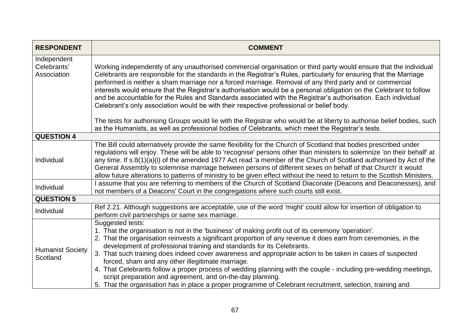| <b>RESPONDENT</b>                         | <b>COMMENT</b>                                                                                                                                                                                                                                                                                                                                                                                                                                                                                                                                                                                                                                                                                                                                                                          |
|-------------------------------------------|-----------------------------------------------------------------------------------------------------------------------------------------------------------------------------------------------------------------------------------------------------------------------------------------------------------------------------------------------------------------------------------------------------------------------------------------------------------------------------------------------------------------------------------------------------------------------------------------------------------------------------------------------------------------------------------------------------------------------------------------------------------------------------------------|
| Independent<br>Celebrants'<br>Association | Working independently of any unauthorised commercial organisation or third party would ensure that the individual<br>Celebrants are responsible for the standards in the Registrar's Rules, particularly for ensuring that the Marriage<br>performed is neither a sham marriage nor a forced marriage. Removal of any third party and or commercial<br>interests would ensure that the Registrar's authorisation would be a personal obligation on the Celebrant to follow<br>and be accountable for the Rules and Standards associated with the Registrar's authorisation. Each individual<br>Celebrant's only association would be with their respective professional or belief body.                                                                                                 |
|                                           | The tests for authorising Groups would lie with the Registrar who would be at liberty to authorise belief bodies, such<br>as the Humanists, as well as professional bodies of Celebrants, which meet the Registrar's tests.                                                                                                                                                                                                                                                                                                                                                                                                                                                                                                                                                             |
| <b>QUESTION 4</b>                         |                                                                                                                                                                                                                                                                                                                                                                                                                                                                                                                                                                                                                                                                                                                                                                                         |
| Individual                                | The Bill could alternatively provide the same flexibility for the Church of Scotland that bodies prescribed under<br>regulations will enjoy. These will be able to 'recognise' persons other than ministers to solemnize 'on their behalf' at<br>any time. If s.8(1)(a)(i) of the amended 1977 Act read 'a member of the Church of Scotland authorised by Act of the<br>General Assembly to solemnise marriage between persons of different sexes on behalf of that Church' it would<br>allow future alterations to patterns of ministry to be given effect without the need to return to the Scottish Ministers.                                                                                                                                                                       |
| Individual                                | I assume that you are referring to members of the Church of Scotland Diaconate (Deacons and Deaconesses), and<br>not members of a Deacons' Court in the congregations where such courts still exist.                                                                                                                                                                                                                                                                                                                                                                                                                                                                                                                                                                                    |
| <b>QUESTION 5</b>                         |                                                                                                                                                                                                                                                                                                                                                                                                                                                                                                                                                                                                                                                                                                                                                                                         |
| Individual                                | Ref 2.21. Although suggestions are acceptable, use of the word 'might' could allow for insertion of obligation to<br>perform civil partnerships or same sex marriage.                                                                                                                                                                                                                                                                                                                                                                                                                                                                                                                                                                                                                   |
| <b>Humanist Society</b><br>Scotland       | Suggested tests:<br>1. That the organisation is not in the 'business' of making profit out of its ceremony 'operation'.<br>2. That the organisation reinvests a significant proportion of any revenue it does earn from ceremonies, in the<br>development of professional training and standards for its Celebrants.<br>3. That such training does indeed cover awareness and appropriate action to be taken in cases of suspected<br>forced, sham and any other illegitimate marriage.<br>4. That Celebrants follow a proper process of wedding planning with the couple - including pre-wedding meetings,<br>script preparation and agreement, and on-the-day planning.<br>5. That the organisation has in place a proper programme of Celebrant recruitment, selection, training and |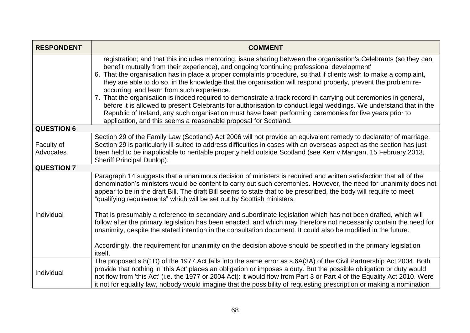| <b>RESPONDENT</b>       | <b>COMMENT</b>                                                                                                                                                                                                                                                                                                                                                                                                                                                                                                                                                                                                                                                                                                                                                                                                                                                                                                            |  |  |
|-------------------------|---------------------------------------------------------------------------------------------------------------------------------------------------------------------------------------------------------------------------------------------------------------------------------------------------------------------------------------------------------------------------------------------------------------------------------------------------------------------------------------------------------------------------------------------------------------------------------------------------------------------------------------------------------------------------------------------------------------------------------------------------------------------------------------------------------------------------------------------------------------------------------------------------------------------------|--|--|
|                         | registration; and that this includes mentoring, issue sharing between the organisation's Celebrants (so they can<br>benefit mutually from their experience), and ongoing 'continuing professional development'<br>6. That the organisation has in place a proper complaints procedure, so that if clients wish to make a complaint,<br>they are able to do so, in the knowledge that the organisation will respond properly, prevent the problem re-<br>occurring, and learn from such experience.<br>7. That the organisation is indeed required to demonstrate a track record in carrying out ceremonies in general,<br>before it is allowed to present Celebrants for authorisation to conduct legal weddings. We understand that in the<br>Republic of Ireland, any such organisation must have been performing ceremonies for five years prior to<br>application, and this seems a reasonable proposal for Scotland. |  |  |
| <b>QUESTION 6</b>       |                                                                                                                                                                                                                                                                                                                                                                                                                                                                                                                                                                                                                                                                                                                                                                                                                                                                                                                           |  |  |
| Faculty of<br>Advocates | Section 29 of the Family Law (Scotland) Act 2006 will not provide an equivalent remedy to declarator of marriage.<br>Section 29 is particularly ill-suited to address difficulties in cases with an overseas aspect as the section has just<br>been held to be inapplicable to heritable property held outside Scotland (see Kerr v Mangan, 15 February 2013,<br>Sheriff Principal Dunlop).                                                                                                                                                                                                                                                                                                                                                                                                                                                                                                                               |  |  |
| <b>QUESTION 7</b>       |                                                                                                                                                                                                                                                                                                                                                                                                                                                                                                                                                                                                                                                                                                                                                                                                                                                                                                                           |  |  |
| Individual              | Paragraph 14 suggests that a unanimous decision of ministers is required and written satisfaction that all of the<br>denomination's ministers would be content to carry out such ceremonies. However, the need for unanimity does not<br>appear to be in the draft Bill. The draft Bill seems to state that to be prescribed, the body will require to meet<br>"qualifying requirements" which will be set out by Scottish ministers.                                                                                                                                                                                                                                                                                                                                                                                                                                                                                     |  |  |
|                         | That is presumably a reference to secondary and subordinate legislation which has not been drafted, which will<br>follow after the primary legislation has been enacted, and which may therefore not necessarily contain the need for<br>unanimity, despite the stated intention in the consultation document. It could also be modified in the future.<br>Accordingly, the requirement for unanimity on the decision above should be specified in the primary legislation<br>itself.                                                                                                                                                                                                                                                                                                                                                                                                                                     |  |  |
| Individual              | The proposed s.8(1D) of the 1977 Act falls into the same error as s.6A(3A) of the Civil Partnership Act 2004. Both<br>provide that nothing in 'this Act' places an obligation or imposes a duty. But the possible obligation or duty would<br>not flow from 'this Act' (i.e. the 1977 or 2004 Act): it would flow from Part 3 or Part 4 of the Equality Act 2010. Were<br>it not for equality law, nobody would imagine that the possibility of requesting prescription or making a nomination                                                                                                                                                                                                                                                                                                                                                                                                                            |  |  |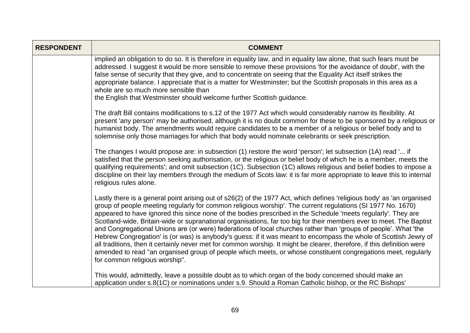| <b>RESPONDENT</b> | <b>COMMENT</b>                                                                                                                                                                                                                                                                                                                                                                                                                                                                                                                                                                                                                                                                                                                                                                                                                                                                                                                                                                                     |
|-------------------|----------------------------------------------------------------------------------------------------------------------------------------------------------------------------------------------------------------------------------------------------------------------------------------------------------------------------------------------------------------------------------------------------------------------------------------------------------------------------------------------------------------------------------------------------------------------------------------------------------------------------------------------------------------------------------------------------------------------------------------------------------------------------------------------------------------------------------------------------------------------------------------------------------------------------------------------------------------------------------------------------|
|                   | implied an obligation to do so. It is therefore in equality law, and in equality law alone, that such fears must be<br>addressed. I suggest it would be more sensible to remove these provisions 'for the avoidance of doubt', with the<br>false sense of security that they give, and to concentrate on seeing that the Equality Act itself strikes the<br>appropriate balance. I appreciate that is a matter for Westminster; but the Scottish proposals in this area as a<br>whole are so much more sensible than<br>the English that Westminster should welcome further Scottish guidance.                                                                                                                                                                                                                                                                                                                                                                                                     |
|                   | The draft Bill contains modifications to s.12 of the 1977 Act which would considerably narrow its flexibility. At<br>present 'any person' may be authorised, although it is no doubt common for these to be sponsored by a religious or<br>humanist body. The amendments would require candidates to be a member of a religious or belief body and to<br>solemnise only those marriages for which that body would nominate celebrants or seek prescription.                                                                                                                                                                                                                                                                                                                                                                                                                                                                                                                                        |
|                   | The changes I would propose are: in subsection (1) restore the word 'person'; let subsection (1A) read ' if<br>satisfied that the person seeking authorisation, or the religious or belief body of which he is a member, meets the<br>qualifying requirements'; and omit subsection (1C). Subsection (1C) allows religious and belief bodies to impose a<br>discipline on their lay members through the medium of Scots law: it is far more appropriate to leave this to internal<br>religious rules alone.                                                                                                                                                                                                                                                                                                                                                                                                                                                                                        |
|                   | Lastly there is a general point arising out of s26(2) of the 1977 Act, which defines 'religious body' as 'an organised<br>group of people meeting regularly for common religious worship'. The current regulations (SI 1977 No. 1670)<br>appeared to have ignored this since none of the bodies prescribed in the Schedule 'meets regularly'. They are<br>Scotland-wide, Britain-wide or supranational organisations, far too big for their members ever to meet. The Baptist<br>and Congregational Unions are (or were) federations of local churches rather than 'groups of people'. What 'the<br>Hebrew Congregation' is (or was) is anybody's guess: if it was meant to encompass the whole of Scottish Jewry of<br>all traditions, then it certainly never met for common worship. It might be clearer, therefore, if this definition were<br>amended to read "an organised group of people which meets, or whose constituent congregations meet, regularly<br>for common religious worship". |
|                   | This would, admittedly, leave a possible doubt as to which organ of the body concerned should make an<br>application under s.8(1C) or nominations under s.9. Should a Roman Catholic bishop, or the RC Bishops'                                                                                                                                                                                                                                                                                                                                                                                                                                                                                                                                                                                                                                                                                                                                                                                    |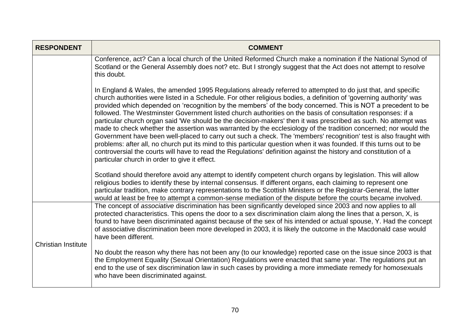| <b>RESPONDENT</b>          | <b>COMMENT</b>                                                                                                                                                                                                                                                                                                                                                                                                                                                                                                                                                                                                                                                                                                                                                                                                                                                                                                                                                                                                                                                                                                           |
|----------------------------|--------------------------------------------------------------------------------------------------------------------------------------------------------------------------------------------------------------------------------------------------------------------------------------------------------------------------------------------------------------------------------------------------------------------------------------------------------------------------------------------------------------------------------------------------------------------------------------------------------------------------------------------------------------------------------------------------------------------------------------------------------------------------------------------------------------------------------------------------------------------------------------------------------------------------------------------------------------------------------------------------------------------------------------------------------------------------------------------------------------------------|
|                            | Conference, act? Can a local church of the United Reformed Church make a nomination if the National Synod of<br>Scotland or the General Assembly does not? etc. But I strongly suggest that the Act does not attempt to resolve<br>this doubt.                                                                                                                                                                                                                                                                                                                                                                                                                                                                                                                                                                                                                                                                                                                                                                                                                                                                           |
|                            | In England & Wales, the amended 1995 Regulations already referred to attempted to do just that, and specific<br>church authorities were listed in a Schedule. For other religious bodies, a definition of 'governing authority' was<br>provided which depended on 'recognition by the members' of the body concerned. This is NOT a precedent to be<br>followed. The Westminster Government listed church authorities on the basis of consultation responses: if a<br>particular church organ said 'We should be the decision-makers' then it was prescribed as such. No attempt was<br>made to check whether the assertion was warranted by the ecclesiology of the tradition concerned; nor would the<br>Government have been well-placed to carry out such a check. The 'members' recognition' test is also fraught with<br>problems: after all, no church put its mind to this particular question when it was founded. If this turns out to be<br>controversial the courts will have to read the Regulations' definition against the history and constitution of a<br>particular church in order to give it effect. |
|                            | Scotland should therefore avoid any attempt to identify competent church organs by legislation. This will allow<br>religious bodies to identify these by internal consensus. If different organs, each claiming to represent one<br>particular tradition, make contrary representations to the Scottish Ministers or the Registrar-General, the latter<br>would at least be free to attempt a common-sense mediation of the dispute before the courts became involved.                                                                                                                                                                                                                                                                                                                                                                                                                                                                                                                                                                                                                                                   |
| <b>Christian Institute</b> | The concept of associative discrimination has been significantly developed since 2003 and now applies to all<br>protected characteristics. This opens the door to a sex discrimination claim along the lines that a person, X, is<br>found to have been discriminated against because of the sex of his intended or actual spouse, Y. Had the concept<br>of associative discrimination been more developed in 2003, it is likely the outcome in the Macdonald case would<br>have been different.                                                                                                                                                                                                                                                                                                                                                                                                                                                                                                                                                                                                                         |
|                            | No doubt the reason why there has not been any (to our knowledge) reported case on the issue since 2003 is that<br>the Employment Equality (Sexual Orientation) Regulations were enacted that same year. The regulations put an<br>end to the use of sex discrimination law in such cases by providing a more immediate remedy for homosexuals<br>who have been discriminated against.                                                                                                                                                                                                                                                                                                                                                                                                                                                                                                                                                                                                                                                                                                                                   |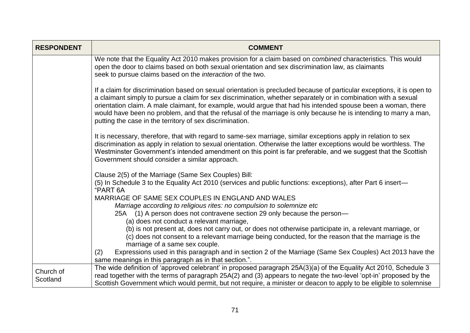| <b>RESPONDENT</b> | <b>COMMENT</b>                                                                                                                                                                                                                                                                                                                                                                                                                                                                                                                            |
|-------------------|-------------------------------------------------------------------------------------------------------------------------------------------------------------------------------------------------------------------------------------------------------------------------------------------------------------------------------------------------------------------------------------------------------------------------------------------------------------------------------------------------------------------------------------------|
|                   | We note that the Equality Act 2010 makes provision for a claim based on combined characteristics. This would<br>open the door to claims based on both sexual orientation and sex discrimination law, as claimants<br>seek to pursue claims based on the <i>interaction</i> of the two.                                                                                                                                                                                                                                                    |
|                   | If a claim for discrimination based on sexual orientation is precluded because of particular exceptions, it is open to<br>a claimant simply to pursue a claim for sex discrimination, whether separately or in combination with a sexual<br>orientation claim. A male claimant, for example, would argue that had his intended spouse been a woman, there<br>would have been no problem, and that the refusal of the marriage is only because he is intending to marry a man,<br>putting the case in the territory of sex discrimination. |
|                   | It is necessary, therefore, that with regard to same-sex marriage, similar exceptions apply in relation to sex<br>discrimination as apply in relation to sexual orientation. Otherwise the latter exceptions would be worthless. The<br>Westminster Government's intended amendment on this point is far preferable, and we suggest that the Scottish<br>Government should consider a similar approach.                                                                                                                                   |
|                   | Clause 2(5) of the Marriage (Same Sex Couples) Bill:<br>(5) In Schedule 3 to the Equality Act 2010 (services and public functions: exceptions), after Part 6 insert-<br>"PART 6A                                                                                                                                                                                                                                                                                                                                                          |
|                   | MARRIAGE OF SAME SEX COUPLES IN ENGLAND AND WALES                                                                                                                                                                                                                                                                                                                                                                                                                                                                                         |
|                   | Marriage according to religious rites: no compulsion to solemnize etc                                                                                                                                                                                                                                                                                                                                                                                                                                                                     |
|                   | 25A (1) A person does not contravene section 29 only because the person-                                                                                                                                                                                                                                                                                                                                                                                                                                                                  |
|                   | (a) does not conduct a relevant marriage,                                                                                                                                                                                                                                                                                                                                                                                                                                                                                                 |
|                   | (b) is not present at, does not carry out, or does not otherwise participate in, a relevant marriage, or<br>(c) does not consent to a relevant marriage being conducted, for the reason that the marriage is the<br>marriage of a same sex couple.                                                                                                                                                                                                                                                                                        |
|                   | Expressions used in this paragraph and in section 2 of the Marriage (Same Sex Couples) Act 2013 have the<br>(2)<br>same meanings in this paragraph as in that section.".                                                                                                                                                                                                                                                                                                                                                                  |
| Church of         | The wide definition of 'approved celebrant' in proposed paragraph 25A(3)(a) of the Equality Act 2010, Schedule 3                                                                                                                                                                                                                                                                                                                                                                                                                          |
| Scotland          | read together with the terms of paragraph 25A(2) and (3) appears to negate the two-level 'opt-in' proposed by the<br>Scottish Government which would permit, but not require, a minister or deacon to apply to be eligible to solemnise                                                                                                                                                                                                                                                                                                   |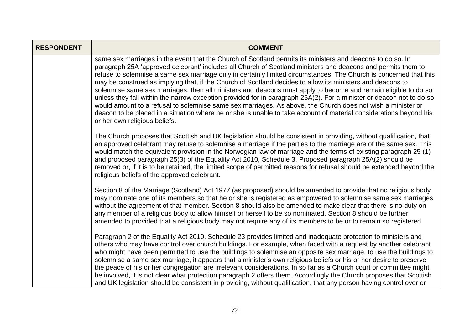| <b>RESPONDENT</b> | <b>COMMENT</b>                                                                                                                                                                                                                                                                                                                                                                                                                                                                                                                                                                                                                                                                                                                                                                                                                                                                                                                                                                 |
|-------------------|--------------------------------------------------------------------------------------------------------------------------------------------------------------------------------------------------------------------------------------------------------------------------------------------------------------------------------------------------------------------------------------------------------------------------------------------------------------------------------------------------------------------------------------------------------------------------------------------------------------------------------------------------------------------------------------------------------------------------------------------------------------------------------------------------------------------------------------------------------------------------------------------------------------------------------------------------------------------------------|
|                   | same sex marriages in the event that the Church of Scotland permits its ministers and deacons to do so. In<br>paragraph 25A 'approved celebrant' includes all Church of Scotland ministers and deacons and permits them to<br>refuse to solemnise a same sex marriage only in certainly limited circumstances. The Church is concerned that this<br>may be construed as implying that, if the Church of Scotland decides to allow its ministers and deacons to<br>solemnise same sex marriages, then all ministers and deacons must apply to become and remain eligible to do so<br>unless they fall within the narrow exception provided for in paragraph 25A(2). For a minister or deacon not to do so<br>would amount to a refusal to solemnise same sex marriages. As above, the Church does not wish a minister or<br>deacon to be placed in a situation where he or she is unable to take account of material considerations beyond his<br>or her own religious beliefs. |
|                   | The Church proposes that Scottish and UK legislation should be consistent in providing, without qualification, that<br>an approved celebrant may refuse to solemnise a marriage if the parties to the marriage are of the same sex. This<br>would match the equivalent provision in the Norwegian law of marriage and the terms of existing paragraph 25 (1)<br>and proposed paragraph 25(3) of the Equality Act 2010, Schedule 3. Proposed paragraph 25A(2) should be<br>removed or, if it is to be retained, the limited scope of permitted reasons for refusal should be extended beyond the<br>religious beliefs of the approved celebrant.                                                                                                                                                                                                                                                                                                                                |
|                   | Section 8 of the Marriage (Scotland) Act 1977 (as proposed) should be amended to provide that no religious body<br>may nominate one of its members so that he or she is registered as empowered to solemnise same sex marriages<br>without the agreement of that member. Section 8 should also be amended to make clear that there is no duty on<br>any member of a religious body to allow himself or herself to be so nominated. Section 8 should be further<br>amended to provided that a religious body may not require any of its members to be or to remain so registered                                                                                                                                                                                                                                                                                                                                                                                                |
|                   | Paragraph 2 of the Equality Act 2010, Schedule 23 provides limited and inadequate protection to ministers and<br>others who may have control over church buildings. For example, when faced with a request by another celebrant<br>who might have been permitted to use the buildings to solemnise an opposite sex marriage, to use the buildings to<br>solemnise a same sex marriage, it appears that a minister's own religious beliefs or his or her desire to preserve<br>the peace of his or her congregation are irrelevant considerations. In so far as a Church court or committee might<br>be involved, it is not clear what protection paragraph 2 offers them. Accordingly the Church proposes that Scottish<br>and UK legislation should be consistent in providing, without qualification, that any person having control over or                                                                                                                                 |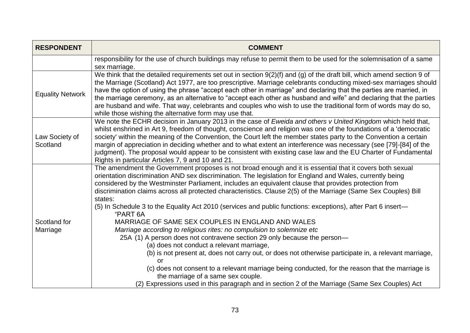| <b>RESPONDENT</b>          | <b>COMMENT</b>                                                                                                                                                                                                                                                                                                                                                                                                                                                                                                                                                                                                                                                                                                                                                                                                                                                                                                                                                                                                                                                                                                                                                                                             |
|----------------------------|------------------------------------------------------------------------------------------------------------------------------------------------------------------------------------------------------------------------------------------------------------------------------------------------------------------------------------------------------------------------------------------------------------------------------------------------------------------------------------------------------------------------------------------------------------------------------------------------------------------------------------------------------------------------------------------------------------------------------------------------------------------------------------------------------------------------------------------------------------------------------------------------------------------------------------------------------------------------------------------------------------------------------------------------------------------------------------------------------------------------------------------------------------------------------------------------------------|
|                            | responsibility for the use of church buildings may refuse to permit them to be used for the solemnisation of a same<br>sex marriage.                                                                                                                                                                                                                                                                                                                                                                                                                                                                                                                                                                                                                                                                                                                                                                                                                                                                                                                                                                                                                                                                       |
| <b>Equality Network</b>    | We think that the detailed requirements set out in section 9(2)(f) and (g) of the draft bill, which amend section 9 of<br>the Marriage (Scotland) Act 1977, are too prescriptive. Marriage celebrants conducting mixed-sex marriages should<br>have the option of using the phrase "accept each other in marriage" and declaring that the parties are married, in<br>the marriage ceremony, as an alternative to "accept each other as husband and wife" and declaring that the parties<br>are husband and wife. That way, celebrants and couples who wish to use the traditional form of words may do so,<br>while those wishing the alternative form may use that.                                                                                                                                                                                                                                                                                                                                                                                                                                                                                                                                       |
| Law Society of<br>Scotland | We note the ECHR decision in January 2013 in the case of Eweida and others v United Kingdom which held that,<br>whilst enshrined in Art 9, freedom of thought, conscience and religion was one of the foundations of a 'democratic<br>society' within the meaning of the Convention, the Court left the member states party to the Convention a certain<br>margin of appreciation in deciding whether and to what extent an interference was necessary (see [79]-[84] of the<br>judgment). The proposal would appear to be consistent with existing case law and the EU Charter of Fundamental<br>Rights in particular Articles 7, 9 and 10 and 21.                                                                                                                                                                                                                                                                                                                                                                                                                                                                                                                                                        |
| Scotland for<br>Marriage   | The amendment the Government proposes is not broad enough and it is essential that it covers both sexual<br>orientation discrimination AND sex discrimination. The legislation for England and Wales, currently being<br>considered by the Westminster Parliament, includes an equivalent clause that provides protection from<br>discrimination claims across all protected characteristics. Clause 2(5) of the Marriage (Same Sex Couples) Bill<br>states:<br>(5) In Schedule 3 to the Equality Act 2010 (services and public functions: exceptions), after Part 6 insert-<br>"PART 6A<br>MARRIAGE OF SAME SEX COUPLES IN ENGLAND AND WALES<br>Marriage according to religious rites: no compulsion to solemnize etc<br>25A (1) A person does not contravene section 29 only because the person-<br>(a) does not conduct a relevant marriage,<br>(b) is not present at, does not carry out, or does not otherwise participate in, a relevant marriage,<br>or<br>(c) does not consent to a relevant marriage being conducted, for the reason that the marriage is<br>the marriage of a same sex couple.<br>(2) Expressions used in this paragraph and in section 2 of the Marriage (Same Sex Couples) Act |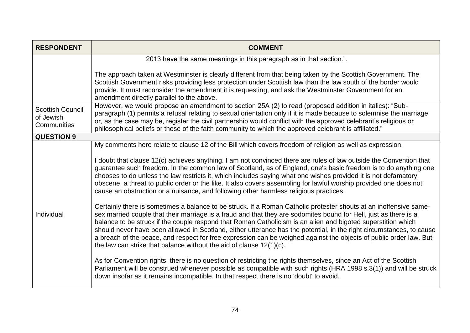| <b>RESPONDENT</b>                                   | <b>COMMENT</b>                                                                                                                                                                                                                                                                                                                                                                                                                                                                                                                                                                                                                                                                     |
|-----------------------------------------------------|------------------------------------------------------------------------------------------------------------------------------------------------------------------------------------------------------------------------------------------------------------------------------------------------------------------------------------------------------------------------------------------------------------------------------------------------------------------------------------------------------------------------------------------------------------------------------------------------------------------------------------------------------------------------------------|
|                                                     | 2013 have the same meanings in this paragraph as in that section.".                                                                                                                                                                                                                                                                                                                                                                                                                                                                                                                                                                                                                |
|                                                     | The approach taken at Westminster is clearly different from that being taken by the Scottish Government. The<br>Scottish Government risks providing less protection under Scottish law than the law south of the border would<br>provide. It must reconsider the amendment it is requesting, and ask the Westminster Government for an<br>amendment directly parallel to the above.                                                                                                                                                                                                                                                                                                |
| <b>Scottish Council</b><br>of Jewish<br>Communities | However, we would propose an amendment to section 25A (2) to read (proposed addition in italics): "Sub-<br>paragraph (1) permits a refusal relating to sexual orientation only if it is made because to solemnise the marriage<br>or, as the case may be, register the civil partnership would conflict with the approved celebrant's religious or<br>philosophical beliefs or those of the faith community to which the approved celebrant is affiliated."                                                                                                                                                                                                                        |
| <b>QUESTION 9</b>                                   |                                                                                                                                                                                                                                                                                                                                                                                                                                                                                                                                                                                                                                                                                    |
|                                                     | My comments here relate to clause 12 of the Bill which covers freedom of religion as well as expression.<br>I doubt that clause 12(c) achieves anything. I am not convinced there are rules of law outside the Convention that<br>guarantee such freedom. In the common law of Scotland, as of England, one's basic freedom is to do anything one<br>chooses to do unless the law restricts it, which includes saying what one wishes provided it is not defamatory,<br>obscene, a threat to public order or the like. It also covers assembling for lawful worship provided one does not<br>cause an obstruction or a nuisance, and following other harmless religious practices. |
| Individual                                          | Certainly there is sometimes a balance to be struck. If a Roman Catholic protester shouts at an inoffensive same-<br>sex married couple that their marriage is a fraud and that they are sodomites bound for Hell, just as there is a<br>balance to be struck if the couple respond that Roman Catholicism is an alien and bigoted superstition which<br>should never have been allowed in Scotland, either utterance has the potential, in the right circumstances, to cause<br>a breach of the peace, and respect for free expression can be weighed against the objects of public order law. But<br>the law can strike that balance without the aid of clause $12(1)(c)$ .      |
|                                                     | As for Convention rights, there is no question of restricting the rights themselves, since an Act of the Scottish<br>Parliament will be construed whenever possible as compatible with such rights (HRA 1998 s.3(1)) and will be struck<br>down insofar as it remains incompatible. In that respect there is no 'doubt' to avoid.                                                                                                                                                                                                                                                                                                                                                  |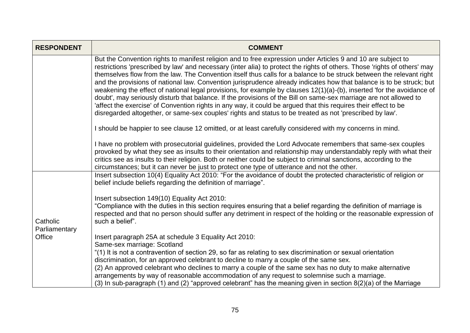| <b>RESPONDENT</b>                   | <b>COMMENT</b>                                                                                                                                                                                                                                                                                                                                                                                                                                                                                                                                                                                                                                                                                                                                                                                                                                                                                                                                                          |
|-------------------------------------|-------------------------------------------------------------------------------------------------------------------------------------------------------------------------------------------------------------------------------------------------------------------------------------------------------------------------------------------------------------------------------------------------------------------------------------------------------------------------------------------------------------------------------------------------------------------------------------------------------------------------------------------------------------------------------------------------------------------------------------------------------------------------------------------------------------------------------------------------------------------------------------------------------------------------------------------------------------------------|
|                                     | But the Convention rights to manifest religion and to free expression under Articles 9 and 10 are subject to<br>restrictions 'prescribed by law' and necessary (inter alia) to protect the rights of others. Those 'rights of others' may<br>themselves flow from the law. The Convention itself thus calls for a balance to be struck between the relevant right<br>and the provisions of national law. Convention jurisprudence already indicates how that balance is to be struck; but<br>weakening the effect of national legal provisions, for example by clauses 12(1)(a)-(b), inserted 'for the avoidance of<br>doubt', may seriously disturb that balance. If the provisions of the Bill on same-sex marriage are not allowed to<br>'affect the exercise' of Convention rights in any way, it could be argued that this requires their effect to be<br>disregarded altogether, or same-sex couples' rights and status to be treated as not 'prescribed by law'. |
|                                     | I should be happier to see clause 12 omitted, or at least carefully considered with my concerns in mind.                                                                                                                                                                                                                                                                                                                                                                                                                                                                                                                                                                                                                                                                                                                                                                                                                                                                |
|                                     | I have no problem with prosecutorial guidelines, provided the Lord Advocate remembers that same-sex couples<br>provoked by what they see as insults to their orientation and relationship may understandably reply with what their<br>critics see as insults to their religion. Both or neither could be subject to criminal sanctions, according to the<br>circumstances; but it can never be just to protect one type of utterance and not the other.                                                                                                                                                                                                                                                                                                                                                                                                                                                                                                                 |
|                                     | Insert subsection 10(4) Equality Act 2010: "For the avoidance of doubt the protected characteristic of religion or<br>belief include beliefs regarding the definition of marriage".                                                                                                                                                                                                                                                                                                                                                                                                                                                                                                                                                                                                                                                                                                                                                                                     |
| Catholic<br>Parliamentary<br>Office | Insert subsection 149(10) Equality Act 2010:<br>"Compliance with the duties in this section requires ensuring that a belief regarding the definition of marriage is<br>respected and that no person should suffer any detriment in respect of the holding or the reasonable expression of<br>such a belief".                                                                                                                                                                                                                                                                                                                                                                                                                                                                                                                                                                                                                                                            |
|                                     | Insert paragraph 25A at schedule 3 Equality Act 2010:<br>Same-sex marriage: Scotland<br>"(1) It is not a contravention of section 29, so far as relating to sex discrimination or sexual orientation<br>discrimination, for an approved celebrant to decline to marry a couple of the same sex.<br>(2) An approved celebrant who declines to marry a couple of the same sex has no duty to make alternative<br>arrangements by way of reasonable accommodation of any request to solemnise such a marriage.<br>(3) In sub-paragraph (1) and (2) "approved celebrant" has the meaning given in section 8(2)(a) of the Marriage                                                                                                                                                                                                                                                                                                                                           |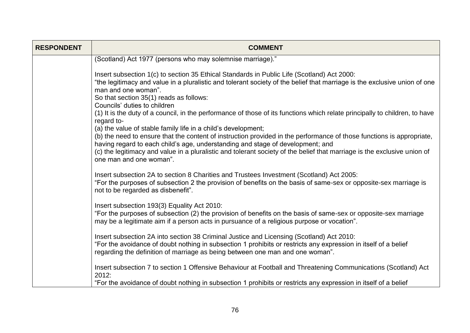| <b>RESPONDENT</b> | <b>COMMENT</b>                                                                                                                                                                                                                                                                               |
|-------------------|----------------------------------------------------------------------------------------------------------------------------------------------------------------------------------------------------------------------------------------------------------------------------------------------|
|                   | (Scotland) Act 1977 (persons who may solemnise marriage)."                                                                                                                                                                                                                                   |
|                   | Insert subsection 1(c) to section 35 Ethical Standards in Public Life (Scotland) Act 2000:<br>"the legitimacy and value in a pluralistic and tolerant society of the belief that marriage is the exclusive union of one<br>man and one woman".<br>So that section 35(1) reads as follows:    |
|                   | Councils' duties to children<br>(1) It is the duty of a council, in the performance of those of its functions which relate principally to children, to have<br>regard to-                                                                                                                    |
|                   | (a) the value of stable family life in a child's development;<br>(b) the need to ensure that the content of instruction provided in the performance of those functions is appropriate,<br>having regard to each child's age, understanding and stage of development; and                     |
|                   | (c) the legitimacy and value in a pluralistic and tolerant society of the belief that marriage is the exclusive union of<br>one man and one woman".                                                                                                                                          |
|                   | Insert subsection 2A to section 8 Charities and Trustees Investment (Scotland) Act 2005:<br>"For the purposes of subsection 2 the provision of benefits on the basis of same-sex or opposite-sex marriage is<br>not to be regarded as disbenefit".                                           |
|                   | Insert subsection 193(3) Equality Act 2010:<br>"For the purposes of subsection (2) the provision of benefits on the basis of same-sex or opposite-sex marriage<br>may be a legitimate aim if a person acts in pursuance of a religious purpose or vocation".                                 |
|                   | Insert subsection 2A into section 38 Criminal Justice and Licensing (Scotland) Act 2010:<br>"For the avoidance of doubt nothing in subsection 1 prohibits or restricts any expression in itself of a belief<br>regarding the definition of marriage as being between one man and one woman". |
|                   | Insert subsection 7 to section 1 Offensive Behaviour at Football and Threatening Communications (Scotland) Act<br>2012:                                                                                                                                                                      |
|                   | "For the avoidance of doubt nothing in subsection 1 prohibits or restricts any expression in itself of a belief                                                                                                                                                                              |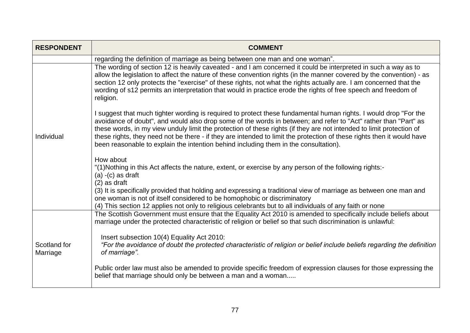| <b>RESPONDENT</b>        | <b>COMMENT</b>                                                                                                                                                                                                                                                                                                                                                                                                                                                                                                                                                                |
|--------------------------|-------------------------------------------------------------------------------------------------------------------------------------------------------------------------------------------------------------------------------------------------------------------------------------------------------------------------------------------------------------------------------------------------------------------------------------------------------------------------------------------------------------------------------------------------------------------------------|
|                          | regarding the definition of marriage as being between one man and one woman".                                                                                                                                                                                                                                                                                                                                                                                                                                                                                                 |
| Individual               | The wording of section 12 is heavily caveated - and I am concerned it could be interpreted in such a way as to<br>allow the legislation to affect the nature of these convention rights (in the manner covered by the convention) - as<br>section 12 only protects the "exercise" of these rights, not what the rights actually are. I am concerned that the<br>wording of s12 permits an interpretation that would in practice erode the rights of free speech and freedom of<br>religion.                                                                                   |
|                          | I suggest that much tighter wording is required to protect these fundamental human rights. I would drop "For the<br>avoidance of doubt", and would also drop some of the words in between; and refer to "Act" rather than "Part" as<br>these words, in my view unduly limit the protection of these rights (if they are not intended to limit protection of<br>these rights, they need not be there - if they are intended to limit the protection of these rights then it would have<br>been reasonable to explain the intention behind including them in the consultation). |
|                          | How about<br>"(1) Nothing in this Act affects the nature, extent, or exercise by any person of the following rights:-<br>$(a) - (c)$ as draft<br>$(2)$ as draft<br>(3) It is specifically provided that holding and expressing a traditional view of marriage as between one man and<br>one woman is not of itself considered to be homophobic or discriminatory<br>(4) This section 12 applies not only to religious celebrants but to all individuals of any faith or none                                                                                                  |
|                          | The Scottish Government must ensure that the Equality Act 2010 is amended to specifically include beliefs about<br>marriage under the protected characteristic of religion or belief so that such discrimination is unlawful:                                                                                                                                                                                                                                                                                                                                                 |
| Scotland for<br>Marriage | Insert subsection 10(4) Equality Act 2010:<br>"For the avoidance of doubt the protected characteristic of religion or belief include beliefs regarding the definition<br>of marriage".                                                                                                                                                                                                                                                                                                                                                                                        |
|                          | Public order law must also be amended to provide specific freedom of expression clauses for those expressing the<br>belief that marriage should only be between a man and a woman                                                                                                                                                                                                                                                                                                                                                                                             |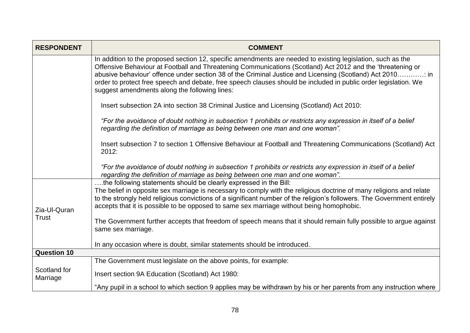| <b>RESPONDENT</b>            | <b>COMMENT</b>                                                                                                                                                                                                                                                                                                                                                                                                                                                                                             |
|------------------------------|------------------------------------------------------------------------------------------------------------------------------------------------------------------------------------------------------------------------------------------------------------------------------------------------------------------------------------------------------------------------------------------------------------------------------------------------------------------------------------------------------------|
|                              | In addition to the proposed section 12, specific amendments are needed to existing legislation, such as the<br>Offensive Behaviour at Football and Threatening Communications (Scotland) Act 2012 and the 'threatening or<br>abusive behaviour' offence under section 38 of the Criminal Justice and Licensing (Scotland) Act 2010: in<br>order to protect free speech and debate, free speech clauses should be included in public order legislation. We<br>suggest amendments along the following lines: |
|                              | Insert subsection 2A into section 38 Criminal Justice and Licensing (Scotland) Act 2010:                                                                                                                                                                                                                                                                                                                                                                                                                   |
|                              | "For the avoidance of doubt nothing in subsection 1 prohibits or restricts any expression in itself of a belief<br>regarding the definition of marriage as being between one man and one woman".                                                                                                                                                                                                                                                                                                           |
|                              | Insert subsection 7 to section 1 Offensive Behaviour at Football and Threatening Communications (Scotland) Act<br>2012:                                                                                                                                                                                                                                                                                                                                                                                    |
|                              | "For the avoidance of doubt nothing in subsection 1 prohibits or restricts any expression in itself of a belief<br>regarding the definition of marriage as being between one man and one woman".                                                                                                                                                                                                                                                                                                           |
| Zia-Ul-Quran<br><b>Trust</b> | the following statements should be clearly expressed in the Bill:<br>The belief in opposite sex marriage is necessary to comply with the religious doctrine of many religions and relate<br>to the strongly held religious convictions of a significant number of the religion's followers. The Government entirely<br>accepts that it is possible to be opposed to same sex marriage without being homophobic.                                                                                            |
|                              | The Government further accepts that freedom of speech means that it should remain fully possible to argue against<br>same sex marriage.                                                                                                                                                                                                                                                                                                                                                                    |
|                              | In any occasion where is doubt, similar statements should be introduced.                                                                                                                                                                                                                                                                                                                                                                                                                                   |
| <b>Question 10</b>           |                                                                                                                                                                                                                                                                                                                                                                                                                                                                                                            |
|                              | The Government must legislate on the above points, for example:                                                                                                                                                                                                                                                                                                                                                                                                                                            |
| Scotland for<br>Marriage     | Insert section 9A Education (Scotland) Act 1980:                                                                                                                                                                                                                                                                                                                                                                                                                                                           |
|                              | "Any pupil in a school to which section 9 applies may be withdrawn by his or her parents from any instruction where                                                                                                                                                                                                                                                                                                                                                                                        |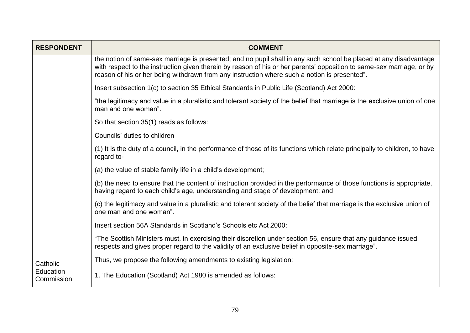| <b>RESPONDENT</b>       | <b>COMMENT</b>                                                                                                                                                                                                                                                                                                                             |
|-------------------------|--------------------------------------------------------------------------------------------------------------------------------------------------------------------------------------------------------------------------------------------------------------------------------------------------------------------------------------------|
|                         | the notion of same-sex marriage is presented; and no pupil shall in any such school be placed at any disadvantage<br>with respect to the instruction given therein by reason of his or her parents' opposition to same-sex marriage, or by<br>reason of his or her being withdrawn from any instruction where such a notion is presented". |
|                         | Insert subsection 1(c) to section 35 Ethical Standards in Public Life (Scotland) Act 2000:                                                                                                                                                                                                                                                 |
|                         | "the legitimacy and value in a pluralistic and tolerant society of the belief that marriage is the exclusive union of one<br>man and one woman".                                                                                                                                                                                           |
|                         | So that section 35(1) reads as follows:                                                                                                                                                                                                                                                                                                    |
|                         | Councils' duties to children                                                                                                                                                                                                                                                                                                               |
|                         | (1) It is the duty of a council, in the performance of those of its functions which relate principally to children, to have<br>regard to-                                                                                                                                                                                                  |
|                         | (a) the value of stable family life in a child's development;                                                                                                                                                                                                                                                                              |
|                         | (b) the need to ensure that the content of instruction provided in the performance of those functions is appropriate,<br>having regard to each child's age, understanding and stage of development; and                                                                                                                                    |
|                         | (c) the legitimacy and value in a pluralistic and tolerant society of the belief that marriage is the exclusive union of<br>one man and one woman".                                                                                                                                                                                        |
|                         | Insert section 56A Standards in Scotland's Schools etc Act 2000:                                                                                                                                                                                                                                                                           |
|                         | "The Scottish Ministers must, in exercising their discretion under section 56, ensure that any guidance issued<br>respects and gives proper regard to the validity of an exclusive belief in opposite-sex marriage".                                                                                                                       |
| Catholic                | Thus, we propose the following amendments to existing legislation:                                                                                                                                                                                                                                                                         |
| Education<br>Commission | 1. The Education (Scotland) Act 1980 is amended as follows:                                                                                                                                                                                                                                                                                |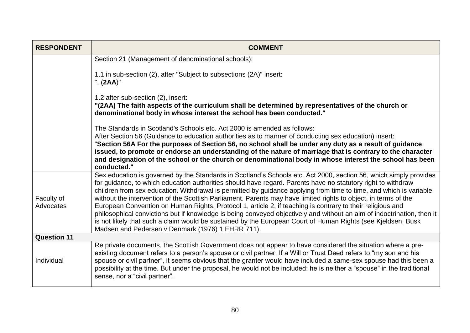| <b>RESPONDENT</b>       | <b>COMMENT</b>                                                                                                                                                                                                                                                                                                                                                                                                                                                                                                                                                                                                                                                                                                                                                                                                                                                                          |
|-------------------------|-----------------------------------------------------------------------------------------------------------------------------------------------------------------------------------------------------------------------------------------------------------------------------------------------------------------------------------------------------------------------------------------------------------------------------------------------------------------------------------------------------------------------------------------------------------------------------------------------------------------------------------------------------------------------------------------------------------------------------------------------------------------------------------------------------------------------------------------------------------------------------------------|
|                         | Section 21 (Management of denominational schools):                                                                                                                                                                                                                                                                                                                                                                                                                                                                                                                                                                                                                                                                                                                                                                                                                                      |
|                         | 1.1 in sub-section (2), after "Subject to subsections (2A)" insert:<br>", (2AA)"                                                                                                                                                                                                                                                                                                                                                                                                                                                                                                                                                                                                                                                                                                                                                                                                        |
|                         | 1.2 after sub-section (2), insert:<br>"(2AA) The faith aspects of the curriculum shall be determined by representatives of the church or<br>denominational body in whose interest the school has been conducted."                                                                                                                                                                                                                                                                                                                                                                                                                                                                                                                                                                                                                                                                       |
|                         | The Standards in Scotland's Schools etc. Act 2000 is amended as follows:<br>After Section 56 (Guidance to education authorities as to manner of conducting sex education) insert:<br>"Section 56A For the purposes of Section 56, no school shall be under any duty as a result of guidance<br>issued, to promote or endorse an understanding of the nature of marriage that is contrary to the character<br>and designation of the school or the church or denominational body in whose interest the school has been<br>conducted."                                                                                                                                                                                                                                                                                                                                                    |
| Faculty of<br>Advocates | Sex education is governed by the Standards in Scotland's Schools etc. Act 2000, section 56, which simply provides<br>for guidance, to which education authorities should have regard. Parents have no statutory right to withdraw<br>children from sex education. Withdrawal is permitted by guidance applying from time to time, and which is variable<br>without the intervention of the Scottish Parliament. Parents may have limited rights to object, in terms of the<br>European Convention on Human Rights, Protocol 1, article 2, if teaching is contrary to their religious and<br>philosophical convictions but if knowledge is being conveyed objectively and without an aim of indoctrination, then it<br>is not likely that such a claim would be sustained by the European Court of Human Rights (see Kjeldsen, Busk<br>Madsen and Pedersen v Denmark (1976) 1 EHRR 711). |
| <b>Question 11</b>      |                                                                                                                                                                                                                                                                                                                                                                                                                                                                                                                                                                                                                                                                                                                                                                                                                                                                                         |
| Individual              | Re private documents, the Scottish Government does not appear to have considered the situation where a pre-<br>existing document refers to a person's spouse or civil partner. If a Will or Trust Deed refers to "my son and his<br>spouse or civil partner", it seems obvious that the granter would have included a same-sex spouse had this been a<br>possibility at the time. But under the proposal, he would not be included: he is neither a "spouse" in the traditional<br>sense, nor a "civil partner".                                                                                                                                                                                                                                                                                                                                                                        |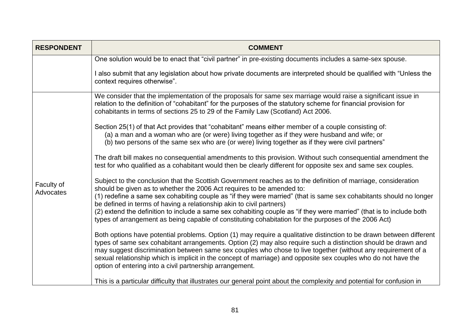| <b>RESPONDENT</b>       | <b>COMMENT</b>                                                                                                                                                                                                                                                                                                                                                                                                                                                                                                                      |
|-------------------------|-------------------------------------------------------------------------------------------------------------------------------------------------------------------------------------------------------------------------------------------------------------------------------------------------------------------------------------------------------------------------------------------------------------------------------------------------------------------------------------------------------------------------------------|
|                         | One solution would be to enact that "civil partner" in pre-existing documents includes a same-sex spouse.                                                                                                                                                                                                                                                                                                                                                                                                                           |
|                         | I also submit that any legislation about how private documents are interpreted should be qualified with "Unless the<br>context requires otherwise".                                                                                                                                                                                                                                                                                                                                                                                 |
| Faculty of<br>Advocates | We consider that the implementation of the proposals for same sex marriage would raise a significant issue in<br>relation to the definition of "cohabitant" for the purposes of the statutory scheme for financial provision for<br>cohabitants in terms of sections 25 to 29 of the Family Law (Scotland) Act 2006.                                                                                                                                                                                                                |
|                         | Section 25(1) of that Act provides that "cohabitant" means either member of a couple consisting of:<br>(a) a man and a woman who are (or were) living together as if they were husband and wife; or<br>(b) two persons of the same sex who are (or were) living together as if they were civil partners"                                                                                                                                                                                                                            |
|                         | The draft bill makes no consequential amendments to this provision. Without such consequential amendment the<br>test for who qualified as a cohabitant would then be clearly different for opposite sex and same sex couples.                                                                                                                                                                                                                                                                                                       |
|                         | Subject to the conclusion that the Scottish Government reaches as to the definition of marriage, consideration<br>should be given as to whether the 2006 Act requires to be amended to:                                                                                                                                                                                                                                                                                                                                             |
|                         | (1) redefine a same sex cohabiting couple as "if they were married" (that is same sex cohabitants should no longer<br>be defined in terms of having a relationship akin to civil partners)                                                                                                                                                                                                                                                                                                                                          |
|                         | (2) extend the definition to include a same sex cohabiting couple as "if they were married" (that is to include both<br>types of arrangement as being capable of constituting cohabitation for the purposes of the 2006 Act)                                                                                                                                                                                                                                                                                                        |
|                         | Both options have potential problems. Option (1) may require a qualitative distinction to be drawn between different<br>types of same sex cohabitant arrangements. Option (2) may also require such a distinction should be drawn and<br>may suggest discrimination between same sex couples who chose to live together (without any requirement of a<br>sexual relationship which is implicit in the concept of marriage) and opposite sex couples who do not have the<br>option of entering into a civil partnership arrangement. |
|                         | This is a particular difficulty that illustrates our general point about the complexity and potential for confusion in                                                                                                                                                                                                                                                                                                                                                                                                              |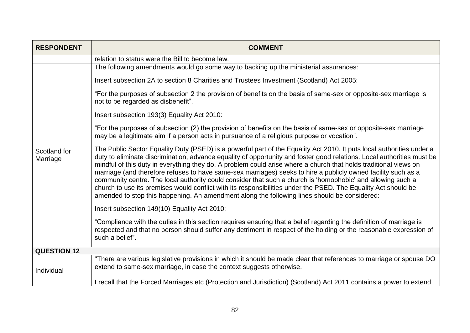| <b>RESPONDENT</b>        | <b>COMMENT</b>                                                                                                                                                                                                                                                                                                                                                                                                                                                                                                                                                                                                                                                                                                                                                                                                        |
|--------------------------|-----------------------------------------------------------------------------------------------------------------------------------------------------------------------------------------------------------------------------------------------------------------------------------------------------------------------------------------------------------------------------------------------------------------------------------------------------------------------------------------------------------------------------------------------------------------------------------------------------------------------------------------------------------------------------------------------------------------------------------------------------------------------------------------------------------------------|
|                          | relation to status were the Bill to become law.                                                                                                                                                                                                                                                                                                                                                                                                                                                                                                                                                                                                                                                                                                                                                                       |
|                          | The following amendments would go some way to backing up the ministerial assurances:                                                                                                                                                                                                                                                                                                                                                                                                                                                                                                                                                                                                                                                                                                                                  |
|                          | Insert subsection 2A to section 8 Charities and Trustees Investment (Scotland) Act 2005:                                                                                                                                                                                                                                                                                                                                                                                                                                                                                                                                                                                                                                                                                                                              |
|                          | "For the purposes of subsection 2 the provision of benefits on the basis of same-sex or opposite-sex marriage is<br>not to be regarded as disbenefit".                                                                                                                                                                                                                                                                                                                                                                                                                                                                                                                                                                                                                                                                |
|                          | Insert subsection 193(3) Equality Act 2010:                                                                                                                                                                                                                                                                                                                                                                                                                                                                                                                                                                                                                                                                                                                                                                           |
| Scotland for<br>Marriage | "For the purposes of subsection (2) the provision of benefits on the basis of same-sex or opposite-sex marriage<br>may be a legitimate aim if a person acts in pursuance of a religious purpose or vocation".                                                                                                                                                                                                                                                                                                                                                                                                                                                                                                                                                                                                         |
|                          | The Public Sector Equality Duty (PSED) is a powerful part of the Equality Act 2010. It puts local authorities under a<br>duty to eliminate discrimination, advance equality of opportunity and foster good relations. Local authorities must be<br>mindful of this duty in everything they do. A problem could arise where a church that holds traditional views on<br>marriage (and therefore refuses to have same-sex marriages) seeks to hire a publicly owned facility such as a<br>community centre. The local authority could consider that such a church is 'homophobic' and allowing such a<br>church to use its premises would conflict with its responsibilities under the PSED. The Equality Act should be<br>amended to stop this happening. An amendment along the following lines should be considered: |
|                          | Insert subsection 149(10) Equality Act 2010:                                                                                                                                                                                                                                                                                                                                                                                                                                                                                                                                                                                                                                                                                                                                                                          |
|                          | "Compliance with the duties in this section requires ensuring that a belief regarding the definition of marriage is<br>respected and that no person should suffer any detriment in respect of the holding or the reasonable expression of<br>such a belief".                                                                                                                                                                                                                                                                                                                                                                                                                                                                                                                                                          |
| <b>QUESTION 12</b>       |                                                                                                                                                                                                                                                                                                                                                                                                                                                                                                                                                                                                                                                                                                                                                                                                                       |
| Individual               | "There are various legislative provisions in which it should be made clear that references to marriage or spouse DO<br>extend to same-sex marriage, in case the context suggests otherwise.                                                                                                                                                                                                                                                                                                                                                                                                                                                                                                                                                                                                                           |
|                          | I recall that the Forced Marriages etc (Protection and Jurisdiction) (Scotland) Act 2011 contains a power to extend                                                                                                                                                                                                                                                                                                                                                                                                                                                                                                                                                                                                                                                                                                   |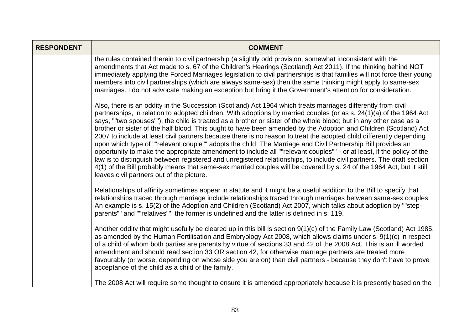| <b>RESPONDENT</b> | <b>COMMENT</b>                                                                                                                                                                                                                                                                                                                                                                                                                                                                                                                                                                                                                                                                                                                                                                                                                                                                                                                                                                                                                                                                                                                              |
|-------------------|---------------------------------------------------------------------------------------------------------------------------------------------------------------------------------------------------------------------------------------------------------------------------------------------------------------------------------------------------------------------------------------------------------------------------------------------------------------------------------------------------------------------------------------------------------------------------------------------------------------------------------------------------------------------------------------------------------------------------------------------------------------------------------------------------------------------------------------------------------------------------------------------------------------------------------------------------------------------------------------------------------------------------------------------------------------------------------------------------------------------------------------------|
|                   | the rules contained therein to civil partnership (a slightly odd provision, somewhat inconsistent with the<br>amendments that Act made to s. 67 of the Children's Hearings (Scotland) Act 2011). If the thinking behind NOT<br>immediately applying the Forced Marriages legislation to civil partnerships is that families will not force their young<br>members into civil partnerships (which are always same-sex) then the same thinking might apply to same-sex<br>marriages. I do not advocate making an exception but bring it the Government's attention for consideration.                                                                                                                                                                                                                                                                                                                                                                                                                                                                                                                                                         |
|                   | Also, there is an oddity in the Succession (Scotland) Act 1964 which treats marriages differently from civil<br>partnerships, in relation to adopted children. With adoptions by married couples (or as s. 24(1)(a) of the 1964 Act<br>says, ""two spouses""), the child is treated as a brother or sister of the whole blood; but in any other case as a<br>brother or sister of the half blood. This ought to have been amended by the Adoption and Children (Scotland) Act<br>2007 to include at least civil partners because there is no reason to treat the adopted child differently depending<br>upon which type of ""relevant couple"" adopts the child. The Marriage and Civil Partnership Bill provides an<br>opportunity to make the appropriate amendment to include all ""relevant couples"" - or at least, if the policy of the<br>law is to distinguish between registered and unregistered relationships, to include civil partners. The draft section<br>4(1) of the Bill probably means that same-sex married couples will be covered by s. 24 of the 1964 Act, but it still<br>leaves civil partners out of the picture. |
|                   | Relationships of affinity sometimes appear in statute and it might be a useful addition to the Bill to specify that<br>relationships traced through marriage include relationships traced through marriages between same-sex couples.<br>An example is s. 15(2) of the Adoption and Children (Scotland) Act 2007, which talks about adoption by ""step-<br>parents"" and ""relatives"": the former is undefined and the latter is defined in s. 119.                                                                                                                                                                                                                                                                                                                                                                                                                                                                                                                                                                                                                                                                                        |
|                   | Another oddity that might usefully be cleared up in this bill is section 9(1)(c) of the Family Law (Scotland) Act 1985,<br>as amended by the Human Fertilisation and Embryology Act 2008, which allows claims under s. 9(1)(c) in respect<br>of a child of whom both parties are parents by virtue of sections 33 and 42 of the 2008 Act. This is an ill worded<br>amendment and should read section 33 OR section 42, for otherwise marriage partners are treated more<br>favourably (or worse, depending on whose side you are on) than civil partners - because they don't have to prove<br>acceptance of the child as a child of the family.                                                                                                                                                                                                                                                                                                                                                                                                                                                                                            |
|                   | The 2008 Act will require some thought to ensure it is amended appropriately because it is presently based on the                                                                                                                                                                                                                                                                                                                                                                                                                                                                                                                                                                                                                                                                                                                                                                                                                                                                                                                                                                                                                           |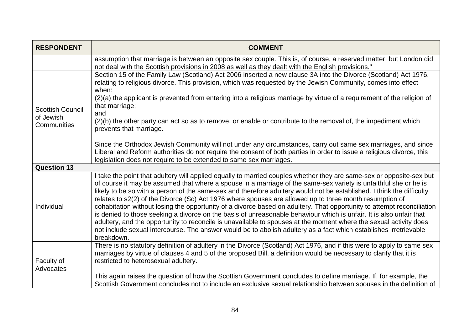| <b>RESPONDENT</b>                                   | <b>COMMENT</b>                                                                                                                                                                                                                                                                                                                                                                                                                                                                                                                                                                                                                                                                                                                                                                                                                                                                                                                                                                        |
|-----------------------------------------------------|---------------------------------------------------------------------------------------------------------------------------------------------------------------------------------------------------------------------------------------------------------------------------------------------------------------------------------------------------------------------------------------------------------------------------------------------------------------------------------------------------------------------------------------------------------------------------------------------------------------------------------------------------------------------------------------------------------------------------------------------------------------------------------------------------------------------------------------------------------------------------------------------------------------------------------------------------------------------------------------|
|                                                     | assumption that marriage is between an opposite sex couple. This is, of course, a reserved matter, but London did<br>not deal with the Scottish provisions in 2008 as well as they dealt with the English provisions."                                                                                                                                                                                                                                                                                                                                                                                                                                                                                                                                                                                                                                                                                                                                                                |
| <b>Scottish Council</b><br>of Jewish<br>Communities | Section 15 of the Family Law (Scotland) Act 2006 inserted a new clause 3A into the Divorce (Scotland) Act 1976,<br>relating to religious divorce. This provision, which was requested by the Jewish Community, comes into effect<br>when:                                                                                                                                                                                                                                                                                                                                                                                                                                                                                                                                                                                                                                                                                                                                             |
|                                                     | (2)(a) the applicant is prevented from entering into a religious marriage by virtue of a requirement of the religion of<br>that marriage;<br>and                                                                                                                                                                                                                                                                                                                                                                                                                                                                                                                                                                                                                                                                                                                                                                                                                                      |
|                                                     | (2)(b) the other party can act so as to remove, or enable or contribute to the removal of, the impediment which<br>prevents that marriage.                                                                                                                                                                                                                                                                                                                                                                                                                                                                                                                                                                                                                                                                                                                                                                                                                                            |
|                                                     | Since the Orthodox Jewish Community will not under any circumstances, carry out same sex marriages, and since<br>Liberal and Reform authorities do not require the consent of both parties in order to issue a religious divorce, this<br>legislation does not require to be extended to same sex marriages.                                                                                                                                                                                                                                                                                                                                                                                                                                                                                                                                                                                                                                                                          |
| <b>Question 13</b>                                  |                                                                                                                                                                                                                                                                                                                                                                                                                                                                                                                                                                                                                                                                                                                                                                                                                                                                                                                                                                                       |
| Individual                                          | I take the point that adultery will applied equally to married couples whether they are same-sex or opposite-sex but<br>of course it may be assumed that where a spouse in a marriage of the same-sex variety is unfaithful she or he is<br>likely to be so with a person of the same-sex and therefore adultery would not be established. I think the difficulty<br>relates to s2(2) of the Divorce (Sc) Act 1976 where spouses are allowed up to three month resumption of<br>cohabitation without losing the opportunity of a divorce based on adultery. That opportunity to attempt reconciliation<br>is denied to those seeking a divorce on the basis of unreasonable behaviour which is unfair. It is also unfair that<br>adultery, and the opportunity to reconcile is unavailable to spouses at the moment where the sexual activity does<br>not include sexual intercourse. The answer would be to abolish adultery as a fact which establishes irretrievable<br>breakdown. |
| Faculty of<br>Advocates                             | There is no statutory definition of adultery in the Divorce (Scotland) Act 1976, and if this were to apply to same sex<br>marriages by virtue of clauses 4 and 5 of the proposed Bill, a definition would be necessary to clarify that it is<br>restricted to heterosexual adultery.                                                                                                                                                                                                                                                                                                                                                                                                                                                                                                                                                                                                                                                                                                  |
|                                                     | This again raises the question of how the Scottish Government concludes to define marriage. If, for example, the<br>Scottish Government concludes not to include an exclusive sexual relationship between spouses in the definition of                                                                                                                                                                                                                                                                                                                                                                                                                                                                                                                                                                                                                                                                                                                                                |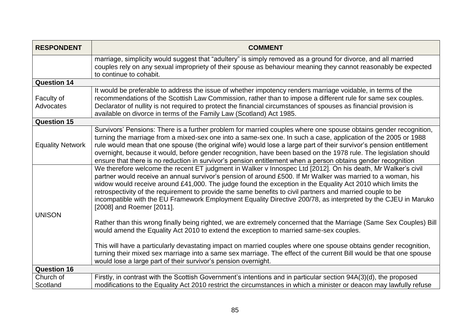| <b>RESPONDENT</b>              | <b>COMMENT</b>                                                                                                                                                                                                                                                                                                                                                                                                                                                                                                                                                                                         |
|--------------------------------|--------------------------------------------------------------------------------------------------------------------------------------------------------------------------------------------------------------------------------------------------------------------------------------------------------------------------------------------------------------------------------------------------------------------------------------------------------------------------------------------------------------------------------------------------------------------------------------------------------|
|                                | marriage, simplicity would suggest that "adultery" is simply removed as a ground for divorce, and all married<br>couples rely on any sexual impropriety of their spouse as behaviour meaning they cannot reasonably be expected<br>to continue to cohabit.                                                                                                                                                                                                                                                                                                                                             |
| <b>Question 14</b>             |                                                                                                                                                                                                                                                                                                                                                                                                                                                                                                                                                                                                        |
| Faculty of<br><b>Advocates</b> | It would be preferable to address the issue of whether impotency renders marriage voidable, in terms of the<br>recommendations of the Scottish Law Commission, rather than to impose a different rule for same sex couples.<br>Declarator of nullity is not required to protect the financial circumstances of spouses as financial provision is<br>available on divorce in terms of the Family Law (Scotland) Act 1985.                                                                                                                                                                               |
| <b>Question 15</b>             |                                                                                                                                                                                                                                                                                                                                                                                                                                                                                                                                                                                                        |
| <b>Equality Network</b>        | Survivors' Pensions: There is a further problem for married couples where one spouse obtains gender recognition,<br>turning the marriage from a mixed-sex one into a same-sex one. In such a case, application of the 2005 or 1988<br>rule would mean that one spouse (the original wife) would lose a large part of their survivor's pension entitlement<br>overnight, because it would, before gender recognition, have been based on the 1978 rule. The legislation should<br>ensure that there is no reduction in survivor's pension entitlement when a person obtains gender recognition          |
| <b>UNISON</b>                  | We therefore welcome the recent ET judgment in Walker v Innospec Ltd [2012]. On his death, Mr Walker's civil<br>partner would receive an annual survivor's pension of around £500. If Mr Walker was married to a woman, his<br>widow would receive around £41,000. The judge found the exception in the Equality Act 2010 which limits the<br>retrospectivity of the requirement to provide the same benefits to civil partners and married couple to be<br>incompatible with the EU Framework Employment Equality Directive 200/78, as interpreted by the CJEU in Maruko<br>[2008] and Roemer [2011]. |
|                                | Rather than this wrong finally being righted, we are extremely concerned that the Marriage (Same Sex Couples) Bill<br>would amend the Equality Act 2010 to extend the exception to married same-sex couples.                                                                                                                                                                                                                                                                                                                                                                                           |
|                                | This will have a particularly devastating impact on married couples where one spouse obtains gender recognition,<br>turning their mixed sex marriage into a same sex marriage. The effect of the current Bill would be that one spouse<br>would lose a large part of their survivor's pension overnight.                                                                                                                                                                                                                                                                                               |
| <b>Question 16</b>             |                                                                                                                                                                                                                                                                                                                                                                                                                                                                                                                                                                                                        |
| Church of<br>Scotland          | Firstly, in contrast with the Scottish Government's intentions and in particular section 94A(3)(d), the proposed<br>modifications to the Equality Act 2010 restrict the circumstances in which a minister or deacon may lawfully refuse                                                                                                                                                                                                                                                                                                                                                                |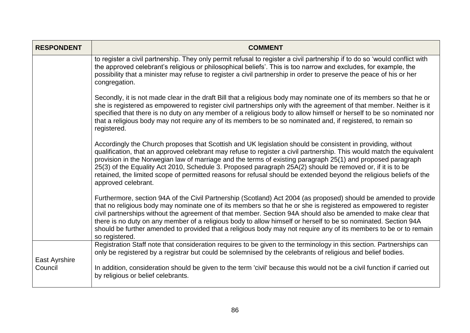| <b>RESPONDENT</b>        | <b>COMMENT</b>                                                                                                                                                                                                                                                                                                                                                                                                                                                                                                                                                                                                  |
|--------------------------|-----------------------------------------------------------------------------------------------------------------------------------------------------------------------------------------------------------------------------------------------------------------------------------------------------------------------------------------------------------------------------------------------------------------------------------------------------------------------------------------------------------------------------------------------------------------------------------------------------------------|
|                          | to register a civil partnership. They only permit refusal to register a civil partnership if to do so 'would conflict with<br>the approved celebrant's religious or philosophical beliefs'. This is too narrow and excludes, for example, the<br>possibility that a minister may refuse to register a civil partnership in order to preserve the peace of his or her<br>congregation.                                                                                                                                                                                                                           |
|                          | Secondly, it is not made clear in the draft Bill that a religious body may nominate one of its members so that he or<br>she is registered as empowered to register civil partnerships only with the agreement of that member. Neither is it<br>specified that there is no duty on any member of a religious body to allow himself or herself to be so nominated nor<br>that a religious body may not require any of its members to be so nominated and, if registered, to remain so<br>registered.                                                                                                              |
|                          | Accordingly the Church proposes that Scottish and UK legislation should be consistent in providing, without<br>qualification, that an approved celebrant may refuse to register a civil partnership. This would match the equivalent<br>provision in the Norwegian law of marriage and the terms of existing paragraph 25(1) and proposed paragraph<br>25(3) of the Equality Act 2010, Schedule 3. Proposed paragraph 25A(2) should be removed or, if it is to be<br>retained, the limited scope of permitted reasons for refusal should be extended beyond the religious beliefs of the<br>approved celebrant. |
|                          | Furthermore, section 94A of the Civil Partnership (Scotland) Act 2004 (as proposed) should be amended to provide<br>that no religious body may nominate one of its members so that he or she is registered as empowered to register<br>civil partnerships without the agreement of that member. Section 94A should also be amended to make clear that<br>there is no duty on any member of a religious body to allow himself or herself to be so nominated. Section 94A<br>should be further amended to provided that a religious body may not require any of its members to be or to remain<br>so registered.  |
|                          | Registration Staff note that consideration requires to be given to the terminology in this section. Partnerships can<br>only be registered by a registrar but could be solemnised by the celebrants of religious and belief bodies.                                                                                                                                                                                                                                                                                                                                                                             |
| East Ayrshire<br>Council | In addition, consideration should be given to the term 'civil' because this would not be a civil function if carried out<br>by religious or belief celebrants.                                                                                                                                                                                                                                                                                                                                                                                                                                                  |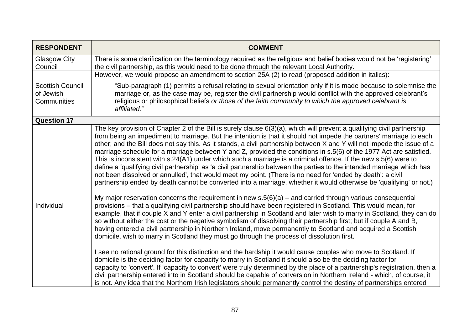| <b>RESPONDENT</b>                                   | <b>COMMENT</b>                                                                                                                                                                                                                                                                                                                                                                                                                                                                                                                                                                                                                                                                                                                                                                                                                                                                                                                                                                                                                                                                                                                                                                                                                                                                                                                                                                                                                                                                                                                                                                                                                                                                   |
|-----------------------------------------------------|----------------------------------------------------------------------------------------------------------------------------------------------------------------------------------------------------------------------------------------------------------------------------------------------------------------------------------------------------------------------------------------------------------------------------------------------------------------------------------------------------------------------------------------------------------------------------------------------------------------------------------------------------------------------------------------------------------------------------------------------------------------------------------------------------------------------------------------------------------------------------------------------------------------------------------------------------------------------------------------------------------------------------------------------------------------------------------------------------------------------------------------------------------------------------------------------------------------------------------------------------------------------------------------------------------------------------------------------------------------------------------------------------------------------------------------------------------------------------------------------------------------------------------------------------------------------------------------------------------------------------------------------------------------------------------|
| <b>Glasgow City</b><br>Council                      | There is some clarification on the terminology required as the religious and belief bodies would not be 'registering'<br>the civil partnership, as this would need to be done through the relevant Local Authority.                                                                                                                                                                                                                                                                                                                                                                                                                                                                                                                                                                                                                                                                                                                                                                                                                                                                                                                                                                                                                                                                                                                                                                                                                                                                                                                                                                                                                                                              |
|                                                     | However, we would propose an amendment to section 25A (2) to read (proposed addition in italics):                                                                                                                                                                                                                                                                                                                                                                                                                                                                                                                                                                                                                                                                                                                                                                                                                                                                                                                                                                                                                                                                                                                                                                                                                                                                                                                                                                                                                                                                                                                                                                                |
| <b>Scottish Council</b><br>of Jewish<br>Communities | "Sub-paragraph (1) permits a refusal relating to sexual orientation only if it is made because to solemnise the<br>marriage or, as the case may be, register the civil partnership would conflict with the approved celebrant's<br>religious or philosophical beliefs or those of the faith community to which the approved celebrant is<br>affiliated."                                                                                                                                                                                                                                                                                                                                                                                                                                                                                                                                                                                                                                                                                                                                                                                                                                                                                                                                                                                                                                                                                                                                                                                                                                                                                                                         |
| <b>Question 17</b>                                  |                                                                                                                                                                                                                                                                                                                                                                                                                                                                                                                                                                                                                                                                                                                                                                                                                                                                                                                                                                                                                                                                                                                                                                                                                                                                                                                                                                                                                                                                                                                                                                                                                                                                                  |
| Individual                                          | The key provision of Chapter 2 of the Bill is surely clause 6(3)(a), which will prevent a qualifying civil partnership<br>from being an impediment to marriage. But the intention is that it should not impede the partners' marriage to each<br>other; and the Bill does not say this. As it stands, a civil partnership between X and Y will not impede the issue of a<br>marriage schedule for a marriage between Y and Z, provided the conditions in s.5(6) of the 1977 Act are satisfied.<br>This is inconsistent with s.24(A1) under which such a marriage is a criminal offence. If the new s.5(6) were to<br>define a 'qualifying civil partnership' as 'a civil partnership between the parties to the intended marriage which has<br>not been dissolved or annulled', that would meet my point. (There is no need for 'ended by death': a civil<br>partnership ended by death cannot be converted into a marriage, whether it would otherwise be 'qualifying' or not.)<br>My major reservation concerns the requirement in new $s.5(6)(a)$ – and carried through various consequential<br>provisions – that a qualifying civil partnership should have been registered in Scotland. This would mean, for<br>example, that if couple X and Y enter a civil partnership in Scotland and later wish to marry in Scotland, they can do<br>so without either the cost or the negative symbolism of dissolving their partnership first; but if couple A and B,<br>having entered a civil partnership in Northern Ireland, move permanently to Scotland and acquired a Scottish<br>domicile, wish to marry in Scotland they must go through the process of dissolution first. |
|                                                     | I see no rational ground for this distinction and the hardship it would cause couples who move to Scotland. If<br>domicile is the deciding factor for capacity to marry in Scotland it should also be the deciding factor for<br>capacity to 'convert'. If 'capacity to convert' were truly determined by the place of a partnership's registration, then a<br>civil partnership entered into in Scotland should be capable of conversion in Northern Ireland - which, of course, it<br>is not. Any idea that the Northern Irish legislators should permanently control the destiny of partnerships entered                                                                                                                                                                                                                                                                                                                                                                                                                                                                                                                                                                                                                                                                                                                                                                                                                                                                                                                                                                                                                                                                      |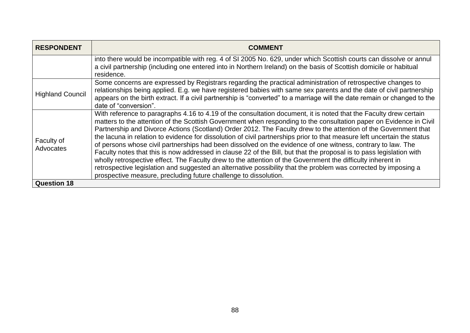| <b>RESPONDENT</b>              | <b>COMMENT</b>                                                                                                                                                                                                                                                                                                                                                                                                                                                                                                                                                                                                                                                                                                                                                                                                                                                                                                                                                                                                                      |
|--------------------------------|-------------------------------------------------------------------------------------------------------------------------------------------------------------------------------------------------------------------------------------------------------------------------------------------------------------------------------------------------------------------------------------------------------------------------------------------------------------------------------------------------------------------------------------------------------------------------------------------------------------------------------------------------------------------------------------------------------------------------------------------------------------------------------------------------------------------------------------------------------------------------------------------------------------------------------------------------------------------------------------------------------------------------------------|
|                                | into there would be incompatible with reg. 4 of SI 2005 No. 629, under which Scottish courts can dissolve or annul<br>a civil partnership (including one entered into in Northern Ireland) on the basis of Scottish domicile or habitual<br>residence.                                                                                                                                                                                                                                                                                                                                                                                                                                                                                                                                                                                                                                                                                                                                                                              |
| <b>Highland Council</b>        | Some concerns are expressed by Registrars regarding the practical administration of retrospective changes to<br>relationships being applied. E.g. we have registered babies with same sex parents and the date of civil partnership<br>appears on the birth extract. If a civil partnership is "converted" to a marriage will the date remain or changed to the<br>date of "conversion".                                                                                                                                                                                                                                                                                                                                                                                                                                                                                                                                                                                                                                            |
| Faculty of<br><b>Advocates</b> | With reference to paragraphs 4.16 to 4.19 of the consultation document, it is noted that the Faculty drew certain<br>matters to the attention of the Scottish Government when responding to the consultation paper on Evidence in Civil<br>Partnership and Divorce Actions (Scotland) Order 2012. The Faculty drew to the attention of the Government that<br>the lacuna in relation to evidence for dissolution of civil partnerships prior to that measure left uncertain the status<br>of persons whose civil partnerships had been dissolved on the evidence of one witness, contrary to law. The<br>Faculty notes that this is now addressed in clause 22 of the Bill, but that the proposal is to pass legislation with<br>wholly retrospective effect. The Faculty drew to the attention of the Government the difficulty inherent in<br>retrospective legislation and suggested an alternative possibility that the problem was corrected by imposing a<br>prospective measure, precluding future challenge to dissolution. |
| <b>Question 18</b>             |                                                                                                                                                                                                                                                                                                                                                                                                                                                                                                                                                                                                                                                                                                                                                                                                                                                                                                                                                                                                                                     |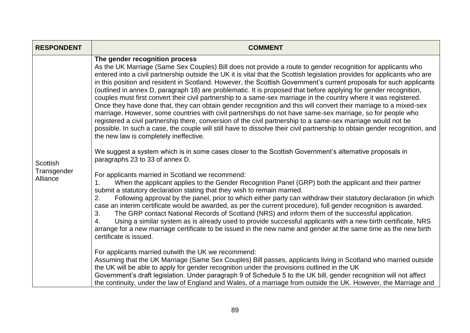| <b>RESPONDENT</b>       | <b>COMMENT</b>                                                                                                                                                                                                                                                                                                                                                                                                                                                                                                                                                                                                                                                                                                                                                                                                                                                                                                                                                                                                                                                                                                                                                         |
|-------------------------|------------------------------------------------------------------------------------------------------------------------------------------------------------------------------------------------------------------------------------------------------------------------------------------------------------------------------------------------------------------------------------------------------------------------------------------------------------------------------------------------------------------------------------------------------------------------------------------------------------------------------------------------------------------------------------------------------------------------------------------------------------------------------------------------------------------------------------------------------------------------------------------------------------------------------------------------------------------------------------------------------------------------------------------------------------------------------------------------------------------------------------------------------------------------|
|                         | The gender recognition process<br>As the UK Marriage (Same Sex Couples) Bill does not provide a route to gender recognition for applicants who<br>entered into a civil partnership outside the UK it is vital that the Scottish legislation provides for applicants who are<br>in this position and resident in Scotland. However, the Scottish Government's current proposals for such applicants<br>(outlined in annex D, paragraph 18) are problematic. It is proposed that before applying for gender recognition,<br>couples must first convert their civil partnership to a same-sex marriage in the country where it was registered.<br>Once they have done that, they can obtain gender recognition and this will convert their marriage to a mixed-sex<br>marriage. However, some countries with civil partnerships do not have same-sex marriage, so for people who<br>registered a civil partnership there, conversion of the civil partnership to a same-sex marriage would not be<br>possible. In such a case, the couple will still have to dissolve their civil partnership to obtain gender recognition, and<br>the new law is completely ineffective. |
| <b>Scottish</b>         | We suggest a system which is in some cases closer to the Scottish Government's alternative proposals in<br>paragraphs 23 to 33 of annex D.                                                                                                                                                                                                                                                                                                                                                                                                                                                                                                                                                                                                                                                                                                                                                                                                                                                                                                                                                                                                                             |
| Transgender<br>Alliance | For applicants married in Scotland we recommend:<br>When the applicant applies to the Gender Recognition Panel (GRP) both the applicant and their partner<br>1.<br>submit a statutory declaration stating that they wish to remain married.<br>Following approval by the panel, prior to which either party can withdraw their statutory declaration (in which<br>2.<br>case an interim certificate would be awarded, as per the current procedure), full gender recognition is awarded.<br>The GRP contact National Records of Scotland (NRS) and inform them of the successful application.<br>3.<br>4.<br>Using a similar system as is already used to provide successful applicants with a new birth certificate, NRS<br>arrange for a new marriage certificate to be issued in the new name and gender at the same time as the new birth<br>certificate is issued.                                                                                                                                                                                                                                                                                                |
|                         | For applicants married outwith the UK we recommend:<br>Assuming that the UK Marriage (Same Sex Couples) Bill passes, applicants living in Scotland who married outside<br>the UK will be able to apply for gender recognition under the provisions outlined in the UK<br>Government's draft legislation. Under paragraph 9 of Schedule 5 to the UK bill, gender recognition will not affect<br>the continuity, under the law of England and Wales, of a marriage from outside the UK. However, the Marriage and                                                                                                                                                                                                                                                                                                                                                                                                                                                                                                                                                                                                                                                        |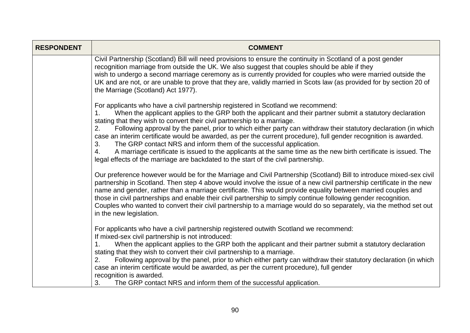| <b>RESPONDENT</b> | <b>COMMENT</b>                                                                                                                                                                                                                                                                                                                                                                                                                                                                                                                                                                                                                                                                                                                                                                                                          |
|-------------------|-------------------------------------------------------------------------------------------------------------------------------------------------------------------------------------------------------------------------------------------------------------------------------------------------------------------------------------------------------------------------------------------------------------------------------------------------------------------------------------------------------------------------------------------------------------------------------------------------------------------------------------------------------------------------------------------------------------------------------------------------------------------------------------------------------------------------|
|                   | Civil Partnership (Scotland) Bill will need provisions to ensure the continuity in Scotland of a post gender<br>recognition marriage from outside the UK. We also suggest that couples should be able if they<br>wish to undergo a second marriage ceremony as is currently provided for couples who were married outside the<br>UK and are not, or are unable to prove that they are, validly married in Scots law (as provided for by section 20 of<br>the Marriage (Scotland) Act 1977).                                                                                                                                                                                                                                                                                                                             |
|                   | For applicants who have a civil partnership registered in Scotland we recommend:<br>When the applicant applies to the GRP both the applicant and their partner submit a statutory declaration<br>1.<br>stating that they wish to convert their civil partnership to a marriage.<br>Following approval by the panel, prior to which either party can withdraw their statutory declaration (in which<br>2.<br>case an interim certificate would be awarded, as per the current procedure), full gender recognition is awarded.<br>The GRP contact NRS and inform them of the successful application.<br>3.<br>A marriage certificate is issued to the applicants at the same time as the new birth certificate is issued. The<br>4.<br>legal effects of the marriage are backdated to the start of the civil partnership. |
|                   | Our preference however would be for the Marriage and Civil Partnership (Scotland) Bill to introduce mixed-sex civil<br>partnership in Scotland. Then step 4 above would involve the issue of a new civil partnership certificate in the new<br>name and gender, rather than a marriage certificate. This would provide equality between married couples and<br>those in civil partnerships and enable their civil partnership to simply continue following gender recognition.<br>Couples who wanted to convert their civil partnership to a marriage would do so separately, via the method set out<br>in the new legislation.                                                                                                                                                                                         |
|                   | For applicants who have a civil partnership registered outwith Scotland we recommend:<br>If mixed-sex civil partnership is not introduced:<br>When the applicant applies to the GRP both the applicant and their partner submit a statutory declaration<br>$\mathbf{1}$ .<br>stating that they wish to convert their civil partnership to a marriage.<br>Following approval by the panel, prior to which either party can withdraw their statutory declaration (in which<br>2.<br>case an interim certificate would be awarded, as per the current procedure), full gender<br>recognition is awarded.<br>The GRP contact NRS and inform them of the successful application.<br>3.                                                                                                                                       |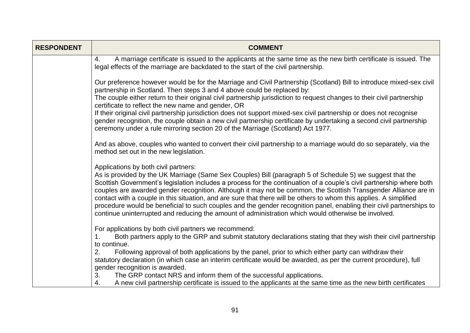| <b>RESPONDENT</b> | <b>COMMENT</b>                                                                                                                                                                                                                                                                                                                                                                                                                                                                                                                                                                                                                                                                                                                                    |
|-------------------|---------------------------------------------------------------------------------------------------------------------------------------------------------------------------------------------------------------------------------------------------------------------------------------------------------------------------------------------------------------------------------------------------------------------------------------------------------------------------------------------------------------------------------------------------------------------------------------------------------------------------------------------------------------------------------------------------------------------------------------------------|
|                   | A marriage certificate is issued to the applicants at the same time as the new birth certificate is issued. The<br>4.<br>legal effects of the marriage are backdated to the start of the civil partnership.                                                                                                                                                                                                                                                                                                                                                                                                                                                                                                                                       |
|                   | Our preference however would be for the Marriage and Civil Partnership (Scotland) Bill to introduce mixed-sex civil<br>partnership in Scotland. Then steps 3 and 4 above could be replaced by:                                                                                                                                                                                                                                                                                                                                                                                                                                                                                                                                                    |
|                   | The couple either return to their original civil partnership jurisdiction to request changes to their civil partnership<br>certificate to reflect the new name and gender, OR                                                                                                                                                                                                                                                                                                                                                                                                                                                                                                                                                                     |
|                   | If their original civil partnership jurisdiction does not support mixed-sex civil partnership or does not recognise<br>gender recognition, the couple obtain a new civil partnership certificate by undertaking a second civil partnership<br>ceremony under a rule mirroring section 20 of the Marriage (Scotland) Act 1977.                                                                                                                                                                                                                                                                                                                                                                                                                     |
|                   | And as above, couples who wanted to convert their civil partnership to a marriage would do so separately, via the<br>method set out in the new legislation.                                                                                                                                                                                                                                                                                                                                                                                                                                                                                                                                                                                       |
|                   | Applications by both civil partners:<br>As is provided by the UK Marriage (Same Sex Couples) Bill (paragraph 5 of Schedule 5) we suggest that the<br>Scottish Government's legislation includes a process for the continuation of a couple's civil partnership where both<br>couples are awarded gender recognition. Although it may not be common, the Scottish Transgender Alliance are in<br>contact with a couple in this situation, and are sure that there will be others to whom this applies. A simplified<br>procedure would be beneficial to such couples and the gender recognition panel, enabling their civil partnerships to<br>continue uninterrupted and reducing the amount of administration which would otherwise be involved. |
|                   | For applications by both civil partners we recommend:<br>Both partners apply to the GRP and submit statutory declarations stating that they wish their civil partnership                                                                                                                                                                                                                                                                                                                                                                                                                                                                                                                                                                          |
|                   | to continue.<br>Following approval of both applications by the panel, prior to which either party can withdraw their<br>2.<br>statutory declaration (in which case an interim certificate would be awarded, as per the current procedure), full<br>gender recognition is awarded.                                                                                                                                                                                                                                                                                                                                                                                                                                                                 |
|                   | The GRP contact NRS and inform them of the successful applications.<br>3.<br>A new civil partnership certificate is issued to the applicants at the same time as the new birth certificates<br>4.                                                                                                                                                                                                                                                                                                                                                                                                                                                                                                                                                 |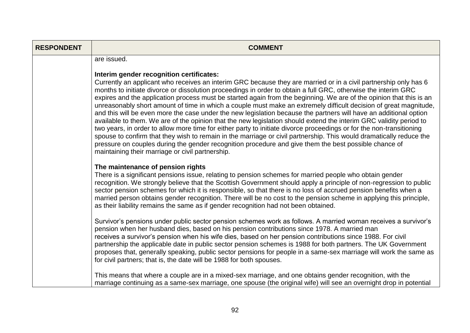| <b>RESPONDENT</b> | <b>COMMENT</b>                                                                                                                                                                                                                                                                                                                                                                                                                                                                                                                                                                                                                                                                                                                                                                                                                                                                                                                                                                                                                                                                                                                                                                    |
|-------------------|-----------------------------------------------------------------------------------------------------------------------------------------------------------------------------------------------------------------------------------------------------------------------------------------------------------------------------------------------------------------------------------------------------------------------------------------------------------------------------------------------------------------------------------------------------------------------------------------------------------------------------------------------------------------------------------------------------------------------------------------------------------------------------------------------------------------------------------------------------------------------------------------------------------------------------------------------------------------------------------------------------------------------------------------------------------------------------------------------------------------------------------------------------------------------------------|
|                   | are issued.                                                                                                                                                                                                                                                                                                                                                                                                                                                                                                                                                                                                                                                                                                                                                                                                                                                                                                                                                                                                                                                                                                                                                                       |
|                   | Interim gender recognition certificates:<br>Currently an applicant who receives an interim GRC because they are married or in a civil partnership only has 6<br>months to initiate divorce or dissolution proceedings in order to obtain a full GRC, otherwise the interim GRC<br>expires and the application process must be started again from the beginning. We are of the opinion that this is an<br>unreasonably short amount of time in which a couple must make an extremely difficult decision of great magnitude,<br>and this will be even more the case under the new legislation because the partners will have an additional option<br>available to them. We are of the opinion that the new legislation should extend the interim GRC validity period to<br>two years, in order to allow more time for either party to initiate divorce proceedings or for the non-transitioning<br>spouse to confirm that they wish to remain in the marriage or civil partnership. This would dramatically reduce the<br>pressure on couples during the gender recognition procedure and give them the best possible chance of<br>maintaining their marriage or civil partnership. |
|                   | The maintenance of pension rights<br>There is a significant pensions issue, relating to pension schemes for married people who obtain gender<br>recognition. We strongly believe that the Scottish Government should apply a principle of non-regression to public<br>sector pension schemes for which it is responsible, so that there is no loss of accrued pension benefits when a<br>married person obtains gender recognition. There will be no cost to the pension scheme in applying this principle,<br>as their liability remains the same as if gender recognition had not been obtained.                                                                                                                                                                                                                                                                                                                                                                                                                                                                                                                                                                                |
|                   | Survivor's pensions under public sector pension schemes work as follows. A married woman receives a survivor's<br>pension when her husband dies, based on his pension contributions since 1978. A married man<br>receives a survivor's pension when his wife dies, based on her pension contributions since 1988. For civil<br>partnership the applicable date in public sector pension schemes is 1988 for both partners. The UK Government<br>proposes that, generally speaking, public sector pensions for people in a same-sex marriage will work the same as<br>for civil partners; that is, the date will be 1988 for both spouses.                                                                                                                                                                                                                                                                                                                                                                                                                                                                                                                                         |
|                   | This means that where a couple are in a mixed-sex marriage, and one obtains gender recognition, with the<br>marriage continuing as a same-sex marriage, one spouse (the original wife) will see an overnight drop in potential                                                                                                                                                                                                                                                                                                                                                                                                                                                                                                                                                                                                                                                                                                                                                                                                                                                                                                                                                    |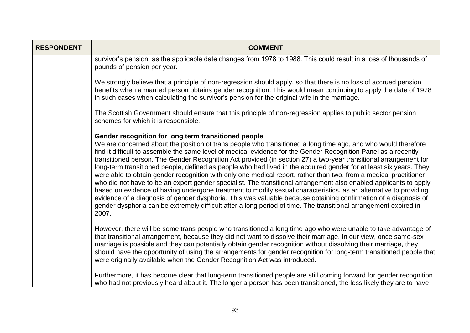| <b>RESPONDENT</b> | <b>COMMENT</b>                                                                                                                                                                                                                                                                                                                                                                                                                                                                                                                                                                                                                                                                                                                                                                                                                                                                                                                                                                                                                                                                                                                                   |
|-------------------|--------------------------------------------------------------------------------------------------------------------------------------------------------------------------------------------------------------------------------------------------------------------------------------------------------------------------------------------------------------------------------------------------------------------------------------------------------------------------------------------------------------------------------------------------------------------------------------------------------------------------------------------------------------------------------------------------------------------------------------------------------------------------------------------------------------------------------------------------------------------------------------------------------------------------------------------------------------------------------------------------------------------------------------------------------------------------------------------------------------------------------------------------|
|                   | survivor's pension, as the applicable date changes from 1978 to 1988. This could result in a loss of thousands of<br>pounds of pension per year.                                                                                                                                                                                                                                                                                                                                                                                                                                                                                                                                                                                                                                                                                                                                                                                                                                                                                                                                                                                                 |
|                   | We strongly believe that a principle of non-regression should apply, so that there is no loss of accrued pension<br>benefits when a married person obtains gender recognition. This would mean continuing to apply the date of 1978<br>in such cases when calculating the survivor's pension for the original wife in the marriage.                                                                                                                                                                                                                                                                                                                                                                                                                                                                                                                                                                                                                                                                                                                                                                                                              |
|                   | The Scottish Government should ensure that this principle of non-regression applies to public sector pension<br>schemes for which it is responsible.                                                                                                                                                                                                                                                                                                                                                                                                                                                                                                                                                                                                                                                                                                                                                                                                                                                                                                                                                                                             |
|                   | Gender recognition for long term transitioned people<br>We are concerned about the position of trans people who transitioned a long time ago, and who would therefore<br>find it difficult to assemble the same level of medical evidence for the Gender Recognition Panel as a recently<br>transitioned person. The Gender Recognition Act provided (in section 27) a two-year transitional arrangement for<br>long-term transitioned people, defined as people who had lived in the acquired gender for at least six years. They<br>were able to obtain gender recognition with only one medical report, rather than two, from a medical practitioner<br>who did not have to be an expert gender specialist. The transitional arrangement also enabled applicants to apply<br>based on evidence of having undergone treatment to modify sexual characteristics, as an alternative to providing<br>evidence of a diagnosis of gender dysphoria. This was valuable because obtaining confirmation of a diagnosis of<br>gender dysphoria can be extremely difficult after a long period of time. The transitional arrangement expired in<br>2007. |
|                   | However, there will be some trans people who transitioned a long time ago who were unable to take advantage of<br>that transitional arrangement, because they did not want to dissolve their marriage. In our view, once same-sex<br>marriage is possible and they can potentially obtain gender recognition without dissolving their marriage, they<br>should have the opportunity of using the arrangements for gender recognition for long-term transitioned people that<br>were originally available when the Gender Recognition Act was introduced.                                                                                                                                                                                                                                                                                                                                                                                                                                                                                                                                                                                         |
|                   | Furthermore, it has become clear that long-term transitioned people are still coming forward for gender recognition<br>who had not previously heard about it. The longer a person has been transitioned, the less likely they are to have                                                                                                                                                                                                                                                                                                                                                                                                                                                                                                                                                                                                                                                                                                                                                                                                                                                                                                        |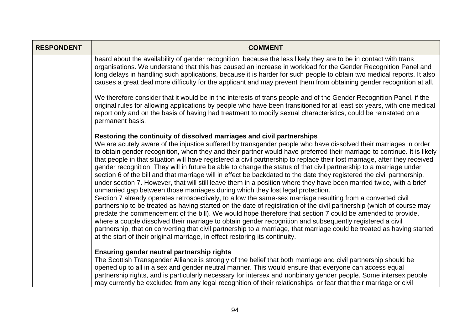| <b>RESPONDENT</b> | <b>COMMENT</b>                                                                                                                                                                                                                                                                                                                                                                                                                                                                                                                                                                                                                                                                                                                                                                                                                                                                                                                                                                                                                                                                                                                                                                                                                                                                                                                                                                                                                                                                                                                                                                           |
|-------------------|------------------------------------------------------------------------------------------------------------------------------------------------------------------------------------------------------------------------------------------------------------------------------------------------------------------------------------------------------------------------------------------------------------------------------------------------------------------------------------------------------------------------------------------------------------------------------------------------------------------------------------------------------------------------------------------------------------------------------------------------------------------------------------------------------------------------------------------------------------------------------------------------------------------------------------------------------------------------------------------------------------------------------------------------------------------------------------------------------------------------------------------------------------------------------------------------------------------------------------------------------------------------------------------------------------------------------------------------------------------------------------------------------------------------------------------------------------------------------------------------------------------------------------------------------------------------------------------|
|                   | heard about the availability of gender recognition, because the less likely they are to be in contact with trans<br>organisations. We understand that this has caused an increase in workload for the Gender Recognition Panel and<br>long delays in handling such applications, because it is harder for such people to obtain two medical reports. It also<br>causes a great deal more difficulty for the applicant and may prevent them from obtaining gender recognition at all.                                                                                                                                                                                                                                                                                                                                                                                                                                                                                                                                                                                                                                                                                                                                                                                                                                                                                                                                                                                                                                                                                                     |
|                   | We therefore consider that it would be in the interests of trans people and of the Gender Recognition Panel, if the<br>original rules for allowing applications by people who have been transitioned for at least six years, with one medical<br>report only and on the basis of having had treatment to modify sexual characteristics, could be reinstated on a<br>permanent basis.                                                                                                                                                                                                                                                                                                                                                                                                                                                                                                                                                                                                                                                                                                                                                                                                                                                                                                                                                                                                                                                                                                                                                                                                     |
|                   | Restoring the continuity of dissolved marriages and civil partnerships<br>We are acutely aware of the injustice suffered by transgender people who have dissolved their marriages in order<br>to obtain gender recognition, when they and their partner would have preferred their marriage to continue. It is likely<br>that people in that situation will have registered a civil partnership to replace their lost marriage, after they received<br>gender recognition. They will in future be able to change the status of that civil partnership to a marriage under<br>section 6 of the bill and that marriage will in effect be backdated to the date they registered the civil partnership,<br>under section 7. However, that will still leave them in a position where they have been married twice, with a brief<br>unmarried gap between those marriages during which they lost legal protection.<br>Section 7 already operates retrospectively, to allow the same-sex marriage resulting from a converted civil<br>partnership to be treated as having started on the date of registration of the civil partnership (which of course may<br>predate the commencement of the bill). We would hope therefore that section 7 could be amended to provide,<br>where a couple dissolved their marriage to obtain gender recognition and subsequently registered a civil<br>partnership, that on converting that civil partnership to a marriage, that marriage could be treated as having started<br>at the start of their original marriage, in effect restoring its continuity. |
|                   | Ensuring gender neutral partnership rights<br>The Scottish Transgender Alliance is strongly of the belief that both marriage and civil partnership should be<br>opened up to all in a sex and gender neutral manner. This would ensure that everyone can access equal<br>partnership rights, and is particularly necessary for intersex and nonbinary gender people. Some intersex people<br>may currently be excluded from any legal recognition of their relationships, or fear that their marriage or civil                                                                                                                                                                                                                                                                                                                                                                                                                                                                                                                                                                                                                                                                                                                                                                                                                                                                                                                                                                                                                                                                           |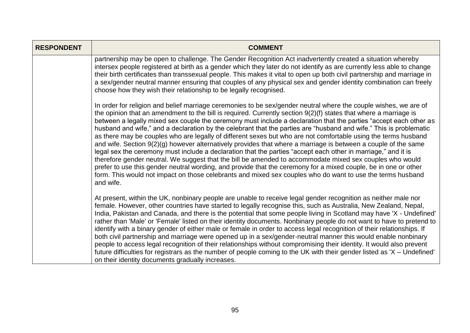| <b>RESPONDENT</b> | <b>COMMENT</b>                                                                                                                                                                                                                                                                                                                                                                                                                                                                                                                                                                                                                                                                                                                                                                                                                                                                                                                                                                                                                                                                                                                                                                                 |
|-------------------|------------------------------------------------------------------------------------------------------------------------------------------------------------------------------------------------------------------------------------------------------------------------------------------------------------------------------------------------------------------------------------------------------------------------------------------------------------------------------------------------------------------------------------------------------------------------------------------------------------------------------------------------------------------------------------------------------------------------------------------------------------------------------------------------------------------------------------------------------------------------------------------------------------------------------------------------------------------------------------------------------------------------------------------------------------------------------------------------------------------------------------------------------------------------------------------------|
|                   | partnership may be open to challenge. The Gender Recognition Act inadvertently created a situation whereby<br>intersex people registered at birth as a gender which they later do not identify as are currently less able to change<br>their birth certificates than transsexual people. This makes it vital to open up both civil partnership and marriage in<br>a sex/gender neutral manner ensuring that couples of any physical sex and gender identity combination can freely<br>choose how they wish their relationship to be legally recognised.                                                                                                                                                                                                                                                                                                                                                                                                                                                                                                                                                                                                                                        |
|                   | In order for religion and belief marriage ceremonies to be sex/gender neutral where the couple wishes, we are of<br>the opinion that an amendment to the bill is required. Currently section 9(2)(f) states that where a marriage is<br>between a legally mixed sex couple the ceremony must include a declaration that the parties "accept each other as<br>husband and wife," and a declaration by the celebrant that the parties are "husband and wife." This is problematic<br>as there may be couples who are legally of different sexes but who are not comfortable using the terms husband<br>and wife. Section 9(2)(g) however alternatively provides that where a marriage is between a couple of the same<br>legal sex the ceremony must include a declaration that the parties "accept each other in marriage," and it is<br>therefore gender neutral. We suggest that the bill be amended to accommodate mixed sex couples who would<br>prefer to use this gender neutral wording, and provide that the ceremony for a mixed couple, be in one or other<br>form. This would not impact on those celebrants and mixed sex couples who do want to use the terms husband<br>and wife. |
|                   | At present, within the UK, nonbinary people are unable to receive legal gender recognition as neither male nor<br>female. However, other countries have started to legally recognise this, such as Australia, New Zealand, Nepal,<br>India, Pakistan and Canada, and there is the potential that some people living in Scotland may have 'X - Undefined'<br>rather than 'Male' or 'Female' listed on their identity documents. Nonbinary people do not want to have to pretend to<br>identify with a binary gender of either male or female in order to access legal recognition of their relationships. If<br>both civil partnership and marriage were opened up in a sex/gender-neutral manner this would enable nonbinary<br>people to access legal recognition of their relationships without compromising their identity. It would also prevent<br>future difficulties for registrars as the number of people coming to the UK with their gender listed as 'X – Undefined'<br>on their identity documents gradually increases.                                                                                                                                                            |